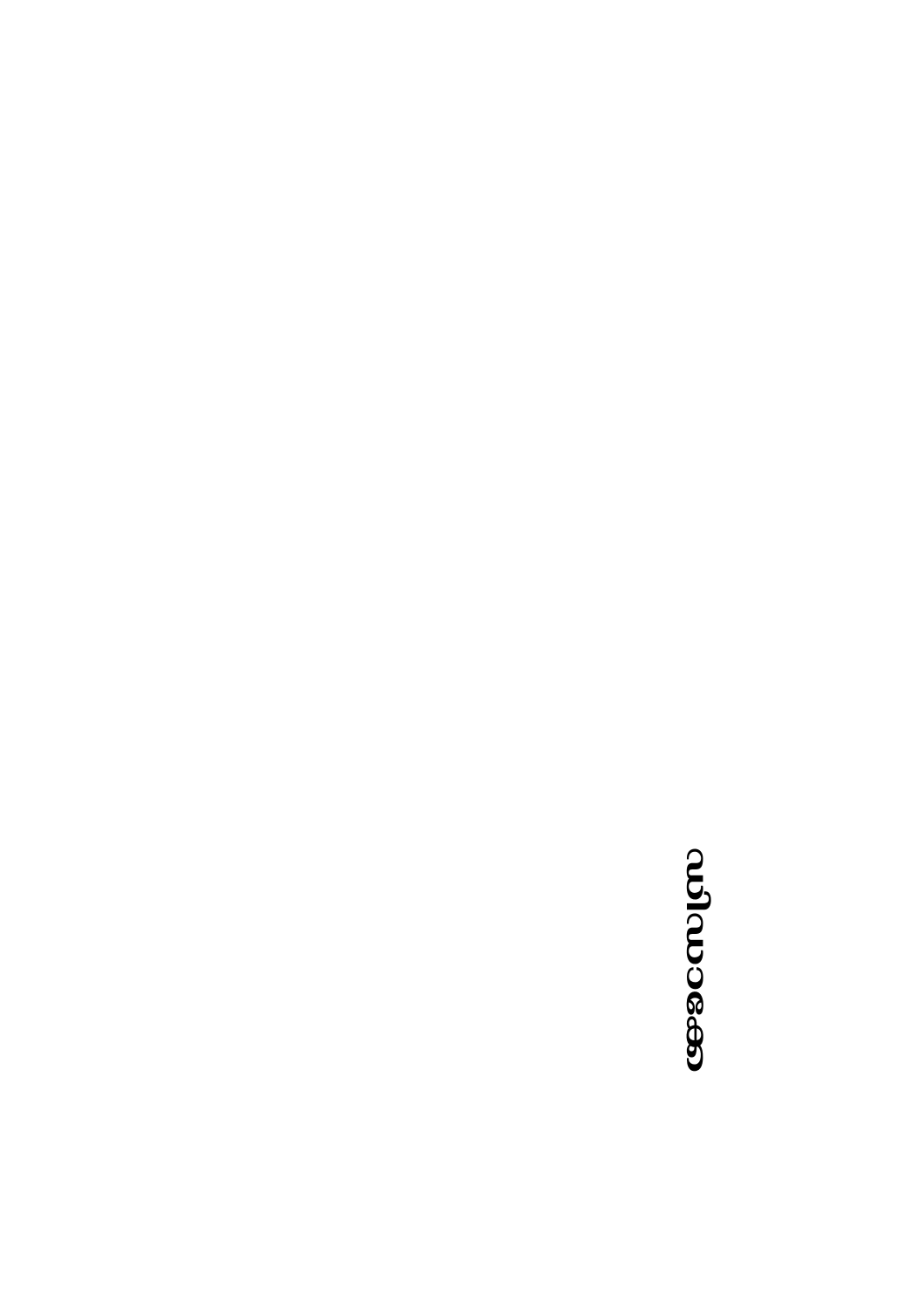cosacundus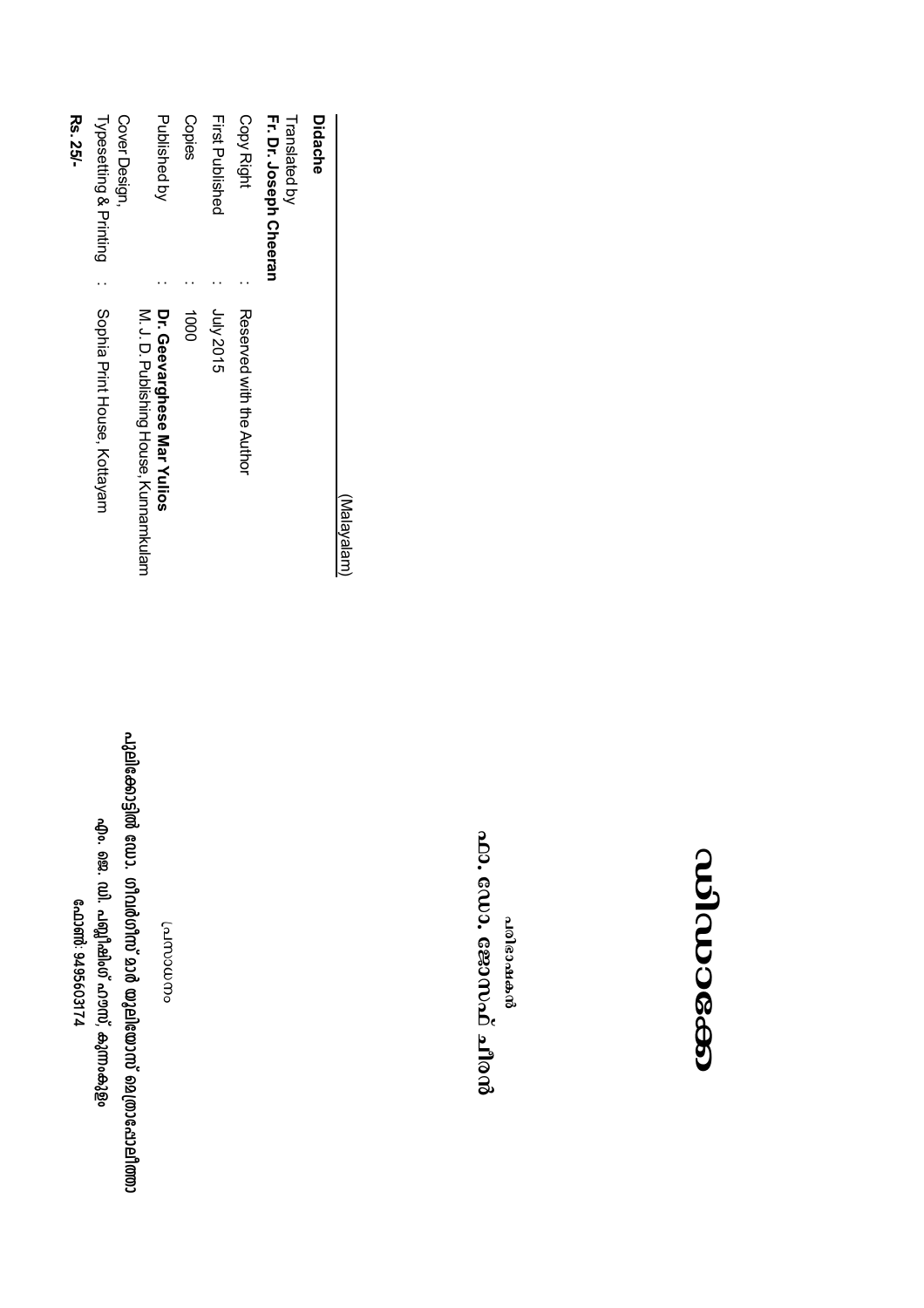| Rs. 25/-           | <b>Typesetting &amp; Printing</b>      | Cover Design.                                                     | Published by               | Copies               | <b>First Published</b> | Copy Right               |
|--------------------|----------------------------------------|-------------------------------------------------------------------|----------------------------|----------------------|------------------------|--------------------------|
|                    | Sophia Print Horse, Kottayara          | M. J. D. Propishing House, Kunnamkulam                            | Dr. Geevarghese Mar Yulios | $\overrightarrow{5}$ | 3102 AIPP              | Reserved with the Author |
| <b>45095603174</b> | എം. ജെ. ഡി. പബ്ലിഷിഗ് ഹൗസ്, കുന്നംകുളം | ານໃສ່ໂອເຈົ້າງິງເຕີ ເເນນ, ທ່ານເປີດກັນ ຈາດ ໝູງຂါໂຍໝາກນັ້ ຈານ ສູງສູງ | യനഡേസി                     |                      |                        |                          |

Translated by<br>Fr. Dr. Joseph Cheeran

**Didache** 

(Malayalam)

ഹാ. ഡോ. ജോസഫ് ചീരൻ முமூலை

## cosscangas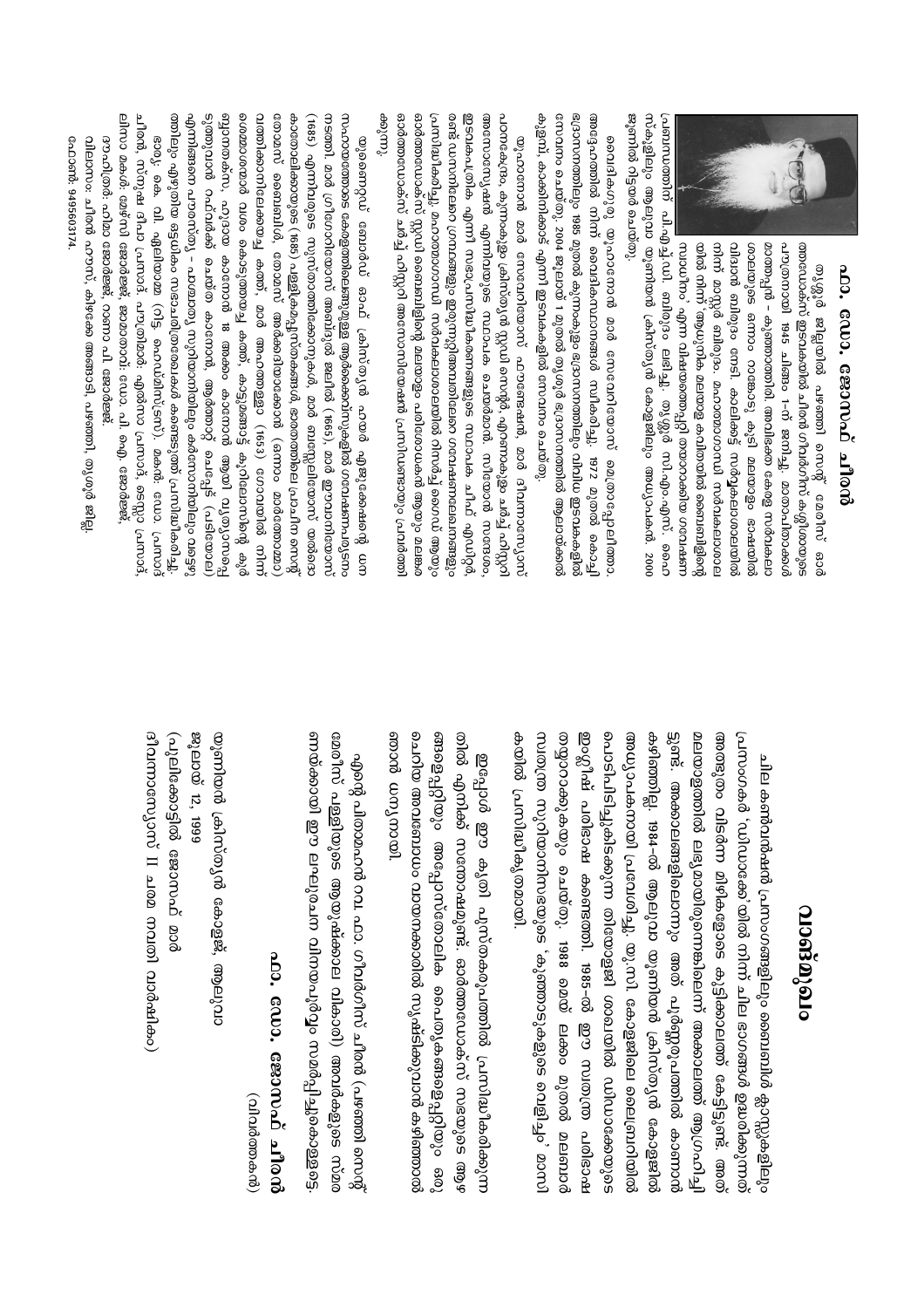ഭിദാനനത്തിലും 1885 മുതൽ കുന്നാകുളം ഭദ്രാസനത്തിലും വിവിധ ഇടവകകളിൽ എന്നിങ്ങനെ പൗരന്ന്ത്യ – പാശ്ചാതി സുറിയാനിയിലും കർന്നോനിയിലും വട്ടെട്ട്യ ടുത്തുവാൻ റഫ്വർക്ക് ചെയ്ത കാനോൻ, ആർത്താറ്റ് ചെപ്പേട് (പടിയോല) ബ്ബാന്തക്സ, ഹൂദായ കാനോൻ 18 അക്കം കാനോൻ ആയി വ്യത്യാസപ്പെ യെമ്മാശന്മാർ വശം കൊടുത്തയച്ച കത്ത്, കാട്ടുമങ്ങാട്ട് കൂറിലോസിന്റെ കുർ വത്തിക്കാനിലേക്കയച്ച കത്ത്, മാർ അഹത്തള്ളാ (1653) ഗോവയിൽ നിന്ന തോമസ് ബൈബിൾ, തോമസ് അർക്കദിയാക്കോൻ (ഒന്നാം മാർത്തോമ്മാ, കാതോലിക്കായുടെ (1885) പള്ളിക്രമപ്പുസ്തകങ്ങൾ, ഭാത്തത്തിലെ പ്രാചീന സെന്റ് നടത്തി. മാർ ഗ്രീഗോറിയോസ് അബ്ദുൽ ജലീൽ (1665), മാർ ഇൗവാനിയോസ് ന്നഹായത്തോടെ കേരളത്തിലെങ്കുമുള്ള ആർക്കെന്നുകളിൽ ഗവേഷണപര്യടനം ഓർത്തഃഡാക്സ് ചർച്ച് ഹിസ്റ്ററി അസോസിയേഷൻ പ്രസിഡണ്ടായും പ്രവർത്ത് ഒാർത്തയേക്സ് സ്റ്റഡി ബൈബിളിന്റെ മലയാളം പരിശോധകൻ ആയും മലങ്കര ്യസിദ്ധീകരിച്ചു. മഹാത്മാഗാസ്ഥി സർവകലാരാലയിൽ റിസർച്ച് ഗൈഡ് ആയും ്ള്ളോന്ഥലോ ഗ്രന്ഥാരാ കുട്ടി ഇതുന്നു പ്രത്യാന്നതിന്റെ ഗുവഷണവാങ്ങളും ഇടവകപത്രിക എന്നീ സഭാപ്രസ്വദ്ധീകരണങ്ങളുടെ സ്ഥാപക ചീഫ് എഡിറ്റർ അസോസ്യേഷൻ എന്നിവയുടെ സ്ഥാപക ചെയർമാൻ. സീയോൻ സന്ദേശം പഠനകേന്ദ്രം, കുന്നംകുളം ക്രിസ്ത്യൻ സ്റ്റഡി സെന്റർ, എറണാകുളം ചർച്ച് ഹിസ്റ്ററി കുളമ്പ്, കാക്കിനിക്കാട് എന്നീ ഇടവകകളിൽ സേവനം ചെയ്തു. നോവനം ചെയ്തു. 2004 ജുലായ് 1 മുതൽ ത്യശൂർ ഭ്യദാസനത്തിൽ ആലായ്ക്കൽ അദ്ദേഹത്തിൽ നിന്ന് വൈദികസ്ഥാനങ്ങൾ സ്വീകരിച്ചു. 1972 മുതൽ കൊച്ചി ജൂണിൽ റിട്ടയർ ചെയ്തു. സ്കൂളിലും ആലുവാ യൂണിയൻ ക്രിസ്തൃൻ കോളജിലും അധ്യാപകൻ. 2000 ലിസാ മകൾ: മേഴ്സി ജോർജ്ജ്, ജാമാതാവ്: ഡോ. പി. ഐ. ജോർജ്ജ് ചീരൻ, സ്നുഷ ദീപാ പ്രസാദ്. പൗത്രിമാർ: എൽസാ പ്രസാദ്, ടെസ്സാ പ്രസാദ് ത്തിലും എഴുതിയ ഒട്ടധികം സഭാചരിത്രതേകൾ കണ്ടെടുത്ത് പ്രസിദ്ധീകരിച്ചു. (1885) എന്നിവരുടെ സുസ്താത്തിക്കോന്നുകൾ, മാർ ബസ്സേലിയോസ് യൽദൊ പ്രബന്ധത്തിന് പി.എച്ച്.ഡി. ബിരുദം ലഭിച്ചു. തൃശ്ശൂർ സി.എം.എസ്. ഹൈ ഡ്ര ഭാര്യ; കെ. വി. ഏലിയാമ്മ (റിട്ട, ഹെഡ്മിസ്ട്രസ്). മകൻ: ഡോ. പ്രസാദ് യുണൈറ്റഡ് ബോർഡ് ഓഫ് ക്രിസ്ത്യൻ ഹയർ എജുക്കേഷന്റെ ധന ദൗഹിത്രർ: ഹിമാ ജോർജ്ജ്, റാണാ പി. ജോർജ്ജ് യൂഹാനേൻ മാർ സേവേറിയോസ് ഫൗണ്ടേഷൻ, മാർ ദീവന്നാസ്യോസ് മൊപ്പികഗുരു യൂഹാനോൻ മാർ നേവേറിയോന് മെത്രാപ്പ്പോണ്താ വിലാസം: ചീരൻ ഹൗസ്, കിഴക്കേ അങ്ങാടി, പഴഞ്ഞി, തൃശൂർ ജില്ല GoDoom: 9495603174. ന്നും എന്ന വിഷയതെന്നുപ്പറ്റി തയാക്കിയ ഗണ്ഡോ യിൽ നിന്ന് 'അധുനിക മലയാള കവിതയിൽ ബൈബിളിന്റെ നിന്ന് മാസ്റ്റർ ബിരുദം. മഹാത്മാഗാന്ധി സർവകലാശാല മിദ്ധര് ബിരുദം നേടി. കാലിക്കട്ട് സർവ്വകലാശാലയിൽ മാത്തപ്പൻ – കുഞ്ഞാത്തിരി. അവിഭക്ത കേരള സർവകലാ പൗത്രനായി 1945 ചിങ്ങം 1-ന് ജനിച്ചു. മാതാപിതാക്കൾ ശാലയുടെ ഒന്നാം റാങ്കോടു കൂടി മലയാളം ഭാഷയിൽ ത്തഡോക്സ് ഇടവകയിൽ ചീരൻ ഗീവർഗീസ് കശ്ശീശായുടെ തൃശ്ശ ജില്ലയിൽ പഴഞ്ഞി സെന്റ് മേരീസ് ഓർ ഹാ. ഡോ. ജോസഫ് ചീരൻ

### ပါအစားဖြင့

കയിൽ പ്രസിദ്ധീകൃതമായി ന്നത് പ്രവാനിസഭയുടെ 'കുത്താടുകളുടെ ചാത്രവാന്ത്രം മായ തയ്യാറാക്കുകയും ചെയ്തു. 1988 മെയ് ലക്കം മുതൽ മലബാർ ഇംഗ്ലീഷ് പരിഭാഷ കണ്ടെത്തി. 1985-ൽ ഈ സ്ഥതന്ത്ര പരിഭാഷ പൊടിപിടികികിടക്കുന്ന തിയോളജി ശാഖയിൽ ഡിഡാക്കേയുട്ടെ യിയിവായി പ്രവേശിച്ചു. യു.നി. കോളജിലെ ലൈബ്രറിയിൽ കഴിഞ്ഞില്ല. 1984-ൽ ആലുവാ യൂണിയൻ ക്രിസ്തൃൻ കോളജിൽ ട്ടുണ്ട്. അക്കാലങ്ങളിലൊന്നും അത് പൂർണ്ണരൂപത്തിൽ കാണാൻ മലയാളത്തിൽ ലഭ്യമായിരുണെങ്കിലെന്ന് അക്കാലത്ത് ആഗ്രഹിച്ചി അതഭുതം വിടർന്ന മിഴികളോടെ കുട്ടിക്കാലത്ത് കേട്ടിട്ടുണ്ട്. അത് <u>തന്ന്യരം യെ സൈലെ ലിം. ന്നിന തിത് രംഖാധിധാ കെഡംഗ്നപ</u> ചില കൺവൻഷൻ പ്രസാഗങ്ങളിലും ലൈബിൾ ക്ലാസ്റ്റുകളിലും

ര്ചറിയ അവഞ്ചോധാ വായനക്കാരിൽ സ്യഷ്ടിക്കുവാൻ കഴിഞ്ഞാത് തിൽ എനിക്ക് സന്തോഷമുണ്ട്. ഓർത്തഡോക്സ് സഭയുടെ ആഴ ങ്ങളെപ്പറ്റിനും അപ്പോസ്തോലിക പൈതുകങ്ങളെപ്പറ്റിയും ഒരു ഇപ്പോൾ ഈ ക്യതി പുസ്തകരൂപത്തിൽ പ്രസിദ്ധീകരിക്കുന്ന

മേരീസ് പള്ളിയുടെ ആയുഷ്ക്കാല വികാരി) അവർകളുടെ സ്മര എന്റെ പിതാമഹൻ റവ. ഫാ. ഗീവർഗീസ് ചീരൻ (പഴഞ്ഞി സെന്റ്

ന്നയ്ക്കായി ഈ ലഘുവനയവിരാവുർവ്വ സമർപ്പിക്കാളുടെ ട്ര

ഹാ. ഡോ. ജോസഫ് ചീരൻ

ജൂലായ് 12, 1999 യൂണിയൻ ക്രിസ്ത്യൻ കോളജ്, ആലുവാ (പുലിക്കോ ട്രാസ്രാന്നാർ

ദീവന്നാനേഗ്യാസ് II ചരമ നവതി വാർഷികം)

 $(\omega \Theta \omega \omega \rho \Omega | \mathcal{D})$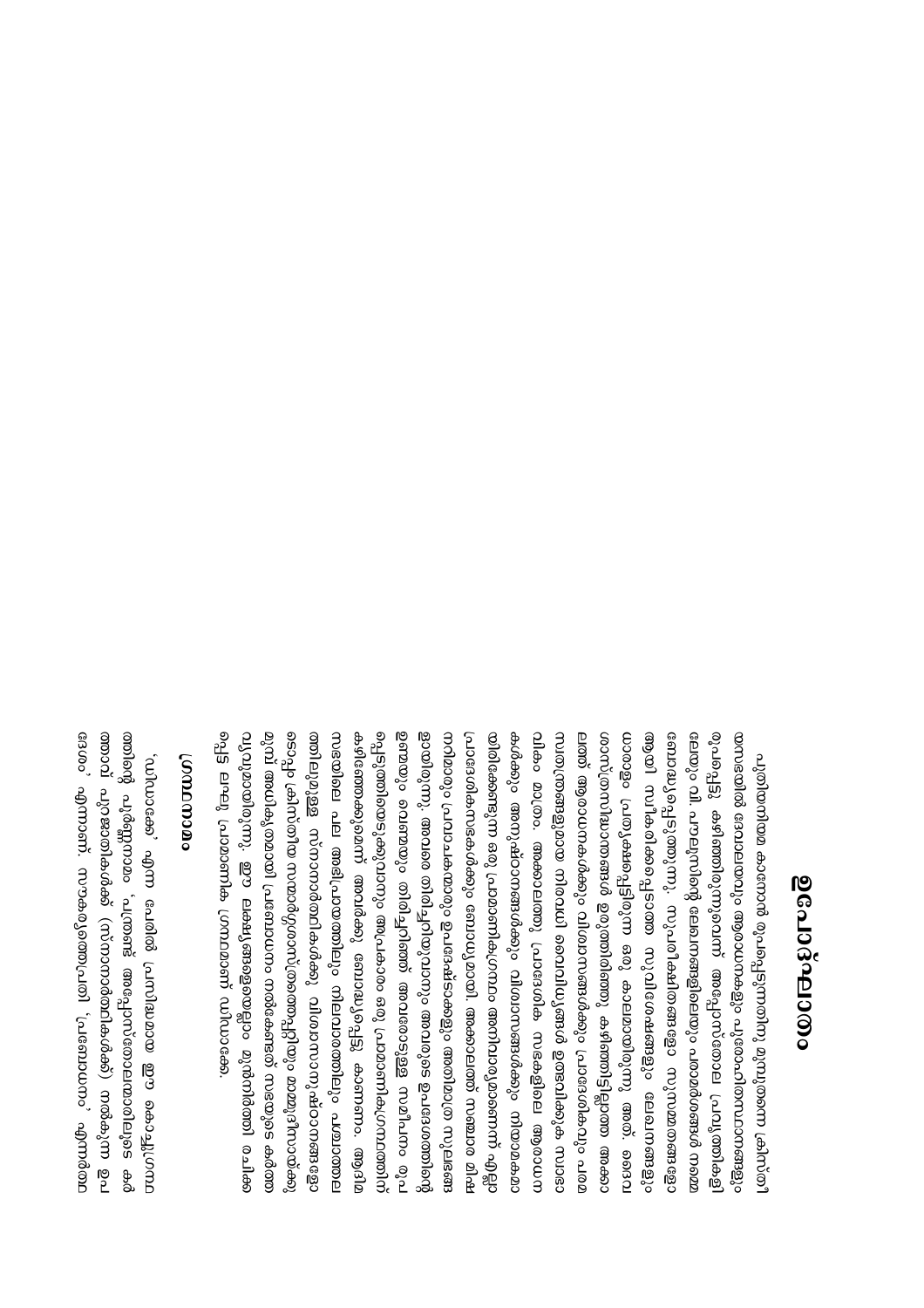### ദേശം' എന്നാണ്. സൗകര്യത്തെപ്രതി 'പ്രബോധനം' എന്നർത്ഥ ത്താവ് പുറജാതികൾക്ക് (സ്നാനാർത്ഥികൾക്ക്) നൽകുന്ന ഉപ രക ഭരൂലിരെത്വേലാതാന്നലുണ്ടെ അത്വപ്പും പ്രത്യേത് ാനിഡ്രാക്കര ത്ത് യാവിദ്ധലം തിരുക്കുന്നത്.

### $\alpha$

കൊഡിധ ന്നമാണിക ഗ്രനമാണ് ഡിഡാക്കേ മുമ്പ് അധികൃതമായി പ്രബോധനം നൽകേണ്ടത് സഭയുടെ കർത്ത ടൊപ്പം ക്രിസ്തീയ സന്മാർഗ്ഗാസ്ത്രത്തെപ്പറ്റിയും മാമ്മൂദീസായ്ക്കു ത്തിലുമുള്ള സ്നാനാർത്ഥികൾക്കു വിശ്വാസാനുഷ്ഠാനങ്ങളേ: <u>വരതാവരാ</u>ം ം(ലിത്താവാലിന ം(ലിത്താവാരത്തിലും പശ്ചാത്താന കഴിഞ്ഞേക്കുമെന്ന് അവർക്കു ബോദ്ധ്യപ്പെട്ടു കാണണം. ആദിമ കിടുത്തിയെന്നുകിന്നും അപ്രകാരം ഒരു പാമാണികഗ്രന്തരിന്നു ഉണ്ടതും വെണ്ടയും തിരിച്ചറിഞ്ഞ് അവരോടുള്ള സമീപനം രൂഹ ളായിരുന്നു. അവരെ തിരിച്ചറിയുവാനും അവരുടെ ഉപദേശത്തിന്റെ ന്താരിഗായിറ്റ് പവാകന്മാരും ഉപദേഷ്ടാകളും അതിമാത്ര സുലഭങ്ങ പ്രാഭദശികനാഭകൾക്കും ബോധ്യുമാവി. അക്കാലത്ത് സഞ്ചാര മിഷ യിരിക്കേണ്ടുന്ന ഒരു പ്രാമാണികഥ്രാന്ന അനിവാര്യമാണെന്ന് എല്ലാ കശ്ക്കും അനുഷ്ഠാനങ്ങൾക്കും വിശ്വാസങ്ങൾക്കും നിയാമകമാ വികം മാത്രം. അക്കാലത്തു പ്രാദേശിക സഭകളിലെ ആരാധന വാതന്ത്രങ്ങളുമായ നിരവധി വൈവിധ്യങ്ങൾ ഉത്ഭവിക്കുക സാദഭാ ലത്ത് ആരാധനകൾക്കും വിശ്വാസങ്ങൾക്കും പ്രാദേശികവും പരമ ശാസ്ത്രസിദ്ധാന്തങ്ങൾ ഉരുത്തിരിഞ്ഞു കഴിഞ്ഞിട്ടില്ലാത്ത അക്കാ ഗാരാളം പ്രത്യക്ഷപ്പെട്ടിരുന്ന ഒരു കാലമായിരുന്നു അത്. ദൈവ ആയി സ്വീകരിക്കപ്പെടാത്ത സുവിശേഷങ്ങളും ലേഖനങ്ങളും ബോദ്ധുംപ്പടുത്തുന്നു. സുപരീക്ഷിതങ്ങളോ സുസമ്മതങ്ങളോ ലേയും വി. പൗലുസിന്റെ ലേഖനങ്ങളിലെയും പരാമർശങ്ങൾ നമ്പെ <u>രൂ</u>കിട്ടു കഴിഞ്ഞിരുന്നുവെന്ന് അപ്പോസ്തോല പ്രവൃത്തികള് യസഭയിൽ ദേവാലയാവും ആരാധനകളും പുരോഹിതമ്പവാനങ്ങളും വ്യവുമായിരുന്നു. ഈ ലക്ഷ്യങ്ങളെയെല്ലാം മുൻനിർത്തി രചിക്ക ്ത്നിക്ക പുത്തുമാർ രൂപപ്പെടുന്നതിനു മുമ്പുതന്നെ ക്രിസ്ത്

## **2Galağa<br>Distr**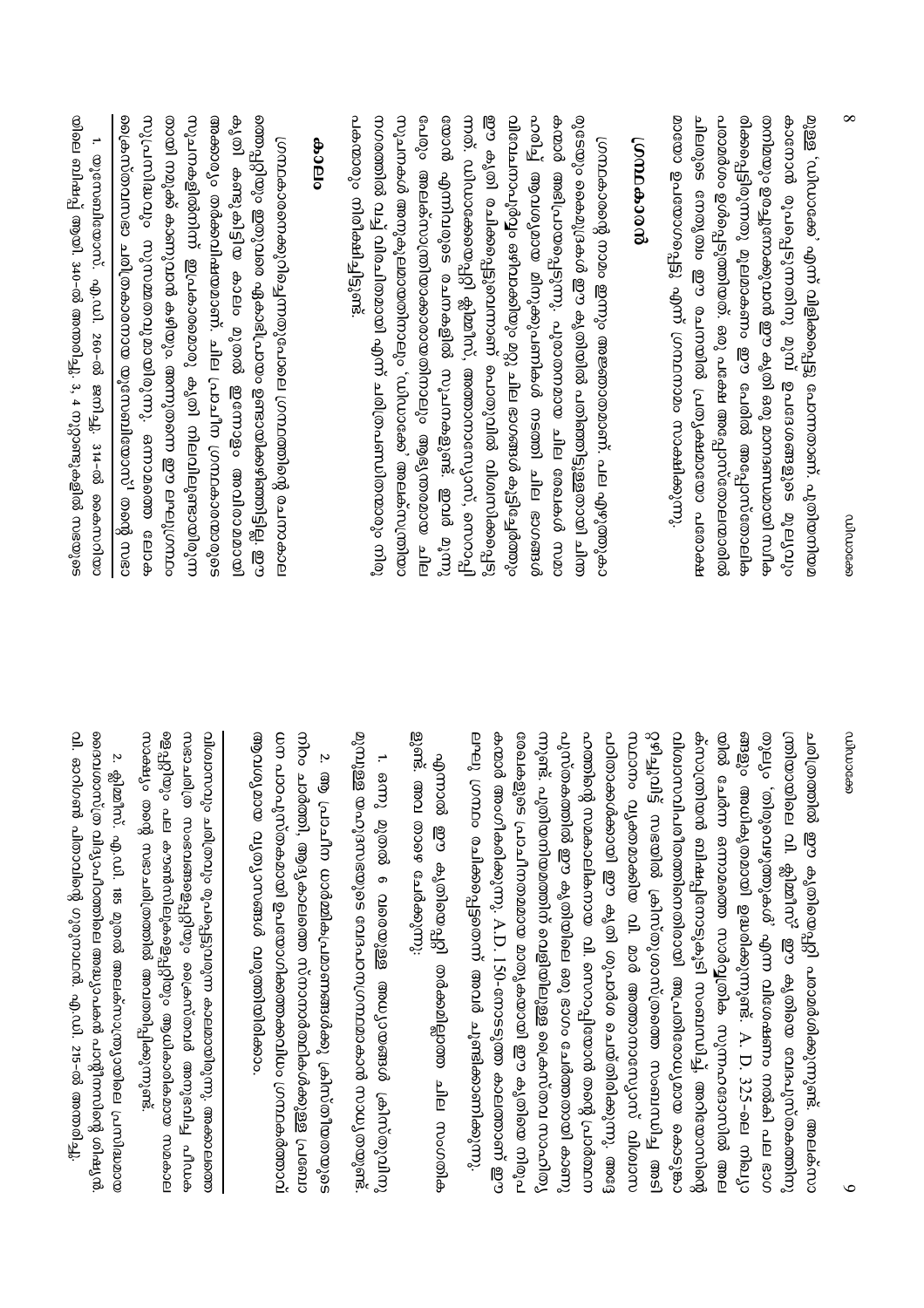| വി. ഓറിഗൺ പിതാവിന്റെ ഗുരുനാഥൻ. എ.ഡി. 215-ൽ അന്തരിച്ചു.          | ຣັຍໃ   |
|-----------------------------------------------------------------|--------|
| വൈശാസ്ത്ര വിദ്യാപീഠത്തിലെ അദ്ധ്യാപകൻ പാന്റീനസിന്റെ ശിഷ്യൻ.      | g      |
| 2. ക്ലിമ്മീസ്. എ.ഡി. 185 മുതൽ അലക്സാന്ത്യായിലെ പ്രസിദ്ധമായ      | ದಲ     |
| സാക്ഷ്യം തന്റെ സഭാചരിത്രത്തിൽ അവതരിപ്പിക്കുന്നുണ്ട്.            | မ<br>မ |
| <u>ിടെ ക്യൂയും പല കൗണ്ടിനുക്കുളപ്പുറ്റും അവകാരിക്കായ സാകോല</u>  | ğ      |
| സഭാചരിത്ര സാദേവങ്ങളെപ്പറ്റിയും ശ്രൈന്തവർ അനുഭവിച്ച പീഡക         | วั     |
| വിശ്ചാസവും ചരിത്രവും രൂപട്ടെടുവരുന്ന കാലമായിരുന്നു. അക്കാലത്തിന | ရေ     |

അവശിയായ വ്യതുവാങ്ങൾ വരുതിയിരിക്കാം ഗാത്തുക്ഷമായി ഉപയോകിരാത്തുക്കവിധം ഗ്രന്മകരത്തുവ നിറം ചാർത്തി, ആദ്യകാലത്തെ സ്നാനാർത്ഥികൾക്കുള്ള പ്രബോ 2. ആ പ്രാചീന ധാർമ്മികപ്രമാണങ്ങൾക്കു ക്രിസ്തീയതയുടെ ഉ്ധിള്ള യഹുദനാഭയുടെ വേദപഠസ്ഥനമാകാൻ സാധ്യത്ത് 1. ഒന്നു മുതൽ 6 വരെയുള്ള അധ്യായങ്ങൾ ക്രിസ്തുവിനു ളുണ്ട്. അവ താഴെ ചേർക്കുന്നു: എന്നാൽ ഈ ക്യതിക്കുതി നർക്കമില്ലാത്ത ചില സാഗതിക ലഘു ഗ്രന്ഥം രചിക്കപ്പെട്ടതെന്ന് അവർ ചൂണ്ടിക്കാണിക്കുന്നു. കന്മാർ അംഗീകരിക്കുന്നു. A.D. 150-നോടടുത്ത കാലത്താണ് ഈ ശ്വേകളുടെ പ്രാചീനതമായ മാതൃകയായി ഈ ക്യൂകിതയിന്റെ ന്നുണ്ട്. പുതിയനിയമത്തിന് വെളിയിലുള്ള പ്രൈകസ്തവ സാഹിത്യ പുസ്തകത്തിൽ ഈ ക്യുതിയിലെ ഒരു ഭാഗം ചേർത്തതായി കാണു. ഹത്തിന്റെ സാകാലികനായ വി. സെറാപ്പിയോൻ തന്റെ പ്രാർത്തവ പഠിതാക്കൾക്കായി ഈ കൃതി ശുപാർഗ ചെയ്തിരിക്കുന്നു. അദ്ദേ ന്ഥാനം വ്യക്തമാക്കിയ വി. മാർ അത്താനാസേ്യാസ് വിശ്വാസ റ്റഴിച്ചുവിട്ട് സഭയിൽ ക്രിസ്തുശാസ്ത്രയെ സംബന്ധിച്ച അടി പിശ്ചാസവിപരീതത്തിനെതി ആപ്രതിരേധപ്പതികോടുങ്കാ ക്സാന്ത്രിയൻ ബിഷപ്പിനോടുകൂടി സംബന്ധിച്ച്, അറിയോസിന്റെ യിൽ ചേർന്ന ഒന്നാമത്തെ സാർവ്വതിക സുന്നഹദോസിൽ അല ങ്ങളും അധികൃതമായി ഉദ്ധരിക്കുന്നുണ്ട്. A. D. 325-ലെ നിഖ്യാ യുട്ടും പ്രാത്തന്നെ അക്കാര് അന്ത്രം ശേക്രിയുമ്പോരുതിയി പുല്യ ന്ത്രിയായിലെ വി. ക്ലിമ്മീസ്<sup>2</sup> ഈ ക്യതിയെ വേദപുസ്തകത്തിനു ചരിത്രത്തിൽ ഈ കൃതിയെപ്പറ്റി പരാമർശിക്കുന്നുണ്ട്. അലക്സാ

യിലെ ബിഷപ്പ് ആയി. 340-ൽ അന്തരിച്ചു. 3, 4 നൂറ്റാണ്ടുകളിൽ സഭയ 1. യൂസേബിയോസ്. എ.ഡി. 260-ൽ ജനിച്ചു. 314-ൽ കൈസറ്

ക്രെസ്തവസഭാ ചരിത്രകാരനായ യൂസേബിയോസ്' തന്റെ ന സുപ്രസിദ്ധിയ സുസമ്മതവുമായിരുന്നു. ഒന്നാമത്തെ ലോ തായി നമുക്ക് കാണുവാൻ കഴിയും. അന്നുതന്നെ ഈ ലഘുഗ്രാ സൂചനകളിൽനിന്ന് ഇപ്രകാരമൊരു കൃതി നിലവിലുണ്ടായിര<br>' ത്തപ്പറ്റിയും ഇതുവരെ ഏകാഭിഗ്രായപ്പായിക്കഴിഞ്ഞിട്ടില്ല. ഈ അക്കാര്യം തർക്കവിഷയമാണ്. ചില പ്രാചീന ഗ്രന്ഥകാരന്മാരുടെ കൃതി കണ്ടുകിട്ടിയ കാലം മുതൽ ഇന്നോളം അവിരാമമായി ദക്കേന്ദ്രം ഉരിത്തുവായ ലംപ്പം ഗ്രന്ത്യന് പ്രാക്രന്തരേക്കേന്ന

#### ab OElo

ാത്രിയ്യവാക്പലഞ്ഞ് (ക്കാധ്വിധാ) പ്രാന്തിതയമ്പടുകുന്നത് രീകന്ഥപ്യന <u>േശ്യം അലക്സാന്ത്രിയാക്കാരായതിനാലും ആഭ്യന്തരമായ ചില</u> ന്നത്. ഡിഡാക്കേയെപ്പറ്റി ക്ലിമ്മീസ്, അത്താനാസോസ്, സെറാപ്പി ാത്ത്രമുള്ക മാതാം ലിച്ചും മറ്റു ചില ഭാഗങ്ങൾ കൂട്ടിച്ചേർത്തു ഹരിച്ച് അവശ്യമായ മിനുക്കുവണികൾ നടത്തി ചില ഭാഗങ്ങൾ കന്മാർ അഭിപ്രായപ്പെടുന്നു. പുരാതനമായ ചില രേഖകൾ സമാ രുഭടയും കൈവുക്കൾ ഈ കൃതിയിൽ പതിഞ്ഞിട്ടുള്ളതായി ചിന്ത പകന്മാരും നിരീക്ഷിച്ചിട്ടുണ്ട്. നഗരത്തിൽ വച്ച് വിരചിതമായി എന്ന് ചരിത്രപണ്ഡിതന്മാരും നിര യോൻ എന്നിവരുടെ രചനകളിൽ സൂചനകളുണ്ട്. ഇവർ മൂന്നു ഈ കൃതി രചിക്കപ്പെട്ടുവെന്നാണ് പൊതുവിൽ വിശ്വസിക്കപ്പെട്ട ഗ്രന്ഥകാരത്രെ നാമാ ഇന്നും അജ്ഞാതമാണ്. പല എഴുത്തുകാ

### മ്പ്രാരക്കോ

ക്കാരുടെ യോമ്പ്രകൃതിയിൽ പ്രതാക്കാരുന്നില് പരാമ്യശാ ഉൾട്ടെടുത്തിയത്. ഒരു പക്ഷേ അപ്പോസ്തോലന്മാരിൽ രിക്കപ്പെട്ടിരുന്നതു മൂലമാകണം ഈ പേരിൽ അപ്പോസ്കോലിക തനിമയും ഉരച്ചുനോക്കുവാൻ ഈ ക്യതി ഒരു മാനദണ്ഡമായി സ്ഥീക കാനോൻ രൂപപ്പെടുന്നതിനു മുമ്പ് ഉപദേശങ്ങളുടെ മൂല്യവും മായോ ഉപയോഗപ്പെട്ടു എന്ന് ഗ്രന്ഥനാമം സാക്ഷിക്കുന്നു. മുള്ള 'ഡിഡാക്കേ' എന്ന് വിളിക്കപ്പെട്ടു പോന്നതാണ്. പുതിയനിയമ

 $\infty$ 

ശാന്ധത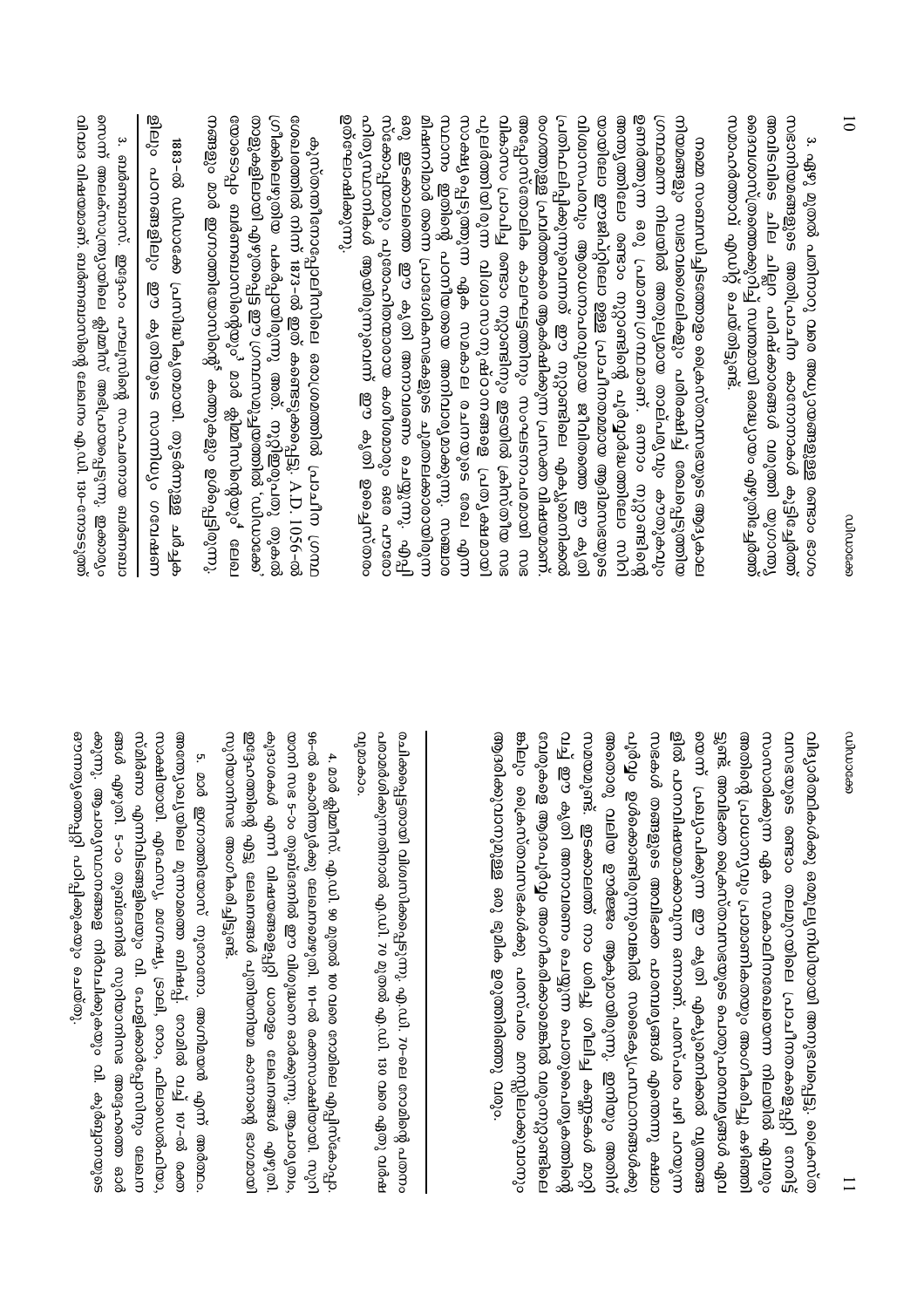| 3. ഏഴു മുതൽ പതിനാറു വരെ അധ്യായങ്ങളുള്ള രണ്ടാം ഭാഗം                                                                                                                                                                   | വിദ്യാർത്ഥികൾക്കു ഒരമൂല്യനിധിയായി അനുഭവപ്പെട്ടു. പ്രൈകസ്ത                                                                                                                                                                 |
|----------------------------------------------------------------------------------------------------------------------------------------------------------------------------------------------------------------------|---------------------------------------------------------------------------------------------------------------------------------------------------------------------------------------------------------------------------|
| നഭാനിയമങ്ങളുടെ അതിപ്രാപീന കാനോനാകൾ കൂട്ടിച്ചേർത്ത്<br>സമാഹർത്താവ് എഡിറ്റ് ചെയ്തിട്ടുണ്ട്.<br>ബൊശാസ്ത്രത്തെക്കുറിച്ച് സ്ഥതമായി ഒരദ്ധ്യായം എഴുതിച്ചേർത്ത്<br>anollsolls<br>ചില ചില്ലറ പരിഷ്ക്കാരങ്ങൾ വരുത്തി യുഗാന്ത്യ | ട്ടുണ്ട്. അവിഭക്ത ശ്രൈസ്തവസഭയുടെ പൊതുപാരമ്പര്യങ്ങൾ ഏവ<br>അതിന്റെ പ്രാധാന്യവും പ്രാമാണികതയും അംഗീകരിക്കു കഴിഞ്ഞി<br>സംസാർിക്കുന്ന ഏക സമകാലീനതോക്രമാന്ന നിലയിൽ ഏവരും<br>3്രന്ത്ര രണ്ടാം തലമുറയിലെ പ്രാപീനത്തിന്റെയും ദിത്രേ |
| നിയമങ്ങളും സഭാവരെപ്രികളും പരിരക്ഷിച്ച് ഭേര്പരുദ്രത്തിയ<br>നഞ്ചെ സംബന്ധിച്ചിടത്തോളം ശ്രൈകസ്തവസഭയുടെ ആദ്യകാല                                                                                                           | യെന്ന് പ്രഖ്യാപിക്കുന്ന ഈ കൃതി എക്യുമെനിക്കൽ വൃത്തങ്ങ<br>ളിൽ പഠനവിഷയമാക്കാവുന്ന ഒന്നാണ്. പരസ്പരം പഴി പറയുന്ന                                                                                                              |
| അന്ത്യങ്ങനെ രണ്ടാം നൂറ്റാണ്ടിന്റെ പൂർവ്വാർദ്ധത്തിലോ സിറി<br>ശനകൃത്തന നിലയിൽ അതുല്യൂമായ താല്പര്യവും കൗതുകവും<br>ഉണർത്തുന്ന ഒരു പ്രമാണധാന്മാണ്. ഒന്നാം നൂറ്റാണ്ടിന്റെ                                                  | പൂർവ്വം ഉൾക്കൊണ്ടിരുന്നുവെങ്കിൽ സക്ഷൈപ്രവന്ഥാനങ്ങൾക്കു<br>സഭകൾ തങ്ങളുടെ അവിഭക്ത പാരമ്പര്യങ്ങൾ എന്തെന്നു ക്ഷമാ                                                                                                             |
| പിശ്വാസപരവും ആരാധാപരവുമായ ജീവിതത്തെ ഈ കൃതി<br>യായിലോ ഇൗജിപ്റ്റിലോ ഉള്ള വാചിനതമാത ആദിമസഭയുടെ                                                                                                                          | സമയമുണ്ട്.<br>അതൊരു<br>വലിയ ഊർജ്ജം ആകുമായിരുന്നു. ഇനിയും അതിന്<br>ഇടക്കാലത്ത് നാം ധരിച്ചു ശീലിച്ച കണ്ണടകൾ മാറ്റി                                                                                                          |
| രംഗത്തുള്ള പ്രവർത്തകരെ ആകർഷിക്കുന്ന പ്രസക്ത വിഷയമാണ്.<br>തിഫതിപ്പിക്കുന്നുമെന്നത് ഈ നൂറ്റാണ്ടിലെ എക്യുമേനിക്കൽ                                                                                                       | ഭേക്ര്യമാ<br>മാ കൃതി അനാവരണം നസ്തുന്ന പെയുപതുകയിരെന്റ                                                                                                                                                                     |
| വികാസം പ്രാപിച്ച രണ്ടാം നുറ്റാണ്ടിനും ഇടയിൽ പ്രന്തന്ന യാഭ<br>അപ്പോസ്തോലിക കാലഘട്ടത്തിനും സംഘടനാപരമായി സഭ                                                                                                             | ങിലും പ്രൈന്തവസഭകൾക്കു പരസ്പരം മനസ്സിലാക്കുവാനും<br>ആദരിക്കുവാനുമുള്ള ഒരു ഭൂമിക ഉരുത്തിരിഞ്ഞു വരും.                                                                                                                       |
| ിയാമേക്കുത്രപാ ചിശ്ചാസാനുത്തിനെ അദ്വതുക്ഷമായി<br>മാനം ഇതിന്റെ പഠനീയതയെ അനിവാശ്യമാക്കുന്നു. സഞ്ചാര<br>ന്നിലെ പുര്യായുന്ന പുരകമാത് കുറിയുന്നു. അവ                                                                      |                                                                                                                                                                                                                           |
| ഒരു ഇടക്കാലത്തെ ഈ കൃതി അനാവരണം ചെയ്യുന്നു. എപ്പി<br>മിഷനറിമാർ തന്നെ പ്രാദേശികസഭകളുടെ ചുമതലക്കാരായിരുന്ന                                                                                                              | രചിക്കപ്പെട്ടതായി വിശ്വസിക്കപ്പെടുന്നു. എ.ഡി. 70-ലെ റോമിന്റെ പതനം                                                                                                                                                         |
| ഹിത്യസ്ഥാനികൾ ആയിരുന്നുവെന്ന് ഈ കൃതി ഉകെച്ചസ്തരം<br>ന്ദക്കാപ്പതാരും പുരോഹിതന്മാരായ കശീശമാരും ഒരേ പൗരോ<br>ഉത്ഘോഷിക്കുന്നു.                                                                                            | വുമാകാം.<br>പരാമർശിക്കുന്നതിനാൽ എ.ഡി. 70 മുതൽ എ.ഡി. 130 വരെ ഏതു വർഷ                                                                                                                                                       |
| ശേഖരത്തിൽ നിന്ന് 1873-ൽ ഇത് കണ്ടെടുക്കപ്പെട്ടു. A.D. 1056-ൽ<br>ഹന്യ നീഫാം തിത്തമാശമതാരിൽ പാചീന നേതിത്തുക                                                                                                             | 96-ൽ കൊരിന്ത്യർക്കു ലേഖനമെഴുതി. 101-ൽ രക്തസാക്ഷിയായി. സുറി<br>യാനി സഭ 5-ാം തുബ്ദേനിൽ ഈ വിശുദ്ധനെ ഓർക്കുന്നു. ആചാര്യത്വം,<br>4. മാർ ക്ലിമ്മീസ്. എ.ഡി. 90 മുതൽ 100 വരെ റോമിലെ എപ്പിസ്കോപ്പാ.                                |
| യോടെപ്പം ബർണബാസിന്റെയും മാർ ക്ലിമ്മീസിന്റെയും ലേഖ<br>യോസ്റ്റ്സ, യ്രിയയ്ട്രി സേവാഗി എ ട്രി <sup>ട്</sup> ഴയിക്ക് ത്രവ്വേള്ഘ് <b>ദ്</b> രയ<br>ശീക്കിലെഴുതിയ പകർപ്പായിരുന്നു അത്. നൂറ്റിഇരുപതു തുകൽ                     | ൭൶൷൹<br>ന്നുറിയാനിസഭ അംഗീകരിച്ചിട്ടുണ്ട്.<br>ഇദ്ദേഹത്തിന്റെ എട്ടു ലേഖനങ്ങൾ പുതിയനിയമ കാനോന്റെ ഭാഗമായവ<br>എന്നീ വിഷയങ്ങളെപ്പറ്റി ധാരാളം ലേഖനങ്ങൾ എഴുതി.                                                                    |
| നങ്ങളും മാർ ഇഗ്നാത്തിയോസിന്റെ് കത്തുകളും ഉൾപ്പെട്ടിരുന്നു.                                                                                                                                                           | 5. 200<br>ഇഗ്നാത്തിയോസ് നൂറോനോ. അഗ്നിമയൻ എന്ന് അർത്ഥം.                                                                                                                                                                    |
| ളിലും പഠനങ്ങളിലും ഈ കൃതിയുടെ സാന്നിയും ഗലേഷണ<br>1883-ൽ ഡിഡാക്കേ പ്രസിദ്ധീകൃതമായി. തുടർന്നുള്ള ചർച്ചക                                                                                                                 | സാക്ഷിയായി. എഫേസ്യ, മഗ്നേഷ്യ, ട്രാലി, റോം, ഫിലാഡെൽഫിയാ,<br>അന്ത്യോഖ്യയിലെ മൂന്നാമത്തെ ബിഷപ്പ്. റോമിൽ വച്ച് 107-ൽ രക്ത                                                                                                     |
| സെന്ന് അലക്സാന്ത്ര്യായിലെ ക്ലിമ്മീസ് അഭിപ്രായപ്പെടുന്നു. ഇക്കാര്യം<br>3. ബർണബാസ്. ഇദ്ദേഹം പൗലൂസിന്റെ സഹചരനായ ബർണബാ                                                                                                   | ക്കുന്നു. ആ<br>ങ്ങൾ എഴുതി. 5-ാം തുബ്ദേനിൽ സുറിയാനിസഭ അദ്ദേഹത്തെ ഓർ<br>സ്മീർണാ എന്നിവിടങ്ങളിലെയും വി. പോളിക്കാർപ്പോസിനും ലേഖന<br>ചാര്യസ്ഥാനങ്ങളെ നിർവചിക്കുകയും വി. കുർബ്ബാനയുടെ                                           |
| വിവാദ വിഷയമാണ്. ബർണബാസിന്റെ ലേഖനം എ.ഡി. 130-നോടടുത്ത്                                                                                                                                                                | ഔന്നത്യയെപ്പറ്റി പഠിപ്പിക്കുകയും ചെയ്തു.                                                                                                                                                                                  |

 $\equiv$ 

ശ്ചാന്നുക്ക

ക്കാധ്നത

 $\overline{0}$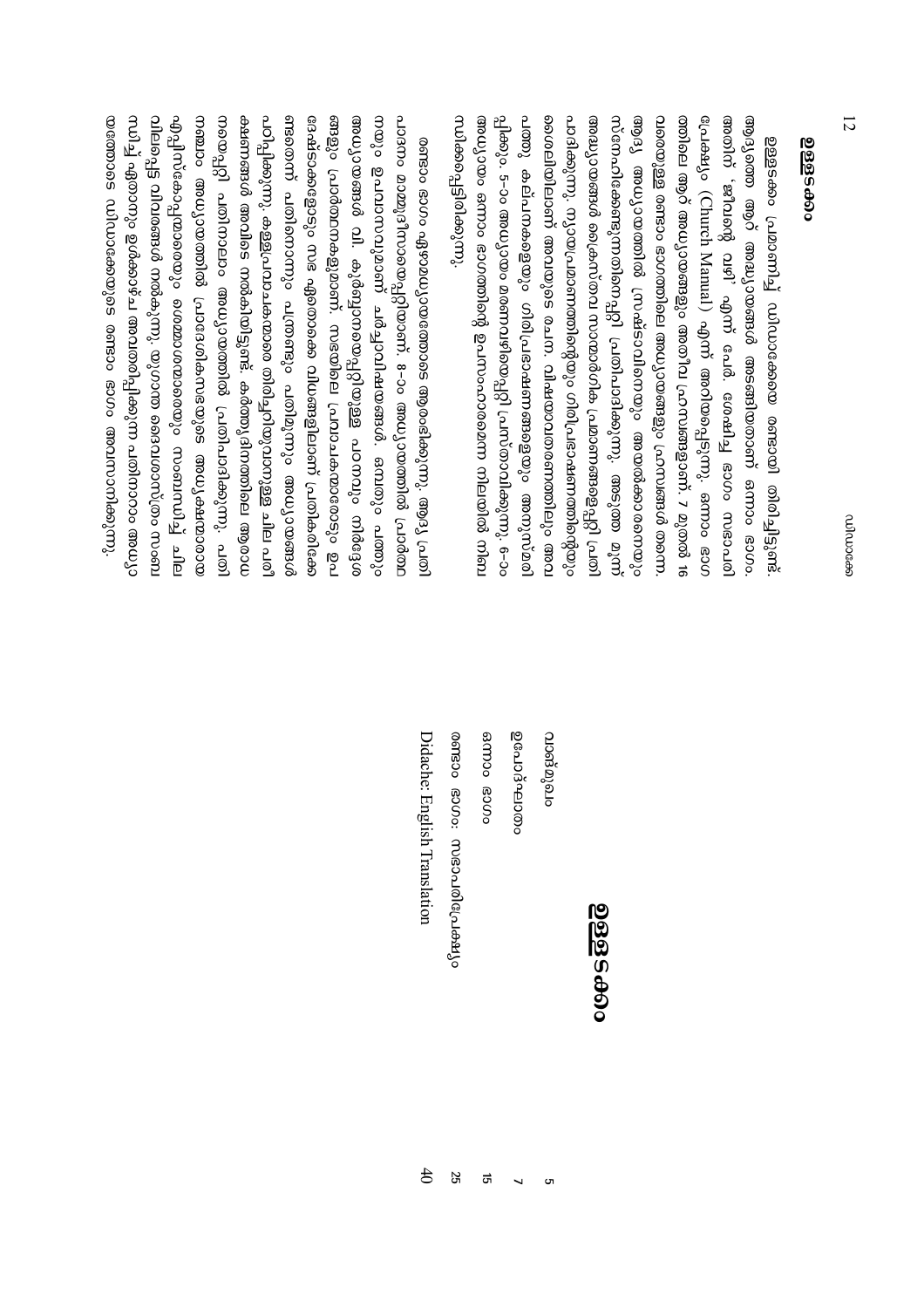ശാന്ധാക്ക

### <u> 2995600</u>

പാദിക്കുന്നു. ന്യായപ്രാണത്തിന്റെയും ഗിരിപ്രഭാഷണത്തിന്റെയും സ്നേഹിക്കേണ്ടുന്നതിനെപ്പറ്റി പ്രതിപാദിക്കുന്നു. അടുത്ത മൂന്ന് ന്ധിക്കപ്പെട്ടിരിക്കുന്നു. അധ്യായം ഒന്നാം ഭാഗത്തിന്റെ ഉപസംഹാരമെന്ന നിലയിൽ നിണ പ്പിക്കും. 5–ാം അധ്യായം മരണവഴിയെപ്പറ്റി പ്രസ്താവിക്കുന്നു. 6–ാം പത്തു കല്പനകളെയും ഗിരിപ്രഭാഷണങ്ങളെയും അനുസ്മര് രൈലിയിലാണ് അവയുടെ രചന. വിഷയാവതരണത്തിലും അവ അദ്ധ്യായങ്ങൾ പ്രൈസ്തവ സാന്മാർഗിക പ്രമാണങ്ങളെപ്പറ്റി പ്രതി ്യാദ്യ അതായായിൽ പ്രഷ്ടാവിനെന്നും അയാരാഗയും വരെത് പ്രദേശത്തിലെ അഗത്തിലും അധ്യായങ്ങളും പ്രാന്ധങ്ങൾ തന്നെ ത്തിലെ ആറ് അധ്യായങ്ങളും അതീവ ഫ്രസ്ഥങ്ങളാണ്. 7 മുതൽ 16 പ്രേക്ഷ്യം (Church Manual) എന്ന് അറിയപ്പെടുന്നു. ഒന്നാം ഭാഗ താവ്ന് 'ജീവന്റെ വഴി' എന്ന് പേർ. ശേഷിച്ച ഭാഗം സഭാപര് ആദ്യത്തെ ആറ് അദ്ധ്യായങ്ങൾ അടങ്ങിയതാണ് ഒന്നാം ഭാഗം <u>ഉള്ളടക്കം പ്രമാണിച്ച് ഡിഡാക്കേതെ രണ്ടായിട്ടുണ്ട്</u>

യായാക്കുന്നും ഭര്യയായിരുന്നു. തിത്തയാല് അന്ന യത്തോടെ ഡിഡാക്കേയുടെ രണ്ടാം ഭാഗം അവനാനിക്കുന്നു. സ്ഥാനം സെന്നിരുന്നു. അവതരിപ്പിക്കുത്തുന്ന പതിനാറാം അധു വിലപ്പെട്ട വിവരങ്ങൾ നൽകുന്നു. യുഗാന്ത ദൈവശാസ്ത്രം സംബ എപ്പിന്കോപ്പയാരെയാരാമാരാമാരെയും സംബന്ധിച്ച് ചില ത്രം . ന്നുക്രിവായത്തിൽ പ്രതിക്കുന്നു. പത് ക്ഷണങ്ങൾ അവിടെ നൽകിയിട്ടുണ്ട്. കർത്തൃദിനത്തിലെ ആരാധ പഠിക്കുന്നു. കള്ളപ്രവാകഥാകതാതെ തിരിച്ചറിയുവാനുള്ള ചില പരീ ണ്ടതെന്ന് പതിനൊന്നും പത്രണ്ടും പതിമൂന്നും അധ്യായങ്ങൾ കോക്കടേക്കും സഭ എതൊക്കെ വിധങ്ങളിലാണ് പ്രതികരിക്കേ ങ്ങളും പ്രാർത്ഥനകളുമാണ്. സഭയിലെ പ്രവാചകന്മാരോടും ഉപ അധുായങ്ങൾ വി. കുർബ്ബാനയെപ്പറ്റിയുള്ള പഠനവും നിർദ്ദേശ നയും ഉപവാനവുമാണ് ചർച്ചാവിഷയങ്ങൾ. ഒമ്പതും പത്തും പാദനം മാമ്മൂദീനായെപ്പറ്റിയാണ്. 8-ാം അധ്യായത്തിൽ പ്രാർത്ഥ രണ്ടാം ഭാഗം ഏഴാമധുയമയാടെ ആരംഭിക്കുന്നു. ആദ്യ പ്രത്

### <u> 2995600 0</u>

| വാങ്മുഖാ                      |
|-------------------------------|
|                               |
| മപോദ്ഘാതം                     |
|                               |
| once ocme                     |
| രണ്ടാം ഭാഗം: സഭാപരിപ്രേക്ഷ്യം |
| Didache: English Translation  |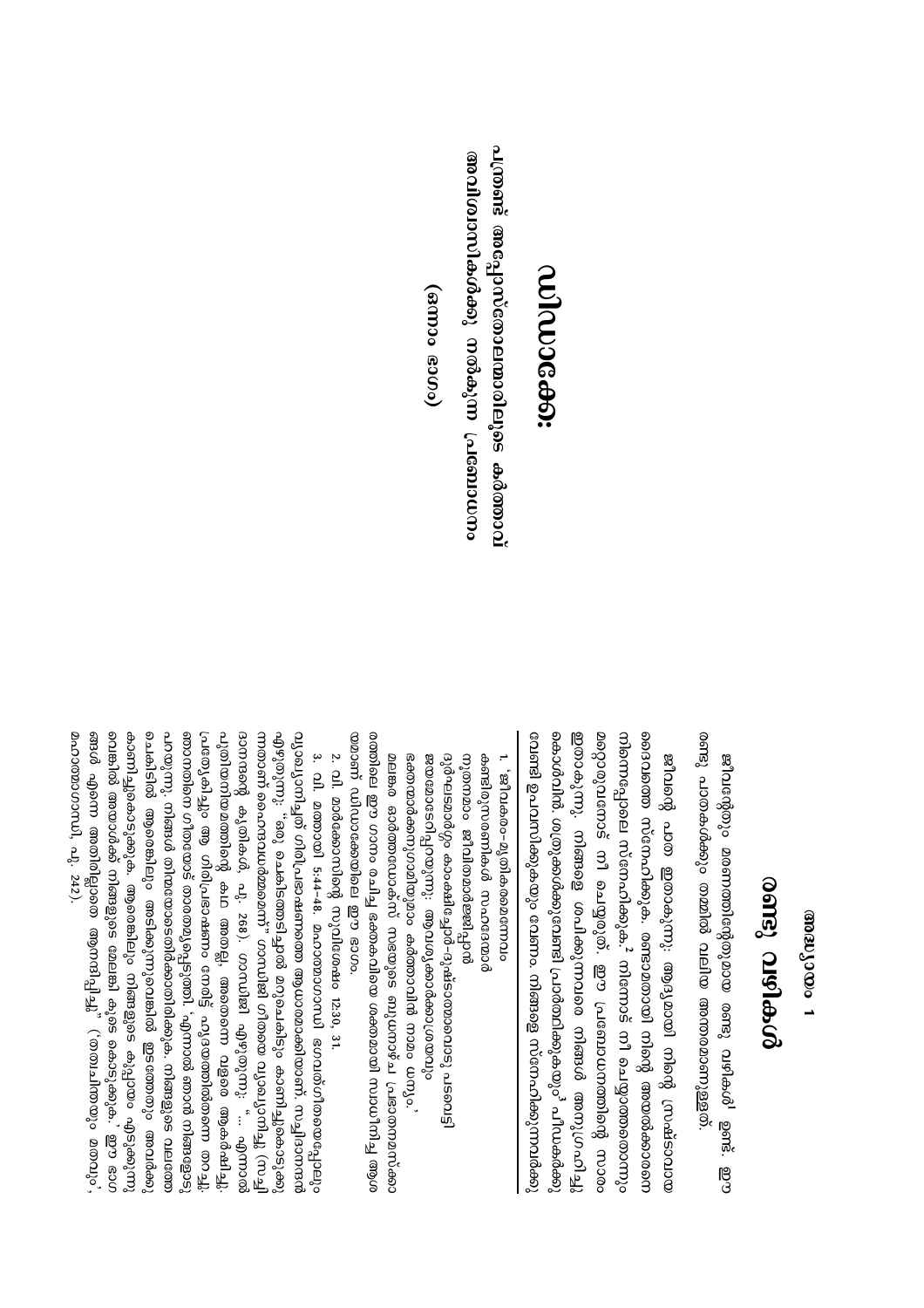### L OCOCYTEURE

## രണ്ടു വഴികൾ

രണ്ടു പാതകൾക്കും തമ്മിൽ വലിയ അന്തരമാണുള്ളത്. ജീവന്റേതും മരണത്തിന്റേതുമായ രണ്ടു വഴികൾ<sup>!</sup> ഉണ്ട്. ഈ

വേണ്ടി ഉപവസിക്കുകയും വേണം. നിങ്ങളെ സ്നേഹിക്കുന്നവർക്കു കൊൾവിൻ. ശത്രുക്കൾക്കുവേണ്ടി പ്രാർത്ഥിക്കുകയും പീഡകർക്കു ഇതാകുന്നു. നിങ്ങളെ ശപിക്കുന്നവരെ നിങ്ങൾ അനുഗ്രഹിച്ചു മറ്റൊരുവനോട് നീ ചെയ്യുത്. ഈ പ്രദേവാധനത്തിന്റെ സാരം നിന്നെപ്പോലെ സ്നേഹിക്കുക.' നിന്നോട് നീ ചെയ്യാത്തതൊന്നും ദൈവത്തെ സ്നേഹിക്കുക. രണ്ടാമതായി നിന്റെ അയൽക്കാരനെ ജീവന്റെ പാത ഇതാകുന്നു: ആദ്യമായി നിന്റെ ഗ്രാഷ്ടാവായ

യമാണ് ഡിഡാക്കേയിലെ ഈ ഭാഗം. യത്തിലെ ഈ ഗാനം രചിച്ച ഭക്തകവിയെ ശക്തമായി സ്ഥാധീനിച്ച ആശ ഭക്തന്മാർക്കനുഗാമിയുമാം കർത്താവിൻ നാമം ധന്യം.' മലങ്കര ഓർത്തഡോക്സ് സഭയുടെ ബുധനാഴ്ച പ്രഭാതനമസ്ക്കാ സേതാറാക്കാര്യ് അവശുകാർക്കാശ്രമാവും<br>പ്രാ ദുർഘടയാർഗ്ഗം കാംക്ഷിദേഹ്മാര്യയോവോടു, പടവെട്ടി സ്പ്<del>റി ബ്ര</del>ാമേതിവിയാർജ്ജിപ്പാൻ കണ്ടിരുന്നതണികൾ സഹദേന്മാർ ംഥന്തമരകിതൃമ--മകഥിജ' .

2. വി. മാർക്കോസിന്റെ സുവിശേഷം 12:30, 31.

മഹാത്മാഗാന്ധി, പു. 242). ങ്ങൾ എന്നെ അതിരില്ലാതെ ആരാജിച്ചു" ("തത്ഥിന്തയും മരവും പ മെങ്കിൽ അയാൾക്ക നിങ്ങളുടെ ലേലങ്കി കുടെ കൊടുക്കുക. ഈ ഭാഗ ചെകിടിൽ ആരെങ്കിലും അടിക്കുന്നുവെങ്കിൽ ഇടത്തേതും അവർക്കു പറയുന്നു. നിങ്ങൾ തിന്മയോടെതിർക്കാതിരിക്കുക. നിങ്ങളുടെ വലത്തേ ഞാന്നതിനെ ഗീതയോട് താരതമ്യുപ്പെടുത്തി. 'എന്നാൽ ഞാൻ നിങ്ങളോടുട പ്രത്യേ ന്നരത്തിന്തായ നേരു 2 ന്നാ കാഗ്ദയത്തിൽതന്നെ തുപ്പ പുതിയനിയമത്തിന്റെ കഥ അതല്ല, അതെന്നെ വളരെ ആകർഷിച്ചു ദാനന്ദന്റെ കൃതികൾ, പു. 268). ഗാന്ധിജി എഴുതുന്നു: "… എന്നാൽ ന്നതാണ് ഹൈന്ദവധർമ്മമെന്ന്" ഗാന്ധിജി ഗീതയെ വ്യാഖ്യാനിച്ചു (സച്ച് വ്യാഖ്യാനിച്ചത് ഗിരിപ്രദാഷണത്തെ ആധാരമാക്കിയാണ്. സച്ചിദാനന്ദൻ കാണിച്ചുകൊടുക്കുക. ആരെങ്കിലും നിങ്ങളുടെ കുപ്പായം എടുക്കുന്നു. എഴുതുന്നു: "ഒരു പേകിടത്തടിച്ചൽ മറുചെകിടും കാണിച്ചുകൊടുക്കു 3. വി. മത്തായി 5:44-48. മഹാത്മാഗാന്ധി ഭഗവത്ഗീതയെപ്പോലും

## wlwocas:

പന്ത്രണ്ട് അപ്പോസ്തോലന്മാരിലൂടെ കർത്താവ ംസ്ഥലോപ്പം നുക്കുന്നു. (ക്കപ്പോഡിഥാന

(ampo escoo)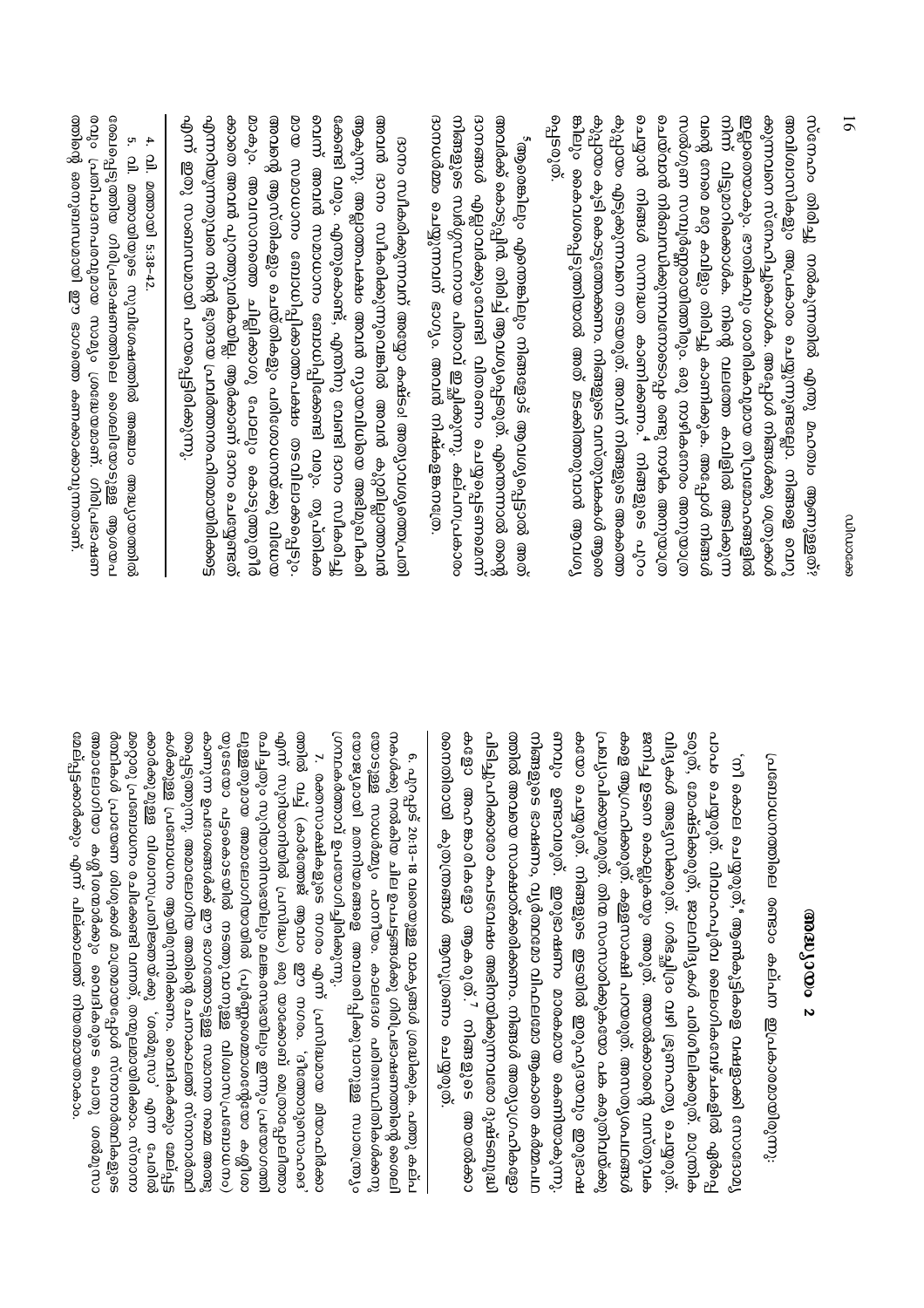| $\circ$ (ro $\circ$<br>ശോഡ് ആദ്രയോല്രാഷണത്തിലെ ചൈന്താട്ട് ഇതു പ്രത്യമാ<br>ത്തിന്റെ ഒരനുബന്ധമായി ഈ ഭാഗത്തെ കണക്കാക്കവുന്നതാണ്<br>ņ.<br>4.<br>$\bar{5}$<br>വി. മത്തായിയുടെ സുവിശേഷത്തിൽ അഞ്ചാം അദ്ധ്യായത്തിൽ<br>പ്രതിപാദനപരവുമായ സാമ്യം ശ്രദ്ധേയമാണ്.<br><b>200000000 5:38-42</b><br>നിരിപ്രദാകണ       |
|------------------------------------------------------------------------------------------------------------------------------------------------------------------------------------------------------------------------------------------------------------------------------------------------------|
| എന്നാതുന്നതുവരെ നിന്റെ ഭുതായ പ്രവർത്തനാരവിരിക്കളെ<br>ക്കാതെ അവൻ പുറത്തുവരികയില്ല. ആർക്കാണ് ദാനം ചെയ്യേണ്ടത്<br>എന്ന് ഇതു സംബന്ധമായി പറയപ്പെട്ടിരിക്കുന്നു.                                                                                                                                           |
| onmã<br>മാകും.<br>അവന്റെ ആസ്തികളും ചെയ്തികളും പരിശോധനയ്ക്കു വിധേയ<br><u>ാ്ട്രേക്ക്ലെന്നായ് കേപ്രത്താരകില്പ്രാധാം നാധാരാപ്പ</u><br>അവൻ സമാധാനം ബോധിപ്പിക്കേണ്ടി വരും. തൃപ്തികര<br>മ്പ്രസ്ത്രുട്ടാകര ംപ്രാഗം ശോക്രിപ്പിച്ചിർ ആരന്നവരാണ                                                                 |
| ക്കേണ്ടി വരും. എന്തുകൊണ്ട്, എന്തിനു വേണ്ടി ദാനം സ്വീകരിച്ചു<br>ആകുന്നു. അല്ലാത്തപക്ഷം അവൻ ന്യായവിധിയെ അഭിമുഖീകരി<br>അവൻ ദാനം സ്ഥീകരിക്കുന്നുവെങ്കിൽ അവൻ കുറ്റമില്ലാത്തവൻ<br>ദാനം സീകരിക്കുന്നവന് അയ്യോ കഷ്ടം! അത്യാവശ്യത്തെപ്രതി                                                                     |
| ദാനധർമ്മം ചെയ്യുന്നവന് ഭാഗ്യം. അവൻ നിഷ്കളങ്കനത്രേ<br>നിങ്ങളുടെ സ്ഥർഗ്ഗസനായ പിതാവ് ഇച്ഛിക്കുന്നു. കല്പനപ്രകാരം<br>അവർക്ക് കൊടുപ്പിൻ. തിരിച്ച് ആവശ്യപ്പെടരുത്. എന്തെന്നാൽ തന്റെ<br>ദാനങ്ങൾ എല്ലാവർക്കുംവേണ്ടി വിതരണം ചെയ്യപ്പെടണമെന്ന്<br>്ത്യാരങ്കിലും എന്തെങ്കിലും നിങ്ങളോട് അവശുപ്പെട്ടാൽ<br>ത്രത്ര |
| പ്പെടരുത്.<br>കുപ്പായം കൂടി കൊടുത്തേക്കണം. നിങ്ങളുടെ വസ്തുവകകൾ ആരെ<br>കുപ്പായം എടുക്കുന്നവനെ തടയരുത്. അവന് നിങ്ങളുടെ അകത്തെ<br>കിലും കൈവശപ്പെടുത്തിയാൽ അത് മടക്കിത്തരുവാൻ ആവശ്യ                                                                                                                      |
| ചെയ്യാൻ നിങ്ങൾ സന്നദ്ധത കാണിക്കണം. <sup>4</sup> നിങ്ങളുടെ പുറം<br>രുത്തന്ത്ര കിർണസ്ഥിക്കുന്നവനോടൊപ്പം രണ്ടു നാഴിക അനുയാത്ര<br>സൽഗുണ സമ്പൂർണ്ണരായിത്തീരും. ഒരു നാഴികനേരം അനുയാത്ര<br>വന്റെ നേരെ മറ്റേ കവിളും തിരിച്ചു കാണിക്കുക. അപ്പോൾ നിങ്ങൾ                                                        |
| നിന്ന് വിട്ടുമാറിക്കൊൾക. നിന്റെ വലത്തേ കവിളിൽ അടിക്കുന്ന<br>ഇല്ലാതെയാകും. ഭൗതികവും ശാരീരികവുമായ തീവ്രമോഹങ്ങളിൽ<br>ക്കുന്നവനെ സ്നേഹിച്ചുകൊൾക. അപ്പോൾ നിങ്ങൾക്കു ശത്രുക്കൾ                                                                                                                             |
| അവിഗ്നാസികളും അപ്രകാരം ചെയ്യുന്നുണ്ടല്ലോ. നിങ്ങളെ വെറു<br>സ്സേഹം തിരിച്ചു നൽകുന്നതിൽ എന്തു മഹത്വം ആണുള്ളത്?                                                                                                                                                                                          |

ലേപ്പട്ടക്കാർക്കും എന്ന് പില്ക്കാലത്ത് നിയതമായതാകാം. അമാലോഗിയാ കശ്ശീരക്കും ഡ്രൈവികരുടെ വെയു ശത്മൂനാ ർക്രികൾ പ്രായോസ ശിശുക്കൾ മാത്രമായപ്പോൾ സ്താനാർത്ഥികളുടെ മറ്റൊരു പ്രബോധനം രചിക്കേണ്ടി വന്നത്, തന്മൂലമായിരിക്കാം. സ്നാനാ ക്കുമുള്ള വിശ്വാസ്പതിയെയ്ക്കു 'ശത്മുന്നു മുദ്രിക്കുരിക കൾക്കുള്ള പ്രബോധനം ആയിരുന്നിരിക്കണം. വൈദികർക്കും മേല്പ്പെട്ട തപ്പെടുത്തുന്നു. അമാലോഗിയ അതിന്റെ രചനാകാലത്ത് സ്നാനാർത്ഥ കാണുന്ന ഉപദേശങ്ങൾക്ക് ഈ ഭാഗത്തോടുള്ള സമാനത നമ്മെ അതഭ്യ യുടേയോ പട്ടംകൊടയിൽ നടത്തുവാനുള്ള വിശ്വാസപ്പഞ്ചോധര വാള്തുമായ അതുവെടുന്നു. തിന്നുവിൽ (പൂർണ്ണംഗമാത്തുകളും) കശ്ശുദ്ധ രമാധാരായിയാനിയാണിയാളും മലങ്കരസഭയിലും ഇന്നും പ്രയോഗത്ത എന്ന് സുറിയാനിയിൽ പ്രസിദ്ധം) ഒരു യാക്കോബ് മെത്രാപ്പോലീത്താ ഞിൽ വച്ച് (കാർത്തേജ് ആവാം ഈ നഗരം. 'ദീത്തോദുസൊഹദെ 7. രക്തസാക്ഷികളുടെ നഗരം എന്ന് പ്രസിദ്ധമായ മിയാഫിർക്കാ

'ഡ്രാകർത്താവ് ഉപയോഗിച്ചിരിക്കുന്നു. തോയിയായി മതനിയമങ്ങളെ അവതരിപ്പിക്കുവാവുള്ള സായസ്ത്യം യോടുള്ള സാധർമ്മ്യം പഠനീയം. കാലദേശ പരിതഃസ്ഥിതികൾക്കനു നകശ്കു നൽകിയ ചില ഉപചട്ടങ്ങൾക്കു ഗിരിപ്രദാഷണത്തിന്റെ രെശലി േപുറപ്പാട് 20:13-18 വരെയുള്ള വാകൃങ്ങൾ ശ്രദ്ധിക്കുക. പത്തു കല്പ തന്തിരായി കുത്യന്തങ്ങൾ ആസൂത്രണം ചെയ്യുത് കളോ അഹങ്കാരികളോ ആകരുത്.' നിങ്ങളുടെ അയൽക്കാ <u>്ധ്യസം കുറിക്കാരോ കപടവേഷം അഭിനയിക്കുന്നവരോ ദുഷ്ടണുയ്യുന്</u> ത്തിൽ അവയെ സാക്ഷാത്ക്കരിക്കണം. നിങ്ങൾ അത്യാഗ്രഹികളോ നിങ്ങളുടെ ഭാഷണം, വൃർത്ഥമോ വിഫലമോ ആകാതെ കർമ്മപഥ ണവും ഉണ്ടാവരുത്. ഇരുഭാഷണം മാരകമായ കെണിയാകുന്നു കയോ ചെയ്യത്. നിങ്ങളുടെ ഇടയിൽ ഇരുഹൃദയവും ഇരുഭാഷ പ്രഖ്യാപിക്കയുത്. തിന്മ സംസാരിക്കുകയോ പക കരുതിവയ്ക്കു. കളെ ആഗ്രഹിക്കരുത്. കള്ളസാക്ഷി പറയരുത്. അസത്യശപഥങ്ങൾ ജനിച്ച ഉടനെ കൊല്ലുകയും അതുത്. അയൽക്കാരന്റെ വസ്തുവക വിദ്യകൾ അഭ്യസിക്കരുത്. ഗർഭച്ഛിദ്രം വഴി ഭ്രുണഹത്യ ചെയ്യരുത് ടരുത്, മോഷ്ടിക്കരുത്, ജാലവിദൃകൾ പരിശീലിക്കരുത്. മാന്ത്രിക പാപം ചെയ്യുത്. വിവാഹപൂർവ ലൈംഗികവേഴ്ചകളിൽ ഏർട്ടെ 'നീ കൊലാ ചെയ്യത്," അഞ്ഞിട്ടികളെ വഷളാക്കി നോദോമ്യമ  $\overline{5}$ 

controlasea

്ന്യത്രിയാത്തിലെ രണ്ടാം കല്പപ്പന ഇപ്രകാരമായിരുന്നു;

**anazujoco z**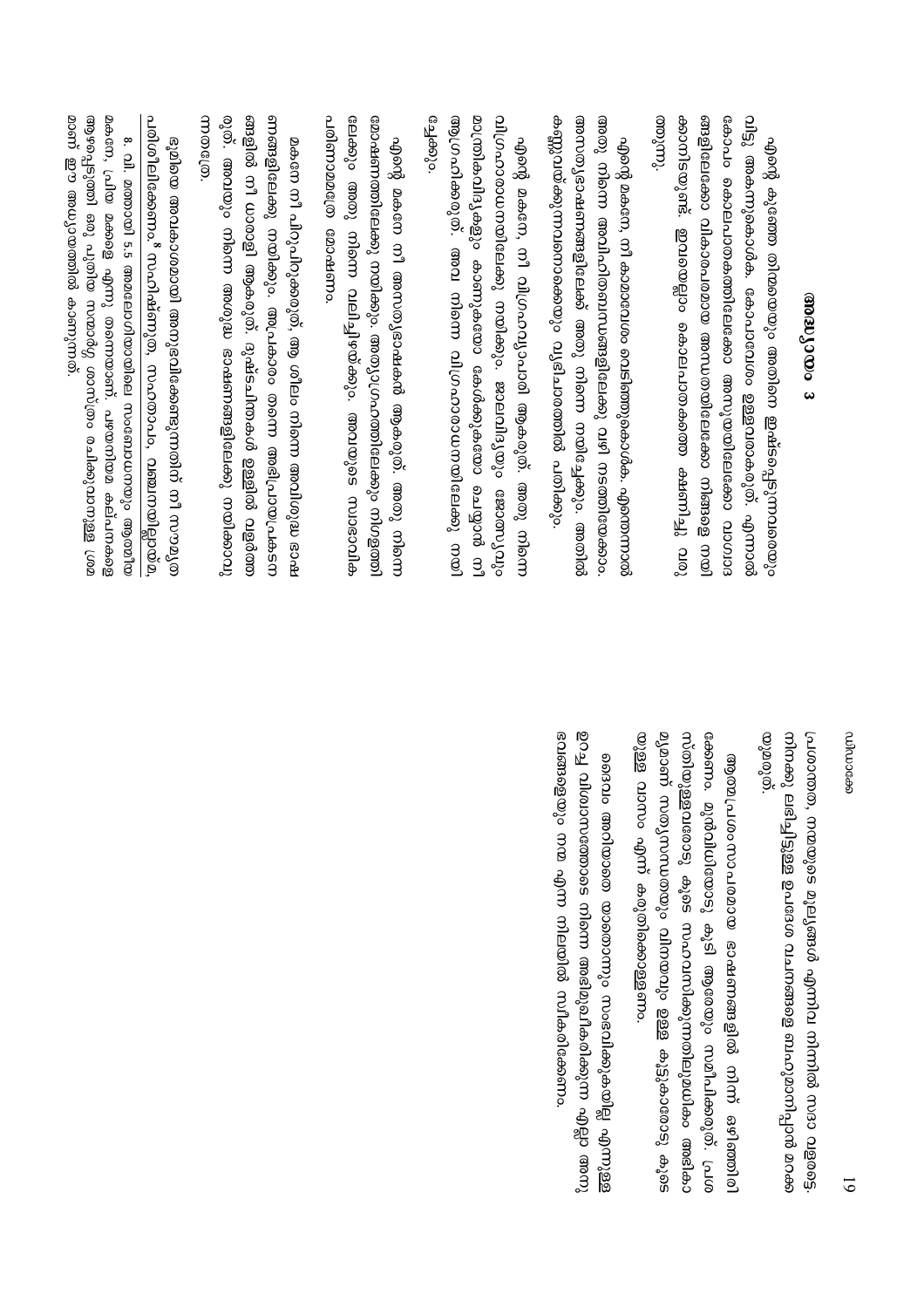$\mathbb{G}_{\text{c}}$   $\oplus$ പരിശീലിക്കേണം.<sup>8</sup> സഹിഷ്ണുത, സഹതാപം, വഞ്ചനയില്ലായ്മ<u>,</u> ണങ്ങളിലേക്കു നയിക്കും. അപ്രകാരം തന്നെ അഭിപ്രായപ്രകടന ലേക്കും അതു നിന്നെ വലിച്ചിഴയ്ക്കും. അവയുടെ സ്ഥഭാവിക കോപം കൊലപാത്രയുന്നുണ്ടാ അന്വുദയാക്കാ വാഗ്ദാദ വിട്ടു അകന്നുകൊൾക. കോപാവേശം ഉള്ളവരാകരുത്. എന്നാൽ മാണ് ഈ അധ്യായത്തിൽ കാണുന്നത് <u>തും ഉടുന്നുക്കി. പുതിയ സമാർഗു ശ്രാന്നു തിരു ശാവാനുള്ള ശ്ര</u> മകനേ, പ്രിയ മക്കളെ എന്നു തന്നെയാണ്. പഴയനിയമ കല്പനകളെ ത്രൂതന്ന രുത്. അവയും നിന്നെ അശുദ്ധ ഭാഷണങ്ങളിലേക്കു നയിക്കാവു ങ്ങളിൽ നീ ധാരാളി ആകരുത്. ദുഷ്ടചിന്തകൾ ഉള്ളിൽ വളർത്ത പരിണാമമത്രേ മോഷണം. മോഷണത്തിലേക്കു നയിക്കും. അത്യാഗ്രഹത്തിലേക്കും നിഗളത്ത് ആധ്രഹിക്കരുത്. അവ നിന്നെ വിഗ്രഹാരാധനയിലേക്കു നയി മാന്ത്രികവിദ്യകളും കാണുകയോ കേശക്കുകയോ ചെയ്യാൻ നീ വിഗ്രഹാരാധനയിലേക്കു നയിക്കും. ജാലവിദ്യയും ജോത്സ്യവും കണ്ണുവയ്ക്കുന്നവരെക്കരയും വ്യഭിചാരത്തിൽ പതിക്കും അസയ്യഭാഷണങ്ങളിലേക്ക് അതു നിന്നെ നയിച്ചേക്കും. അതിൽ അതു നിന്നെ അവിഹിതബന്ധങ്ങളിലേക്കു വഴി നടത്തിയേക്കാം യുന്നു ക്കാനിടയുണ്ട്. ഇവയെല്ലാം കൊലപാതകത്തെ ക്ഷണിച്ചു വരു ങ്ങളിലേക്കോ വികാശപരമായ അന്ധതയിലേക്കോ നിങ്ങളെ നയ് 8. വി. മത്തായി 5.5 അമലോഗിയായിലെ സംബോധനയും ആത്മീയ ഭൂമിയെ അവകാശമായി അനുഭവിക്കേണ്ടുന്നതിന് നീ സൗമ്യത മകനേ നീ പിറുപിറുക്കരുത്, ആ ശീലം നിന്നെ അവിശുദ്ധ ഭാഷ എന്റെ മകനേ നീ അസത്യഭാഷകൻ ആകരുത്. അതു നിന്നെ എന്റെ മകനേ, നീ കാമാവേശം വെടിഞ്ഞുകൊൾക. എന്തെന്നാൽ പുരെ കുഞ്ഞേ തിന്മയെയും അതിനെ ഇഷ്ടപ്പെടുന്നവരെയും എന്റെ മകനേ, നീ വിഗ്രഹവ്യാപാരി ആകരുത്. അതു നിന്നെ

ക്കാധ്യക്ക

c conclusors

തുമരുത നിനക്കു ലഭിച്ചിട്ടുള്ള ഉപദേശ വചനങ്ങളെ ബഹുമാനിപ്പാൻ മറക്ക പ്രശാന്തത, നന്മയുടെ മൂല്യങ്ങൾ എന്നിന് നിന്നിൽ സദാ വളരട്ടെ

യുള്ള വാസം എന്ന് കരുതിക്കൊള്ളണം. മ്യമാണ് സത്യസന്ധതയും വിനയവും ഉള്ള കൂട്ടുകാരോടു കൂടെ സ്തിയുള്ളവരോടു കൂടെ സഹവസിക്കുന്നതിലുമധികം അഭികാ ക്കേണം. മുൻവിധിയോടു കൂടി ആരേയും സമീപിക്കരുത്. പ്രശ ആത്മപ്രശംസാപരമായ ഭാഷണങ്ങളിൽ നിന്ന് ഒഴിഞ്ഞിരി

ഭവങ്ങളെയും നന്മ എന്ന നിലയിൽ സ്ഥീകരിക്കേണ്ട ഉറച്ച വിശ്വാസത്തോടെ നിന്നെ അഭിമുഖീകരിക്കുന്ന എല്ലാ അനു <u>ാ</u>ണ്ടാവ അറിയാതെ യാതൊന്നും സംഭവിക്കുകയില്ല എന്നുള്ള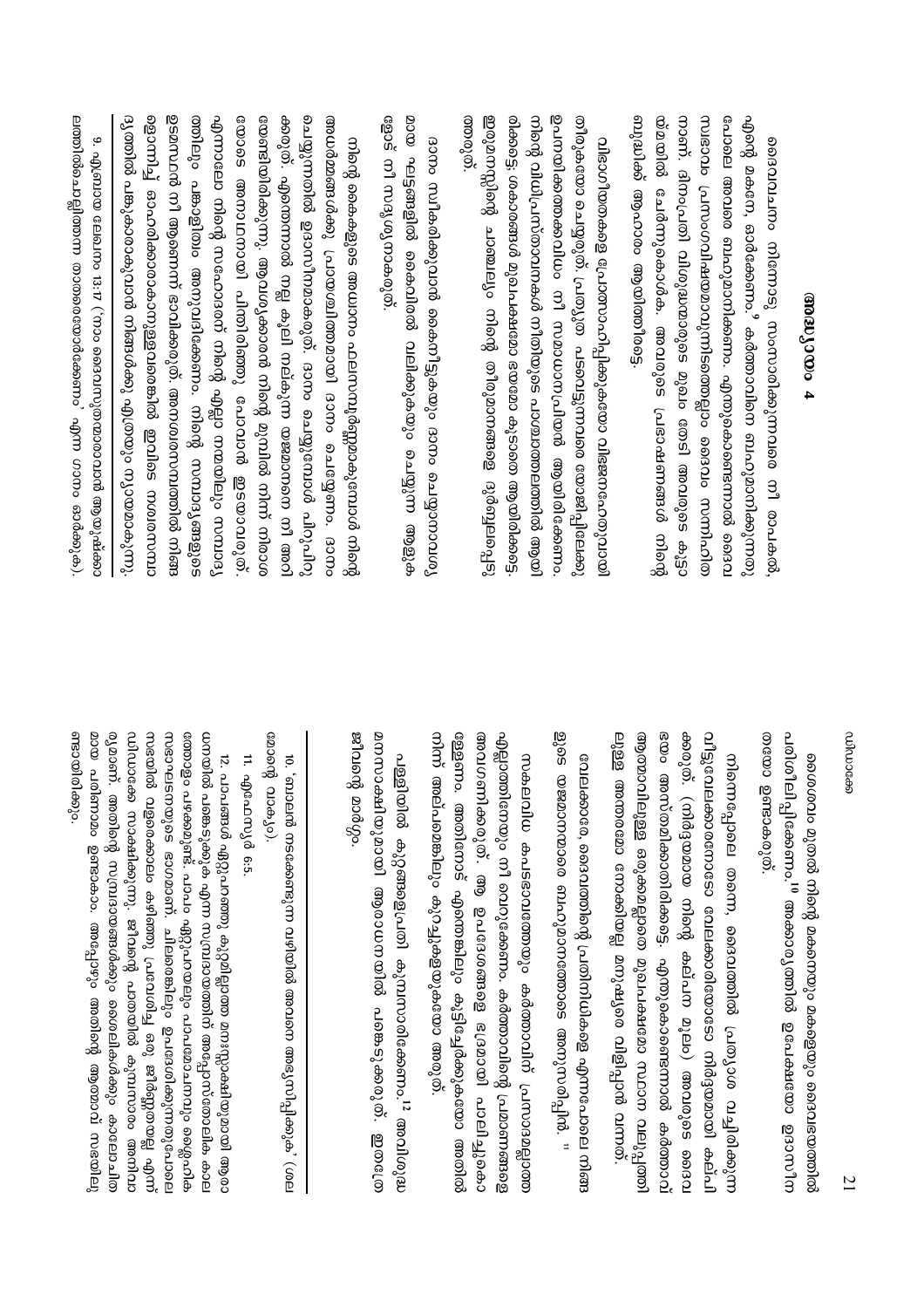<u> ലത്തിൽചാല്ലിത്തന്ന താതരയോർക്കേണം' എന്ന ഗാനം ഓർക്കുക,</u> മൊന്നിച്ച് ഓഹരിക്കാരാകാനുള്ളവരെകിൽ ഇവിടെ നശ്ചരനാമ്പാ ഉടമസ്ഥൻ നീ ആണെന്ന് ഭാവിക്കരുത്. അനശ്വരസമ്പത്തിൽ നിങ്ങ യേണ്ടിയിരിക്കുന്നു. ആവശ്യക്കാരൻ നിന്റെ മുമ്പിൽ നിന്ന് നിരാശ ക്കരുത്. എന്തെന്നാൽ നല്ല കൂലി നല്കുന്ന യജമാനനെ നീ അറ് ചെയ്യുന്നതിൽ ഉദാസീനമാകരുത്. ദാനം ചെയ്യുമ്പോൾ പിറുപിറ്റ മായ ഘട്ടങ്ങളിൽ കൈവിനൽ വലിക്കുകയും പ്യെസ്റ്റ് അളുക ദിക്കപ്പെട്ട്; ശകാരങ്ങൾ മുഖപക്ഷയോ ലയമേ കൂടാതെ ആയിരിക്കപ്പെട നിന്റെ വിധിപ്രസ്താവനകൾ നീതിയുടെ പാശ്ചാത്തലത്തിൽ ആയി ഉപനയിക്കത്തകവിധം നീ സമാധാവപ്രിയൻ ആയിരിക്കേണം തീരുകയോ ചെയ്യത്. പ്രത്യുത പടവെട്ടുന്നവരെ യോജിപ്പിലേക്കു ബുദ്ധിക്ക് ആഹാരം ആയിത്തീരുട്ട നാണ്. ദിനംപ്രതി വിശുദ്ധന്മാരുടെ മുഖം തേടി അവരുടെ കൂട്ടാ തിവ്രിന്ന വാരെ ംല്ലത്തരഭിന്നുശയേയപ്പിറസാന്ധ്വ പറാലന്ന പോലെ അവരെ ബഹുമാനിക്കണം. എന്തുകൊണ്ടെന്നാൽ ദൈവ ദ്യത്തിൽ പങ്കുകാരാകുവാൻ നിങ്ങൾക്കു എത്രയും ന്യായമാകുന്നു ത്തിലും പങ്കാളിത്വം അനുവദിക്കേണം. നിന്റെ സമ്പാദ്യങ്ങളുടെ എന്നാലോ നിന്റെ സഹോദരന് നിന്റെ എല്ലാ നന്മയിലും സമ്പാദു തോടെ അനാഥനായി പിന്തിരിഞ്ഞു പോവാൻ ഇടയോവരുത് അധർമ്മഞ്ജർക്കു പ്രായമ്പിത്തമായി ദാനം ചെയ്യേണം. ദാനം ളോട് നീ സദൃശുനാകരുത്. തുത്ത ഇരുന്നയുണ്ടുംൽ ചാഞ്ചലും നിലത്താനങ്ങളെ ദുർല്പലപ്പെടു യ്മയിൽ ചേർന്നുകൊൾക. അവരുടെ പ്രഭാഷണങ്ങൾ നിന്റെ എന്റെ മകനേ, ഓർക്കേണം.<sup>9</sup> കർത്താവിനെ ബഹുമാനിക്കുന്നതു 9. എബ്രായ ലേഖനം 13:17 ('നാം ദൈവസുതന്മാരാവാൻ ആയുഷ്ക്കാ ദാനാന്തല്ലക്കുവാർ കൈപ്പീട്ടുകയും ദാനം ചെയ്യാനാവശ്യ മാധിഭാഗീയയകളെ പ്രോത്സാഹിപ്പിക്കുകയോ വിഭജനശേഹതുവായി നിന്റെ കൈകളുടെ അധാനം ഫലസന്മൂർണ്ണമാകുന്നോൾ നിന്റെ മൈവചനം നിന്നോടു സംസാരിക്കുന്നവരെ നീ രാപകൽ ကေးထားကြမ်ားပွဲဝ രോണ്ട് വാക്യം). ജീവന്റെ മാർഗ്ഗം. മനസാക്ഷിയുമായി ആരാധനയിൽ പകെടുക്കരുത്. ഇതശ്രേ നിന്ന് അല്പമെങ്കിലും കുറച്ചുകളയുകയോ അരുത് അവഗണിക്കരുത്. ആ ഉപദേശങ്ങളെ ഭദ്രമായി പാലിച്ചുകൊ എല്ലാത്തിനേയും നീ വെറുക്കേണം. കർത്താവിന്റെ പ്രമാണങ്ങളെ ളുടെ യജമാനന്മാരെ ബഹുമാനത്തോടെ അനുസരിപ്പിൻ. " ളേളണം. അതിനോട് എന്തെങ്കിലും കൂട്ടിച്ചേർക്കുകയോ അതിത് 11. a gand mag 6.5. ്യം (ക്രിപ്പിന്നുദര്ത നവാത്ത തിയിയ ന്ന്ന് ന്യാക്കാരെ ബലവര് . ഗ പള്ളിയിൽ കുറ്റങ്ങളെപ്രതി കുമ്പസാരിക്കേണം.<sup>12</sup> അവിശുദ്ധ ന്ധകലവിധ കപടഭാവത്തേയും കർത്താവിന് പ്രസാദമല്ലാത്ത വേലക്കാരേ, ദൈവത്തിന്റെ പ്രതിനിധികളെ എന്നപോലെ നിങ്ങ

മായ പരിണാമം ഉണ്ടാകാം. അപ്പോഴും അതിന്റെ ആത്മാവ് സഭയില്യ ര്യമാണ്. അതിന്റെ സമ്പ്രദായങ്ങൾക്കും ശൈലികൾക്കും കാലോചിത ഡിഡാകേ സാക്ഷിക്കുന്നു. ജീവന്റെ പാതയിൽ കുമ്പന്നാരം അനിവാ ന്നഭയിൽ വളരെക്കാലം കഴിഞ്ഞു പ്രദവശിച്ച ഒരു ജീർണ്ണതയും എന്ന് സഭാഘടനയുടെ ഭാഗമാണ്. ചിലതെങ്കിലും ഉപദേശിക്കുന്നതുപോലെ ത്തോളം പഴക്കമുണ്ട്. പാപം ഏറ്റുപറയലും പാപമോചനവും ശൈഗ്ലഹിക <u>ധനയിൽ പകെടുക്കുക എന്ന സമ്പ്രായത്തിന് അപ്പോസ്തോലിക കാല</u> വ. പാപങ്ങൾ ഏറ്റുപറഞ്ഞു കുറ്റമില്ലാത്ത മനഃസ്സാക്ഷിയുമായി ആരാ meano porso ando. പരിശീലിപ്പിക്കേണം.<sup>10</sup> അക്കാര്യത്തിൽ ഉപേക്ഷയോ ഉദാസീന തിശ്നയായ മുതൽ നിന്റെ മകണയും മകളെയും വൈഭയത്തിൽ

 $\mathbf{v}$  case (asses)

അതലവിലുള്ള ഒരുക്കലുംതെ മുഖപക്ഷതോ സ്ഥാന വലുപ്പത്തി ഭയം അസ്തമിക്കാതിരിക്കട്ടെ. എന്തുകൊണ്ടെന്നാൽ കർത്താവ് ക്കരുത്. (നിർദ്ദയമായ നിന്റെ കല്പന മൂലം) അവരുടെ ദൈവ വീട്ടുവേലക്കാരനോടോ വേലക്കാരിയോടോ നിർദ്ദയമായി കല്പി നിനെപ്പോയെ തദെവത്തിൽ പ്രത്യാശ വച്ചിരിക്കുന്ന

ലുള്ള അന്തരേയോ നോക്കിയല്ല മനുഷ്യം വിളിപ്പാൻ വന്നത്.

ക്കാധ്യക്ക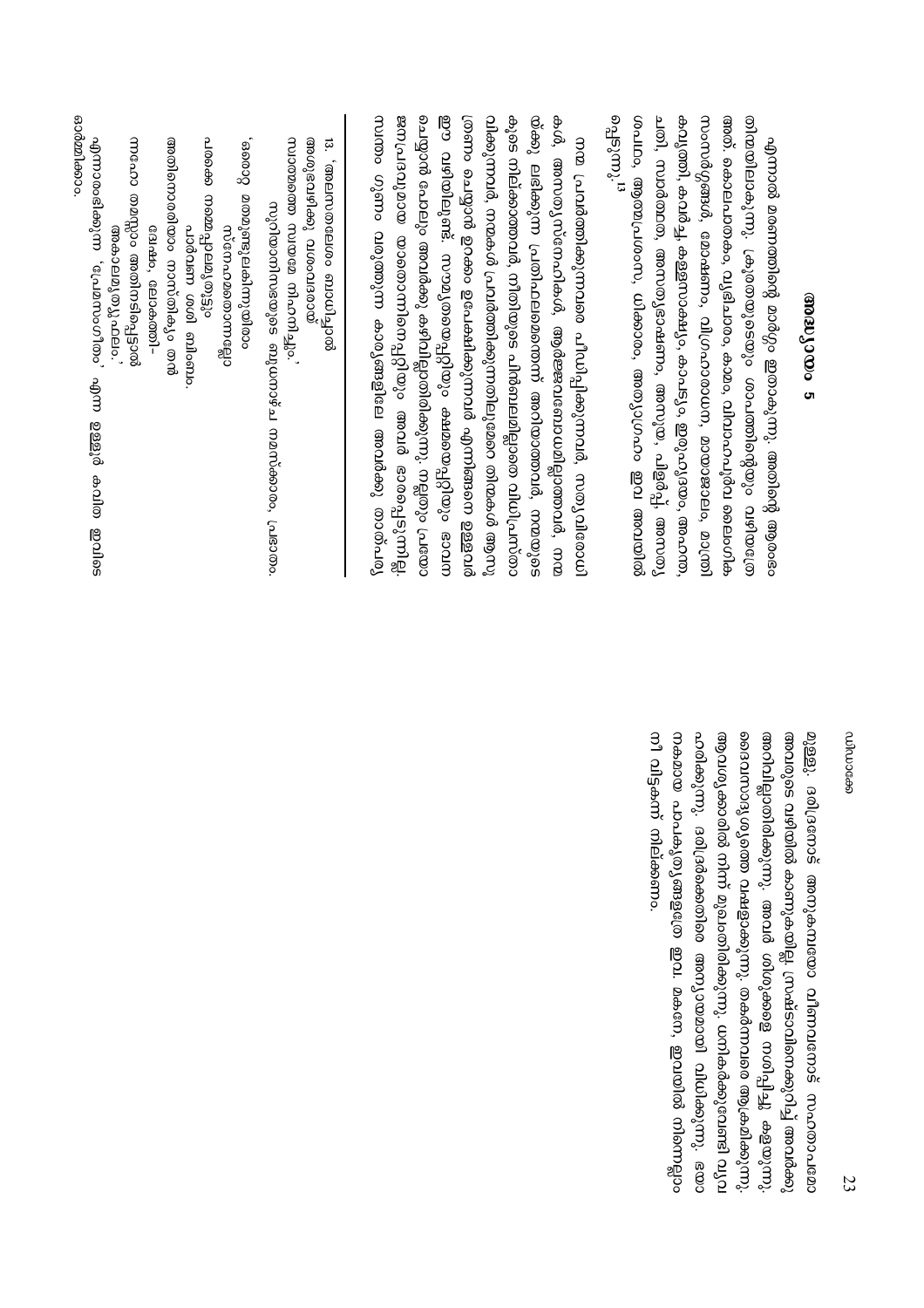| ഓർമ്മിക്കാം.<br>, <b>ം</b> യൂഗംഡമസിമ, ധിശ്രിഭാരാന്നിയ<br>എന്ന ഉള്ളൂർ കവിത ഇവിടെ                              |
|--------------------------------------------------------------------------------------------------------------|
| യാളിം തമസ്സാം അതിനടിപ്പെടാത്<br>അകാലമൃത്യുഫലം.'                                                              |
| അതിനൊരരിയാം നാസ്തിക്യം തൻ<br>ദേശ്ഥം, ലോകത്തി-                                                                |
| ്ട്രീയീണ്ടാപ്പ്രമേശന കരിക<br>പാർവണ ശശി ബിംബം.                                                                |
| $8c$ oves,<br>ാരമുണ്ടുലകിന്നുയിരാം<br>സ്നേഹമതൊന്നല്ലോ                                                        |
| സുറിയാനിസഭയുടെ ബുധനാഴ്ച നമസ്ക്കാരം, പ്രഭാതം.                                                                 |
| സാത്മത്തെ സ്വയമേ നിഹനിച്ചും.'<br>യാരാജനം തുട്ട വശംവദരാത                                                      |
| ίą.<br>ാമായായാണ്ട്.<br>ഗോനിച്ചാൽ                                                                             |
| സ്ഥാര ഗുണം വരുത്തുന്ന കാര്യങ്ങളിലേ അവർക്കു താത്പര്യ                                                          |
| ജനപ്രദ്ധുമായ യാതൊന്നില്പുറ്റിയും അവർ ഭാരംപ്പടുന്നില്ല.                                                       |
| ചെയ്യാൻ പോലും അവർക്കു കഴിവില്ലാതിരിക്കുന്നു. നല്ലതും പ്രയോ                                                   |
| ഈ വഴിയിലുണ്ട്. സൗമ്യതയെപ്പറ്റിയും ക്ഷമയെപ്പറ്റിയും ഭാവന                                                      |
| <u>ഗ്രാണം ചെയ്യാൻ ഉറക്കിക്കുന്നാൻ എന്നിങ്ങനെ ഉള്ളവർ</u>                                                      |
| വിക്കുന്നവർ, നന്മകൾ പ്രവർത്തിക്കുന്നതിലുമേറെ തിന്മകൾ ആസൂ                                                     |
| കൂടെ നില്ക്കാത്തവർ, നീതിയുടെ പിൻബലമില്ലാതെ വിധിപ്രസ്താ                                                       |
| യ്ക്കു ലഭിക്കുന്ന പ്രതിഫലമെന്തെന്ന് അറിയാത്തവർ, നന്മയുടെ                                                     |
| കൾ, അസത്യസ്നേഹികൾ, ആർജേവബോധമില്ലാത്തവർ, നന്മ                                                                 |
| നന്മ പ്രവർത്തിക്കുന്നവരെ പീഡിപ്പിക്കുന്നവർ, സത്യവിരോധി                                                       |
| ၈၅၂<br>၁၈၂ $\mathrm{S}_\mathrm{on} \mathrm{S}^{\,13}$                                                        |
| ശപഥം, ആത്മപ്രശംസ, ധിക്കാരം, അത്യാഗ്രഹം ഇവ അവയിൽ                                                              |
| ചതി, സ്ഥർത്ഥത, അസത്യഭാഷണം, അസൂയ, പിളർപ്പ്, അസത്യ<br>കവൃത്തി, കവർച്ച, കള്ളസാക്ഷ്യം, കാപട്യം, ഇരുഹൃദയം, അഹന്ത, |
| സംസർഗ്ഗങ്ങൾ, മോഷണം, വിഗ്രഹാരാധന, മായാജാലം, മാന്ത്രി                                                          |
| അത്. കൊലപാതകം, വൃഭിചാരം, കാമം, വിവാഹപൂർവ ലൈംഗിക                                                              |
| തിയേലാകുന്നു. കൂരതയുടെയും ശാപത്തിന്റെയുവ വഴിയത്രേ                                                            |
| എന്നാൽ മരണത്തിന്റെ മാർഗ്ഗം ഇതാകുന്നു. അതിന്റെ ആരംഭം                                                          |
| s confraces                                                                                                  |

### whousea

ആവശ്യക്കാരിൽ നിന്ന് മുഖംതിരിക്കുന്നു. ധനികർക്കുവേണ്ടി വ്യവ നീ വിട്ടകന്ന് നില്ക്കണം. നകമായ പാപകൃതുങ്ങളശ്രേ ഇവ. മകനേ, ഇവയിൽ നിന്നെല്ലാം ഹരിക്കുന്നു. ദരിദ്രർക്കെതിരെ അന്യായമായി വിധിക്കുന്നു. ഭയാ ദൈവസാദൃശ്യത്തെ വഷളാക്കുന്നു. തകർന്നവരെ ആക്രമിക്കുന്നു. അറിവില്ലാതിരിക്കുന്നു. അവർ ശിശുക്കളെ നശിപ്പിച്ചു കളയുന്നു. അവരുടെ വഴിയിൽ കാണുകയില്ല. സ്രഷ്ടാവിനെക്കുറിച്ച് അവർക്കു മുള്ളു. ദരിദ്രനോട് അനുകമ്പയോ വീണവനോട് സഹതാപമോ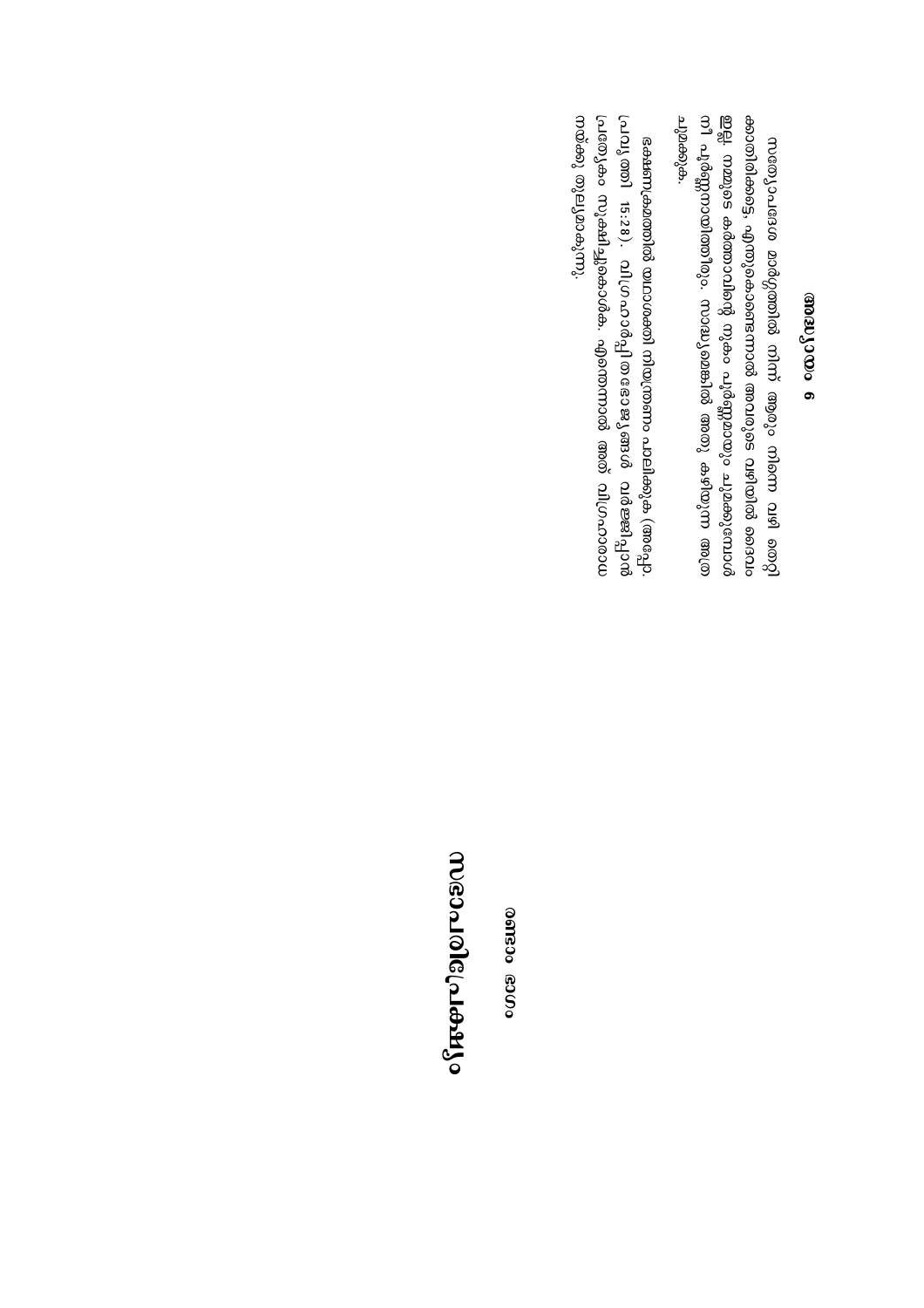### $9 \n<sub>0</sub>$   $\infty$ c $\int$  $\infty$ eve

നീ പൂർണ്ണനായിത്തീരും. സാദ്ധ്യമെങ്കിൽ അതു കഴിയുന്ന അത്ര ചുമക്കുക. ഇല്ല. നമ്മുടെ കർത്താവിന്റെ നുകം പൂർണ്ണമായും ചുമക്കുമ്പോൾ ക്കാതിരിക്കട്ടെ, എന്തുകൊണ്ടെന്നാൽ അവരുടെ വഴിയിൽ ദൈവം സത്യോപദേശ മാർഗ്ഗത്തിൽ നിന്ന് ആരും നിന്നെ വഴി തെറ്റി

നയ്ക്കു തുല്യമാകുന്നു. ന്ദ്രതുകാം സൂക്ഷിച്ചുകൊക്കേ. എന്തെന്നാൽ അത് വിഗ്രഹാരാധ സവ്യത്തി 15:28). വിഗ്രഹാർപ്പിതഭോജ്യങ്ങൾ വർജ്ജിപ്പാൻ ഭക്ഷണക്രമത്തിൽ യഥാശക്തി നിയന്ത്രണം പാലിക്കുക (അപ്പോ.

**OODS** ocalled

 $\alpha$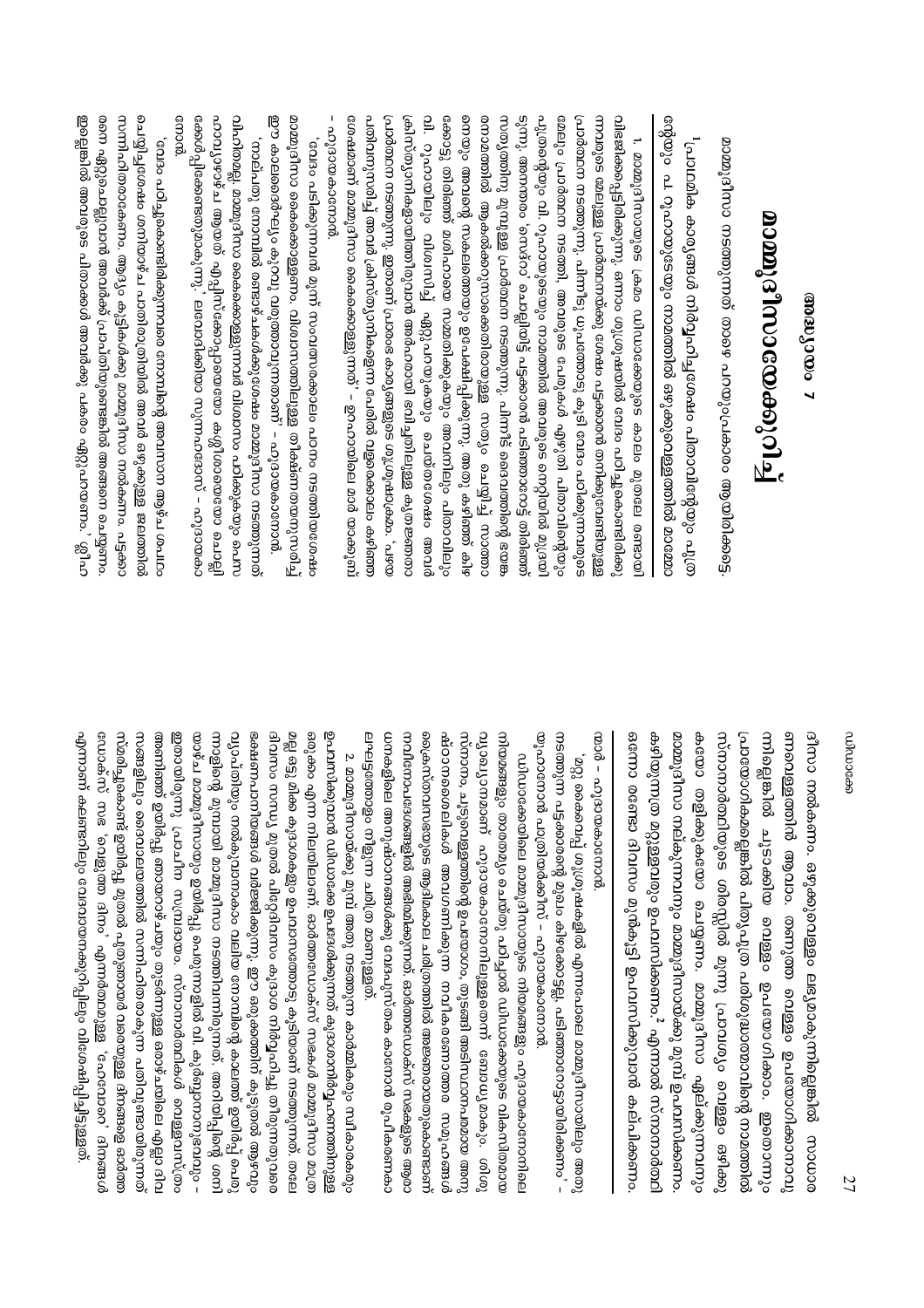2 ocoof areas

## <u> Angloe cosconferanca</u>

മ്മൂദീസാ നടത്തുന്നത് താഴെ പറയുംപ്രകാരം ആയിരിക്കട്ടെ

ന്ത്രോമ ബ. റൂഹായുടേയും നാമത്തിൽ ഒഴുക്കുതാള്ളത്തിൽ മാമോ "ഗ്രാഥ്രന് എന്നായി നിർവാപ്പുകളും പിതാവിന്റേണ്ടതും പുത്രവ

പുത്രംന്റെയും വി. റൂഹായുടെയും നാമത്തിൽ അവരുടെ നെറ്റിയിൽ മുദ്രയ് ശേഷമാണ് മാമ്മൂദീസാ കൈക്കൊള്ളുന്നത്' - ഉറഹായിലെ മാർ യാക്കൂബ് പതിയുന്നുന്നു പോര് ക്രിസ്ത്യാനിക്കളന്ന പേരിൽ വളരെക്കാലം കഴിഞ്ഞ പ്രാർത്ഥന നടത്തുന്നു. ഇതാണ് പ്രാരംഭ കാര്യങ്ങളുടെ ഗ്യുശ്രാഷാക്രമം. 'പഴയ കിസ്തുറനികളായിത്തീരുവാൻ അർഹരായി ഭവിച്ചതിലുള്ള കൃതജ്ഞതാ വി. റൂഹായിലും വിശ്വസിച്ച് ഏറ്റുപറയുകയും ചെയ്തശേഷം അവർ ക്കോട്ടു തിരിഞ്ഞ് മശിഹായെ സമ്മതിക്കുകയും അവനിലും പിതാവിലും നെയും അവന്റെ സകലത്തെയും ഉപേക്ഷിപ്പിക്കുന്നു. അതു കഴിഞ്ഞ് കിഴ ത്താമത്തിൽ ആകൽക്കുറുസാക്കെനിരായുള്ള സത്യം പെയ്യിച്ച് സാത്താ സത്യത്തിനു മുമ്പുള്ള പ്രാർത്ഥന നടത്തുന്നു. പിന്നീട് ദൈവത്തിന്റെ ഭയങ ടുന്നു. അനന്തരം സൊട്ടോ പാല്ലിയിട്ട് പട്ടക്കാരൻ പടിഞ്ഞാറോട് തിരിഞ്ഞു. ലേട്ട പ്രാർത്ഥന നടത്തി, അവരുടെ പേരുകൾ എഴുതി പിതാവിന്റെയും ഭര്യമന്ത്രിക്കവം പിന്നീടു ധുപത്തോടു കൂടി വേദം പഠിക്കുന്നവരുടെ ള്ള്യത്രിങ്ങമാര്യക്കിന്ന തംരാളും പ്രകാരാ (ക്രയ്നനത്തിന്റെ ഇപ്പേടമാ ഭര്യമന്ന വിഭജിക്കപ്പെട്ടിരിക്കുന്നു. ഒന്നാം ശുശ്രൂഷയിൽ വേദം പഠിച്ചുകൊണ്ടിരിക്കു ്നാന്തകാനോൻ. ് മായുദീസായുടെ ക്രമം ഡിഡാക്കോയുടെ കാലം മുതലേ രണ്ടായ

ഈ കാലക്കൈർ കുറവു വരുത്തവുന്നതാണ് - ഹൂദായകാനോൻ. മാമൂദീസാ കൈക്കൊള്ളണം. വിശ്വാസത്തിലുള്ള തീക്ഷ്ണതയനുസരിച്ച് ്ക്കായിരുത്തുന്ന പാറ്റം പ്രക്കാഗ്തഥാഗ്ന ന്നൂമ ബാന്ന്യക്കില്പം ലെറാ

പ്ലാംപം സോമ്പരാഗീസ് കോയാപ്പാകൊന്നിലുന്ന പത്യനായെയാ ചാട്ടി വിഹിതമല്ല. മാമ്മൂദീനാ കൈക്കൊള്ളുന്നവർ വിശ്വാസം പഠിക്കുകയും പെന **QUOCLUS** ക്കേൾപ്പിക്കേണ്ടതുമാകുന്നു.' ലവോദിക്കിയാ സുന്നഹദോസ് – ഹൂദായക: ്നെന്ന്ത്രേടന ഗ്നീദ്യന്മ്രേ പ്രകയായുക്കുകഥക്ക്ങരെ തിന്നന്താ ത്രഥ്വ്ലന്നെ '

ഇല്ലെങ്കിൽ അവരുടെ പിതാക്കൾ അവർക്കു പകരം ഏറ്റുപറയണം.' ശ്ലീഫ ാണ എറ്റുചൊല്ലുവാൻ അവർക്ക് പ്രാപ്തിയുണ്ടെങ്കിൽ അങ്ങനെ ചെയ്യാന സന്നിഹിതരാകേണം. ആദ്യം കുട്ടികൾക്കു മാമ്മൂദീസാ നൽകണം. പട്ടക്കാ ചെയ്യുപ്പമുത്തുന്ന ശനിരാഗ്രാതിരാത്രിയിൽ അവർ ഒഴുക്കുള്ള ജലത്തിന് വിക്ക പ്രദ്നേ നാഗ്നത്ത് തിരിനാന്ത മരുഗന്യരുകിരിട്ടിക്കുകളും പ്രവ

ക്കാധ്യക്ക

നില്ലെങ്കിൽ ചൂടാക്കിയ ഉപ്പോയാസ്രിക്കാം. ഇതൊന്നും ങന്നാ രണ്ടോ ദിവസം മുൻകൂട്ടി ഉപവസിക്കുവാൻ കല്പിക്കണം കഴിയുന്നത്ര മറ്റുള്ളവരും ഉപവസിക്കണം.' എന്നാൽ സ്നാനാർത്ഥി മാമൂദീസാ നല്കുന്നവനും മാമ്മൂദീസായ്ക്കു മുമ്പ് ഉപവസിക്കണം കയോ തളിക്കുകയോ ചെയ്യണം. മാമ്മൂദീസാ ഏല്ക്കുന്നവനും സ്നാനാർത്ഥിയുടെ ശിരസ്സിൽ മൂന്നു പ്രാവശ്യം വെള്ളം ഒഴിക്കു 'പായോഗികമല്ലെതിൽ പിത്യപാത്രിപാത്രമാവിന്റെ നാമത്തിൽ ണവെള്ളത്തിൻ ആവാം. തണുത്ത വെള്ളം ഉപയോഗിക്കാനാവു ദീസാ നൽകണം. ഒഴുക്കുവെള്ളം ലഭ്യമാകുന്നില്ലെങ്കിൽ സാധാര

മ്പാന്താകയാദ്യവം - 600

യൂഹാനോൻ പാത്രിയർക്കീസ് – ഹൂദായകാനോൻ. നടത്തുന്ന പട്ടക്കാരന്റെ മുഖം കിഴക്കോട്ടല്ല, പടിഞ്ഞാറോട്ടായിരിക്കണം' ത്രാത ംപ്രിയാഗ്നീ ഭൂത്രമേ ലരവംമന്നു തിളക്ഷം,രാഗ്രാ പ്ലവാകരെ റ്റ്രേ'

ലഘട്ടത്തോളം നീളുന്ന ചരിത്ര മാണുള്ളത്. ധനകളിലെ അനുഷ്ഠാനങ്ങൾക്കു വേദപുസ്തക കാനോൻ രൂപീകരണകാ നവീനോപദേശങ്ങളിൽ അഭിരമിക്കുന്നത്. ഓർത്തഡോക്സ് സഭകളുടെ ആരാ കികസ്തവസഭയുടെ ആദിമകാല ചരിത്രത്തിൽ അജ്ഞരായതുകൊണ്ടാണ് ഷ്ഠാനഭൈികൾ അവഗണിക്കുന്ന നവീകരണോത്തര സമൂഹങ്ങൾ സ്നാനം, ചൂടുവെള്ളത്തിന്റെ ഉപയോഗം, തുടങ്ങി അടിസ്ഥാനപരമായ അനു വ്യാഖ്യാനമാണ് ഹൂദായകാനോനിലുള്ളതെന്ന് ബോധ്യമാകും. ശിശു നിയമങ്ങളും താരതമും ചെയ്തു പഠിച്ചാൽ ഡിഡാക്കേയുടെ വികസിതമായ പിന്നാക്കോണിലെ മാമ്മൂദിസായുടെ നിയമങ്ങളും ഹുദായകാണാനിച്ച

എന്നാണ് കലണ്ടറിലും വേദവായനക്കുറിപ്പിലും വിശേഷിപ്പിച്ചിട്ടുള്ളത്. രംങ്ങനിട*്* റെഗോറഹ്ച് <u>ഒളുമേനത</u>്തന്നിം ' നിട ത്തുള്ഥര' ഭസ് നക്കധ്യാ സ്മരിച്ചുകൊണ്ട് ഉയ്ത്രീപ്പു മുതൽ പുതുഞായർ വരെയുള്ള ദിനങ്ങളെ ഓർത്തേ നങ്ങളിലും വൈാലയത്തിൽ സന്നിഹിതരാകുന്ന പതിവുണ്ടായിരുന്നത് അണിഞ്ഞ് ഉയിർപ്പു ഞായറാഴ്ചയും തുടർന്നുള്ള ഒരാഴ്ചയിലെ എല്ലാ ദിവ ഇതായിരുന്നു പ്രാചീന സമ്പ്രദായം. സ്നാനാർത്ഥികൾ വെള്ളവസ്ത്രം യാഴ്ച മാമ്മൂദീസായും ഉയിദ്ഗപ്പു പെരുന്നാളിൽ വി. കുർബ്ബാനുഭവവും – ന്നാളിന്റെ മുമ്പായി മാമ്മൂദീസാ നടത്തിവന്നിരുന്നത്. അറിയിപ്പിന്റെ ശന് വ്യാപ്തിയും നൽകുവാനാകാം വലിയ നോമ്പിന്റെ കാലത്ത് ഉയിർപ്പ് പെരു ഭക്ഷണപാനീയങ്ങൾ വർജ്ജിക്കുന്നു. ഈ ഒരുക്കത്തിന് കൂടുതൽ ആഴവും ദിവസം സന്ധ്യ യുത്ത് പിറ്റേറിവസം കുദാശ നിർച്ചപ്പു തന്ത്യവരാണ്ട്രി മല്ല ഒട്ടു മിക്ക കുദാശകളും ഉപവാസത്തോടു കുടിയാണ് നടത്തുന്നത്. തലേ ഒരുക്കം എന്ന നിലയിലാണ്. ഓർത്തഡോക്സ് സഭകൾ മാമ്മൂദീസാ മാത്ര <u>ഉം.</u>സ്ഥിക്കുവാൻ ഡിഡാകേ ഉപദേശിക്കുന്നത് കൂദാശാനിർവ്വഹണത്തിനുള്ള 2. മാമ്മൂദീസായ്ക്കു മുമ്പ് അതു നടത്തുന്ന കാർമ്മികരും സ്ഥകാരകരും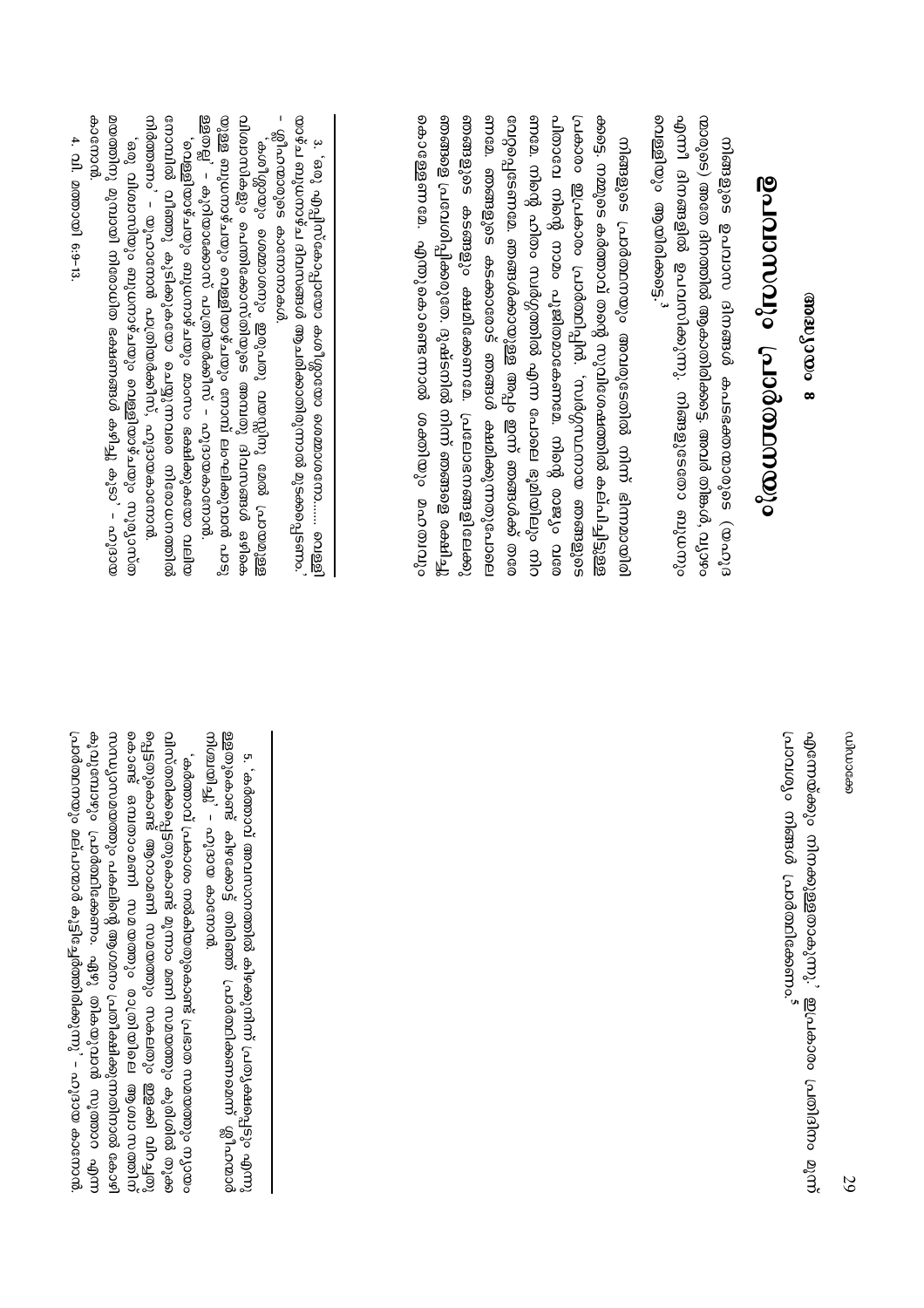ക്കാധ്യക്ക

8 COOC TREVE

# ്ത്രധായും പാർത്ഥനയും

വെള്ളിയും ആയിരിക്കട്ടെ.<sup>3</sup> എന്നീ ദിനങ്ങളിൽ ഉപവസിക്കുന്നു. നിങ്ങളുടേതോ ബുധനും ന്മാരുടെ) അതേ ദിനത്തിൽ ആകാതിരിക്കളെ. അവർ തിങ്കൾ, വ്യാഴം നിങ്ങളുടെ ഉപവാസ ദിനങ്ങൾ കപടക്കേന്മാരുടെ (യഹൂദ

കൊള്ളേണമേ. എന്തുകൊണ്ടെന്നാൽ ശക്തിയും മഹത്വവും ണമേ. നിന്റെ ഹിതം സർഗ്ഗത്തിൽ എന്ന പോലെ ഭൂമിയിലും നിറ പിതാനേ നിന്റെ നാമം പൂജിതമാകേണമേ. നിന്റെ രാജ്യം വരേ ഞ്ഞങ്ങളെ പ്രവേശിപ്പിക്കരുതേ. ദുഷ്ടനിൽ നിന്ന് ഞങ്ങളെ രക്ഷിച്ചു ഞങ്ങളുടെ കടങ്ങളും ക്ഷമിക്കേണമേ. പ്രലോഭനങ്ങളിലേക്കു ണമേ. ഞങ്ങളുടെ കടക്കാരോട് ഞങ്ങൾ ക്ഷമിക്കുന്നതുപോലെ വേറ്റപ്പെടേണമേ. ഞങ്ങൾക്കായുള്ള അപ്പം ഇന്ന് ഞങ്ങൾക്ക് തരേ ടര്യൂങ്ങതെ യാന്തന്യൻ നിർത്സി മാക്രപ്പുള് മാക്രപ്പ ക്കട്ടെ. നമ്മുടെ കർത്താവ് തന്റെ സുവിശേഷത്തിൽ കല്പിച്ചിട്ടുള്ള നിങ്ങളുടെ പ്രാർത്ഥനയും അവരുടേതിൽ നിന്ന് ഭിന്നമായിരി

3. 'ഒരു എപ്പിസ്കോപ്പായോ കശീശ്ശായോ ശെമ്മാശനേ...... വെള്ളി<br>-

യാഴ്ച ബുധനാഴ്ച ദിവസങ്ങൾ ആചരിക്കാതിരുന്നാൽ മുടക്കപ്പെടണം.

ശ്ശീഹന്മാരുടെ കാനോനാകൾ.

വിശ്വാസികളും പെന്തിക്കോസ്തിയുടെ അമ്പതു ദിവസങ്ങൾ ഒഴികെ <u>ട്ടേത്രതാവാം ചാരമാശനും ഇരുപതു വയന്റെ പായുട്ടേത്തുക്കു</u>

ള്ളതല്ല' – കുറിയാക്കോസ് പാത്രിയർക്കീസ് – ഹൂദായകാനോൻ. യുള്ള ബുധനാഴ്ചയും വെള്ളിയാഴ്ചയും നോമ്പ് ലംഘിക്കുവാൻ പാട്ടു

നിർത്തണം' – യൂഹാനോൻ പാത്രിയർക്കീസ്, ഹൂദായകാനോൻ. ബോമ്പിൽ വീഞ്ഞു കുടിക്കുകയോ ചെയ്യുന്നവരെ നിരോധനത്തിൽ ്യിലെ മാഴുകൃരകികളെ ംഗ്നംമേ ംഗ്രൂപ്രദ്ധസ്യൻ ംഗ്രൂപ്രദ്യേള്ളഥര് .

മായത്തിനു മുമ്പായി നിരോധിത ഭക്ഷണങ്ങൾ കഴിച്ചു കൂടാ' – ഹൂദായ

മാനോക

4. വി. മത്തായി 6:9-13

hodomovo pei hora (mando a)§le alegioniolabin)′ - ഹുദായ കാനോസ് കൂവുമ്പോഴും പ്രാർത്ഥിക്കേണം. ഏഴു തികയുവാൻ സൂത്താറ എന്ന സന്ധ്യാനായത്തും പകലിന്റെ അഗാമാരി ന്തീകില്പ് നാത്രിക്കുന്നതിന്നത് കൊണ്ട് ഒമ്പതാംമണി സമയത്തും രാത്രിയിലെ ആശ്വാസത്തിന് പ്പെട്ടതുകൊണ്ട് ആറാംമണി സമയത്തും സകലതും ഇളക്കി വിറച്ചതു വിസ്തരിക്കപ്പെട്ടതുകൊണ്ട് മുന്നാം മണി സമയത്തും കുരിശിൽ തൂക്ക

ത്ന്നലുന്ന ന്യപ്പിള്ളുന്നു നിയപ്പിള്ളിയായിനു നിയിാസിന്ന തുര്

'ംന്നുക്കിവത്തവം' രാങ്ങന്ന രൂഡനാ എന്നേയ്ക്കും നിനക്കുള്ളതാകുന്നു.' ഇപ്രകാരം പ്രതിദിനം മൂന്ന്

നിശ്ചയിച്ചു' – ഹൂദായ കാനോൻ. ള്ളതുകൊണ്ട് കിഴക്കോട്ട് തിരിഞ്ഞ് പ്രാർത്ഥിക്കണമെന്ന് ശ്ലീഫന്മാർ s. 'കർത്താവ് അവസാനത്തിൽ കിഴക്കുനിന്ന് പ്രചത്യപ്പടും എന്നു<br>ഇന്ത്യന്റെ പ്ര

്താഗ്ര ംത്ത്രയമ്പോ താലം) ഉണ്ടാകര്ത്രയിക്കുന്ന ംയാക്ക്വ് ഗാത്തുക്

29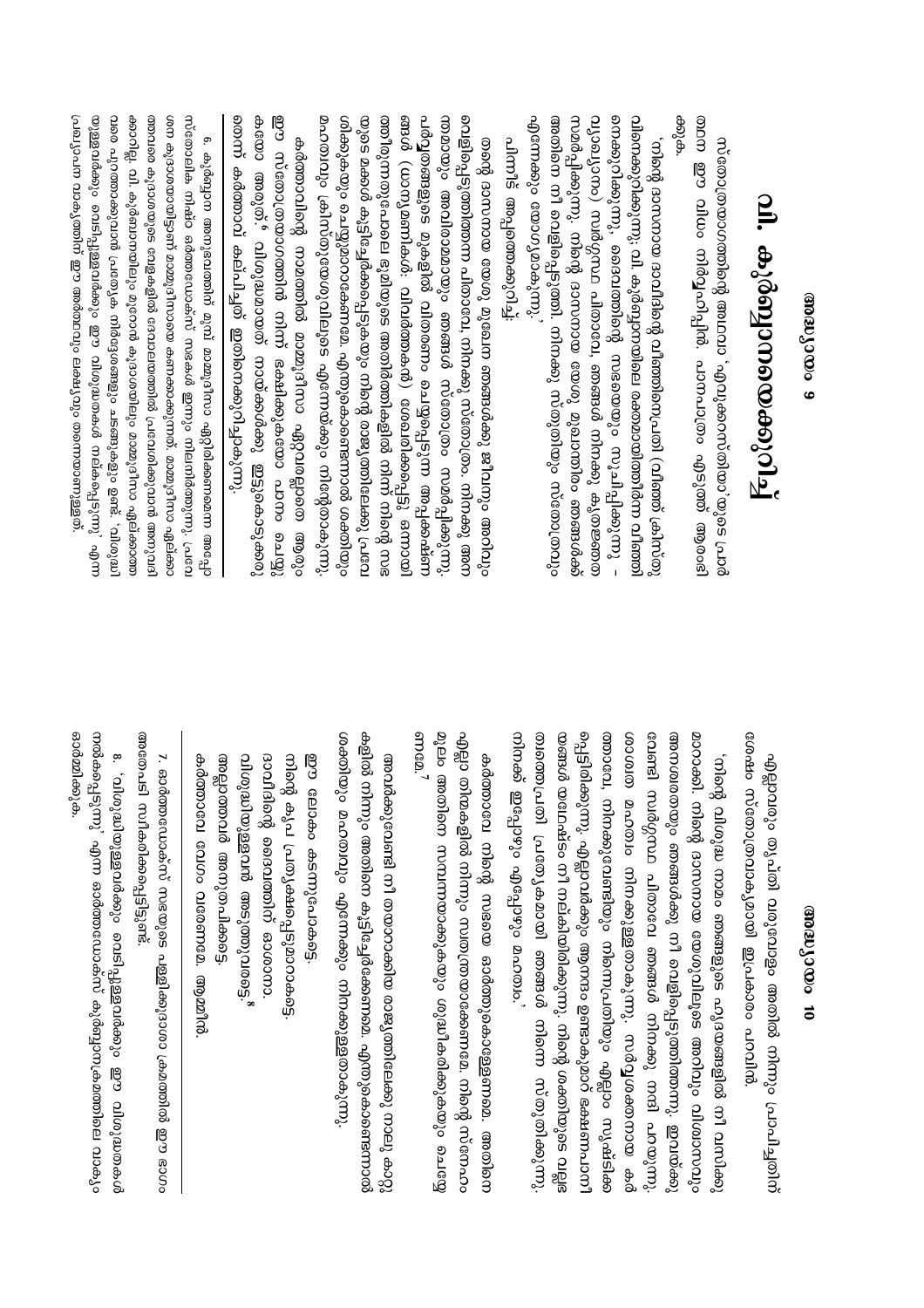പർച്ചതങ്ങളുടെ മുകളിൽ വിതരതിഥ ചെയ്യപ്പെടുന്ന അപ്പക്കക്ഷണ , തള്ളന്നുവോക്യ യോ അർത്ഥവും ലക്ഷ്യവും തന്നെയാണുള്ളത്. യുള്ളവർക്കും വെടിപ്പുള്ളവർക്കും ഈ വിശുദ്ധതകൾ നല്കപ്പെടുന്നു' എന്ന വരെ പുറത്താക്കുവാൻ പ്രദതുക നിർദേശങ്ങളും ചടങ്ങുകളും ഉണ്ട്. 'വിശുദ്ധ' ക്കാറില്ല. വി. കുർബാനയിലും മൂറോൻ കുദാശയിലും മാമ്മൂദീസാ ഏല്ക്കാത്ത ണ്യനത്ത നഗ്യാഗികിരുന്നു. തിരുതയലാവാളെ തിളകളഥാ 2രുത്താലുക മഖാത്ത ശന കുദാശയായിട്ടാണ് മാമ്മൂദീസായെ കണക്കാക്കുന്നത്. മാമ്മൂദീസാ ഏല്ക്കാ സ്തോലിക നിഷ്ഠ ഒർത്തഡോക്സ് സഭകൾ ഇന്നും നിലനിർത്തുന്നു. പ്രദേ തെന്ന് കർത്താവ് കല്പിച്ചത് ഇതിനെക്കുറിച്ചാകുന്നു. മഹത്വവും ക്രിസ്തുയേശുവിലൂടെ എന്നേയ്ക്കും നിന്റേതാകുന്നു ശിക്കുകയും ചെയ്യുമാറാകേണ്ടത്. എന്തുകൊണ്ടെന്നാൽ ശക്തിയും യുടെ മക്കൾ കൂട്ടിച്ചേർക്കപ്പെടുകയും നിന്റെ രാജ്യത്തിലേക്കു പ്രവേ ങ്ങൾ (ധാന്യമണികൾ: വിവർത്തകൻ) ശേഖരിക്കപ്പെട്ടു ഒന്നായി ത്തമായും അവിരാമമായും ഞങ്ങൾ സ്തോത്രം സമർപ്പിക്കുന്നു വെളിപ്പെടുത്തിത്തന്ന പിതാവേ, നിനക്കു സ്തോഗ്രാം. നിനക്കു അന എന്നേക്കും യോഗ്യമാകുന്നു.' അതിനെ നീ വെളിപ്പെടുത്തി. നിനക്കു സ്തുതിയും സ്തോഗ്രവും സമർപ്പിക്കുന്നു. നിന്റെ ദാസനായ യേശു മുഖാന്തിരം ഞങ്ങൾക്ക് വ്യാഖ്യാന) സ്ഥർഗ്ഗസ്ഥ പിതാവേ, ഞങ്ങൾ നിനക്കു കൃതജ്ഞത നെക്കുറിക്കുന്നു, ദൈവത്തിന്റെ സഭയെയും സൂചിപ്പിക്കുന്നു -ത്ഥന ഈ വിധം നിർവ്വഹിപ്പിൻ. പാനപാത്രം എടുത്ത് ആരംഭി കയോ അരുത്. വിശുദ്ധമായത് നായ്ക്കൾക്കു ഇട്ടുകൊടുക്കര ഈ സ്തോത്രയാഗത്തിൻ നിന്ന് ഭക്ഷിക്കുകയോ പാനം ചെയ്യ ത്തീരുന്നതുപോലെ ഭൂമിയുടെ അതിർത്തികളിൽ നിന്ന് നിന്റെ സഭ വിനെക്കുറിക്കുന്നു; വി. കുർബ്ബാനയിലെ രക്തമായിത്തീർന്ന വീഞ്ഞ് കുക െകുർബ്ബാന അനുഭവത്തിന് മുമ്പ് മാമ്മൂദീസാ ഏറ്റിരിക്കണമെന്ന അപ്പേട്ട കർത്താവിന്റെ നാമത്തിൽ മാമ്മൂറിസാ എറ്റവരല്ലാതെ അതും പിന്നീട് അപ്പത്തെക്കുറിച്ച്: ്ത്തിക്ക് ത്തലീറ) ത്ര്വപ്രതിത്തലീഗ ഉറലീവാദ യാന്നാട ഉറണ് തന്റെ ദാസനായ യേശു മുഖേന ഞങ്ങൾക്കു ജീവനും അറിവും സ്.തോ.തയാഗത്തിന്റെ 'എവുക്കസ്ത്രാ'യുടെ പ്രാർ വി. കുർബുന്നയെക്കുറിച്ച്

### 

 $6 \text{ coc}'$  are  $0$ 

ഗേഷം സ്തോത്രവാകൃമായി ഇപ്രകാരം പറവിൻ എല്ലാവരും തുപ്തി വരുവോളം അതിൽ നിന്നും പ്രചാപിച്ചതിന്

നിനക്ക് ഇപ്പോഴും എപ്പോഴും മഹത്വം.' ത്വത്തെപ്രതി പ്രമേപ്രക മായി ഞങ്ങൾ നിന്നെ സ്തുതിക്കുന്നു യങ്ങൾ യഥേഷ്ടം നീ നല്കിയിരിക്കുന്നു. നിന്റെ ശക്തിയുടെ വല്ലഭ പ്പെട്ടിരിക്കുന്നു. എല്ലാവർക്കും ആനന്ദം ഉണ്ടാകുമാറ് ഭക്ഷണപാന" ത്താവേ, നിനക്കുവേണ്ടിയും നിന്നെപ്രതിയും എല്ലാം സൃഷ്ടിക്ക ശാശ്വത മഹത്വം നിനക്കുള്ളതാകുന്നു. സർവ്വശക്തനായ കർ ന്നേത്രി സർഗ്ഗസ്ഥ പിതാവേ ഞങ്ങൾ നിനക്കു നന്ദി പറയുന്നു അനശ്ചരത്തിം ഞങ്ങൾക്കു നീ വെളിപ്പെടുത്തിത്തന്നു. ഇവയ്ക്കു മാറാക്കി. നിന്റെ ദാസനായ യേശുവിലൂടെ അറിവും വിശ്ഥസവും ക്കിന്ന് ത്രിളഞ്ഞുലൂരം ഭര്യങ്ങളുടെ പാഗ്രിന തിരിന്

 $\mathbf{m}\mathbf{a}$ 2.' മൂലം അതിനെ സമ്പന്താക്കുകയും ഗുദ്ധീകരിക്കുകയും ചെയ്യേ എല്ലാ തിന്മകളിൽ നിന്നും സ്ഥയന്ത്രയാക്കേണമേ. നിന്റെ സ്നേഹം കർത്താവേ നിന്റെ സഭയെ ഓർത്തുകൊള്ളേണമെ. അതിനെ

ശക്തിയും മഹത്ഥ്യം എന്നേക്കും നിനക്കുള്ളതാകുന്നു കളിൽ നിന്നും അതിനെ കൂട്ടിച്ചേർക്കേണമെ. എന്തുകൊണ്ടെന്നാൽ അവർക്കുവേണ്ടി നീ തയാറാക്കിയ രാജ്യപ്രേക്കു നാലു കാറ്റു

പിശുദ്ധിയുള്ളവർ അടുത്തുവരട്ട്. ട്രഘോത്ടിട്ടിക്കുകുത്തി പുക ഉണ്ണ കർത്താവേ വേഗം വരേണമേ. ആമ്മീൻ അല്ലാത്താവർ അനുതപിക്കട്ടെ ദാവീദിക്റെ വൈത്തിന് ഓശാനാ ഇൗ ലോകം കടന്നുപോകട്ടെ

അതേപടി സീകരിക്കപ്പെട്ടിട്ടുണ്ട് 7. ഓർത്തഡോക്സ് സഭയുടെ പള്ളിക്കുദാശാ ക്രമത്തിൽ ഈ ഭാഗം

നൽകപ്പെടുന്നു' എന്ന ഓർത്തഡോക്സ് കുർബ്ബാനക്രമത്തിലെ വാക്യം കുകിമ്മിക്കുക ം. 'നിശുദ്ധിയുള്ളവർക്കും വെടിപ്പുള്ളവർക്കും ഇൗ വിശുദ്ധതികൾ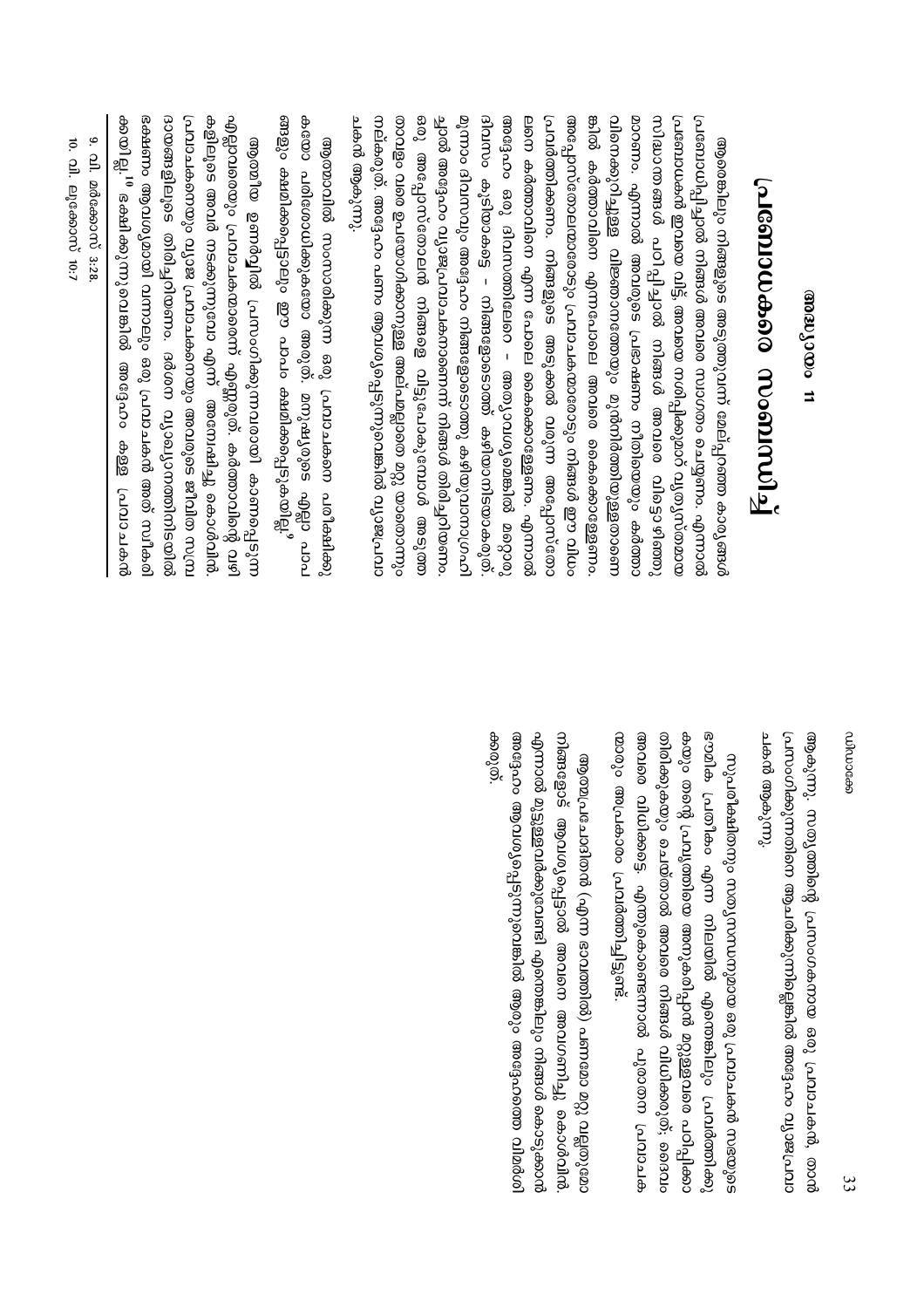|                    | ە.<br>വി. മർക്കോസ് 3:28.                                                                                         |
|--------------------|------------------------------------------------------------------------------------------------------------------|
|                    | ക്കയില്ല." ഭക്ഷിക്കുന്നുവെങ്കിൽ അദ്ദേഹം കള്ള പ്രവാചകൻ<br>ഭക്ഷണം ആവശ്യമായി വന്നാലും ഒരു പ്രവാചകൻ അത് സീകരി        |
|                    | ദായങ്ങളിലൂടെ തിരിച്ചറിയണം. ദർശന വ്യാഖ്യാനത്തിനിടയിൽ                                                              |
|                    | കളിലൂടെ അവർ നടക്കുന്നുവോ എന്ന്  അന്വേഷിച്ചു കൊൾവിൻ<br>ന്ധ്യന തിന്ദ്രജ ടരുവന്തെ ംത്രനരകഥവേപ്പ, ജറ്റ്ഥ ംത്രനരകഥവേപ |
|                    | എല്ലാവരെയും പ്രവാചകന്മാരെന്ന് എണ്ണരുത്. കർത്താവിന്റെ വഴി                                                         |
|                    | ആത്മീയ ഉണർച്ചിൽ പ്രസംഗിക്കുന്നവരായി കാണപ്പെടുന്ന                                                                 |
|                    | ങ്ങളും ക്ഷമിക്കപ്പെട്ടാലും ഈ പാപം ക്ഷമിക്കപ്പെടുകയില്ല.'<br>കയോ പരിശോധിക്കുകയോ അരുത്. മനുഷ്യരുടെ എല്ലാ പാപ       |
|                    | അഭിക്കീര് സംസാരിക്കുന്ന ഒരു പ്രവാചക്കി. പരീക്ഷിക്കു                                                              |
|                    | പകൽ ആകുന്നു                                                                                                      |
|                    | നല്കരുത്. അദ്ദേഹം പണം ആവശ്യപ്പെടുന്നുവെങ്കിൽ വ്യാജപ്രവാ                                                          |
|                    | താവാളം വരെ ഉപയോഗിക്കാനുള്ള അല്പപമല്ലാതെ മറ്റു യാതൊന്നും                                                          |
|                    | ഒരു അപ്പോസ്തോലൻ നിങ്ങളെ വിട്ടുപോകുമ്പോൾ അടുത്ത                                                                   |
|                    | മൂന്നാം ദിവസവും അദേഹം നിങ്ങളോടൊത്തു കഴിയുവാനാവ്രഹി<br>ച്ചാൽ അദ്ദേഹം വ്യാജപ്രവാകഥനത്തെന്ന് നിങ്ങൾ തിരിച്ചറിയണം    |
| കരുത്.             | ദിവസം കുടിയാകടെ നിങ്ങളോടൊത്ത് കഴിയാനിടയാകരുത്                                                                    |
| <b>D</b> occepsore | താഭദ്ദഹം ഒരു ദിവസാത്തിലേറെ – അതുവാഗുക്ഷിൽ മറ്റൊരു                                                                |
| എന്നാൽ മു          | ലനെ കർത്താവിനെ എന്ന പോലെ കൈക്കൊളേളണം. എന്നാൽ                                                                     |
| നിങ്ങളോട്          | പ്രവർത്തിക്കണം. നിങ്ങളുടെ അടുക്കൽ വരുന്ന അപ്പോസ്തോ                                                               |
|                    | യിന്റെ തുടുതാലന്മാരോടും പ്രവാചകന്മാരോടും നിങ്ങൾ ഇൗ വിധം                                                          |
| വുമാത്ര            | കിൽ കർത്താവിനെ എന്നപോണ അവരെ കൈക്കൊള്ളേണാം                                                                        |
| cocan              | വിനെക്കുറിച്ചുള്ള വിജ്ഞാനത്തേയും മുൻനിർത്തിയുള്ളതാണെ                                                             |
| மு அமை             | മാറണം. എന്നാൽ അവരുടെ പ്രഭാഷണം നീതിയെയും കർത്താ                                                                   |
| ပါစဲ(မြစ်)(စ       | സിയായങ്ങൾ പഠിപ്പിച്ചാൽ നിങ്ങൾ വരെ വിട്ടൊഴിഞ്ഞു                                                                   |
| കയും തന്           | ശാര്ത്തുന്ന ഇവയെ വിട്ട്, അവയെ നശിപ്പിക്കുമാറ് വ്യത്യസ്തമായ                                                       |
| ഭൗമിക പ്ര          | <u>രാന്നോധിപ്പിച്ചാൽ നിങ്ങൾ അവരെ സാഗതം ചെയ്യണം. എന്നാൽ</u>                                                       |
| സുപരീം             | ആരെകിലും നിങ്ങളുടെ അടുത്തുവന്ന് മേല്പ്പറഞ്ഞ കാര്യങ്ങൾ                                                            |
| வல்லி நைக          | <u>പ്രേന്നത്തെ രൈധവരാഥു</u>                                                                                      |
| ക്കിസാഗിക്         |                                                                                                                  |
| ത്രപ്പുകളു         | $\frac{1}{2}$ $\cos$ $\cos$                                                                                      |
|                    |                                                                                                                  |

 $10.$  all.  $\triangle$ l $3$  as  $\triangle$ 

ക്കാധ്ന

 $33$ 

കുന്നു. ുന്നതിനെ അചരിക്കുന്നില്ലെങ്കിൽ അദ്ദേഹം വ്യാജപ്രവാഗ ന്തുത്തിന്റെ പ്രസാഗകനായ ഒരു പ്രവാചകൻ, താൻ

<u>(പകാരം (പവർത്തിച്ചിട്ടുണ്ട്.</u> <u>്രക്വിപ്പറെ ലൈള്ളുറ്റു നല്പ്രക്ത്രത്ത യഭിത്തുവപ്പ ന</u> ക്രഥവ്രം) നത്തും താണ്ടന്നാൽ പുരാതന പ്രവാചക യും ചെയ്താൽ അവരെ നിങ്ങൾ വിധിക്കരുത്; ദൈവം ക്ഷിതന്നു സത്യസ്ഥനാത്രം ഒരു പ്രവാചകൻ സഭയുടെ തീകം എന്ന നിലയിൽ എന്തെങ്കിലും പ്രവർത്തിക്കു

ിയ്തിന് ത്തരവങ്കിൽ ആരും അട്ടേഹതെന്ന് വിമർശി  $35\overline{2}$ ള്ളവർക്കുവേണ്ടി എന്തെങ്കിലും നിങ്ങൾ കൊടുക്കാൻ ശ്ചാദിതൻ (എന്ന ഭാവത്തിൽ) പണമോ മറ്റു വല്ലതുമോ ൖഁ൛൛൴ഄൄ൶ൎ൜൛൲൷൹൹൹൹൹ൣ൛൙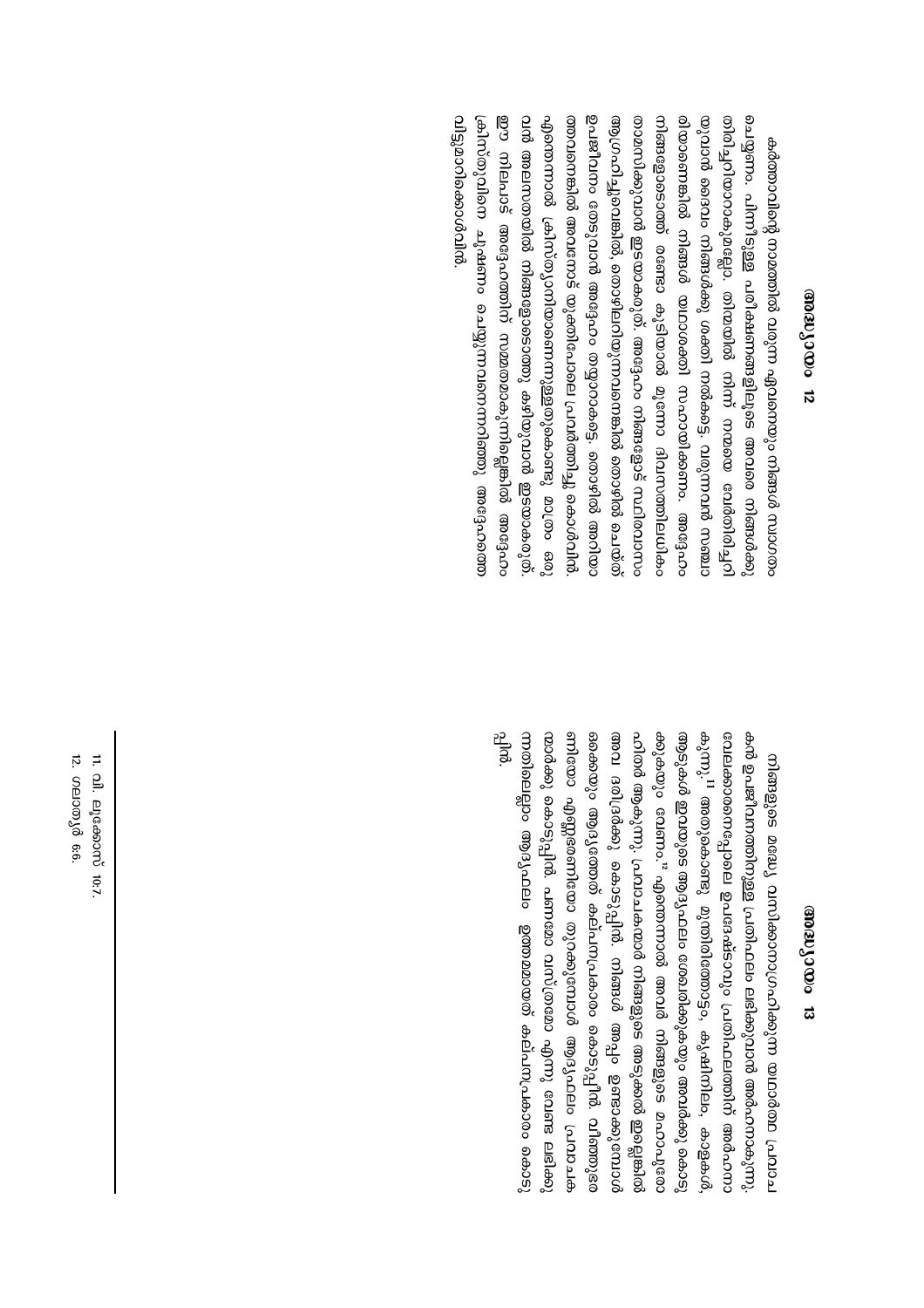### $\omega$  or  $\omega$

ഉപജീവനം തോടുവാൻ അദ്ദേഹം തയ്യാറാകുട്ടെ. തൊഴിൽ അറിയാ രിയാണെങ്കിൽ നിങ്ങൾ യഥാശക്തി സഹായിക്കണം. അദ്ദേഹം ചെയ്യസം. പിന്നീടുള്ള പരീക്ഷണങ്ങളിലൂടെ അവരെ നിങ്ങൾക്ക മിട്ടുമാറിക്കൊൾവിൻ ശാരിന്തുവിനെ ചുഷണം ചെയ്യുന്നവനെനിഞ്ഞു അട്ടേഹത്തെ ഈ നിലപാട് അദ്ദേഹത്തിന് സമ്മതമാകുന്നില്ലെങ്കിൽ അദ്ദേഹം വൻ അലസതയിൽ നിങ്ങളോടൊത്തു കഴിയുവാൻ ഇടയാകരുത് എന്തെന്നാൽ ക്രിസ്ത്യാനിയാണെന്നുള്ളതുകൊണ്ടു മാത്രം ഒര ത്തവണ്ടെത്തിൽ അവയോട് യുക്തിപ്പോലെ പ്രവർത്തിച്ചു കൊൾവിൻ ആധ്രഹിച്ചുവെങ്കിൽ, തൊഴിലറിയുന്നവനെങ്കിൽ തൊഴിൽ ചെയ്ത് താമസിക്കുവാൻ ഇടയാകരുത്. അദ്ദേഹം നിങ്ങളോട് സ്ഥിരവാസം നിങ്ങളോടൊത്ത് രണ്ടോ കൂടിയാൽ മൂന്നോ ദിവസത്തിലധികം യുവാൻ ദൈവം നിങ്ങൾക്കു ശക്തി നൽകട്ടെ. വരുന്നവൻ സഞ്ചാ തിരിച്ചറിയാറാകുമല്ലോ. തിന്മയിൽ നിന്ന് നന്മയെ വേർതിരിച്ചറി കർത്താവിന്റെ നാമത്തിൽ വരുന്ന എവരെനയും നിങ്ങൾ സാധാതം

### $\infty$ C $\cap$ C $\infty$

தின் ന്നതിലെല്ലാം ആദ്യഫലം ഉത്തമമായത് കല്പനപ്രകാരം കൊട ബ്രാഹം) പ്രാപ്പുടത്ത് സാക്കുത്തുന്നത് ആദ്യപാചക ഒക്കെയും ആദ്യത്തേത് കല്പനപ്രകാരം കൊടുപ്പീൻ. വീഞ്ഞുഭര അവ ദരിശക്കു കൊടുപ്പിൻ. നിങ്ങൾ അപ്പം ഉണ്ടാക്കുമ്പോൾ ഹിതർ അകുന്നു. പ്രവാചകന്മാർ നിങ്ങളുടെ അടുക്കൽ ഇല്ലെകിൽ ക്കുകയും വേണം." എന്തെന്നാൽ അവർ നിങ്ങളുടെ മഹാപുരോ അടുകൾ ഇവയുടെ ആദ്യപാലം ശേഖരിക്കുകയും അവർക്കു കൊടു കുന്നു.<sup>11</sup> അതുകൊണ്ടു മുന്തിരിത്തോട്ടം, കൃഷിനിലം, കാളകൾ നോക്കാരത്തിലെ ഉപദേഷ്ടാവും പ്രതിഫലത്തിന് അർഹണ കൻ ഉപജീവനത്തിനുള്ള പ്രതിഫലം ലഭിക്കുവാൻ അർഹനാകുന്നു ന്മാർക്കു കൊടുപ്പിൻ. പണമോ വസ്ത്രമോ എന്നു വേണ്ട ലഭിക്കു ഹാത്തുടെ മദ്ധ്യ വനിക്കാനാഗ്രഹിക്കുന്ന യഥാർത്ഥ പ്രവാച

11. വി. ലൂക്കോസ് 10:7. 12. ഗലാതൃർ 6:6.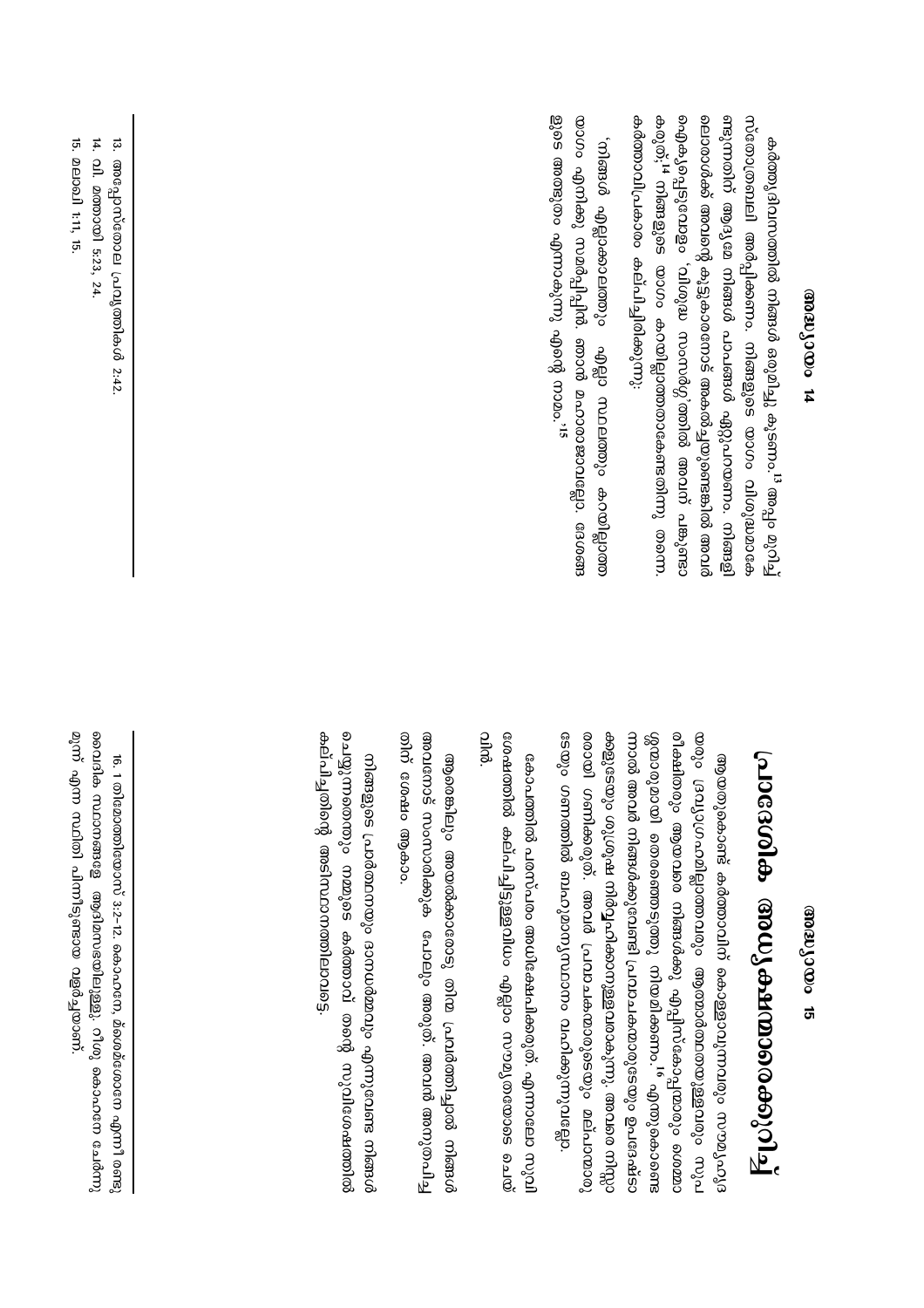### $10000$  ( $0000$

ാണ്ട്രിക്കും വിശത്തുന്നുന്ന വരുതിന് എന്നോട്ട്രിക്കുകരും ലൊരാൾക്ക് അവന്റെ കൂട്ടുകാരനോട് അകത്ച്ചയുണ്ടെങ്കിൽ അവർ ണ്ടുന്നതിന് ആദ്യമേ നിങ്ങൾ പാപങ്ങൾ ഏറ്റുപറയണം. നിങ്ങളി സ്തോത്രബലി അർപ്പിക്കണം. നിങ്ങളുടെ യാഗം വിശുദ്ധമാകേ കർത്താവിപ്രകാരം കല്പിച്ചിരിക്കുന്നു: കരുത്;<sup>14</sup> നിങ്ങളുടെ യാഗം കറയില്ലാത്തതാകേണ്ടതിന്നു തന്നെ കർത്ത്യദിവസത്തിൽ നിങ്ങൾ ഒരുമിച്ചു കൂടണം.<sup>13</sup> ആപ്പം മുറിച്ച്

ളുടെ അത്ഭുതം എന്നാകുന്നു എന്റെ നാമം.'!s യാഗം എനിക്കു സമർപ്പിപ്പിൻ. ഞാൻ മഹാരാജാവല്ലോ. ദേശങ്ങ ാരാണ്ട്രിയായ മാത്രിയ സ്ത്രീക്കാരിയിരുന്നു.

### GROCEL CODE

# $\epsilon$ ്ര്യാരാരന്മ്രഷകുധത്തിയിരാമാ $\epsilon$ ം

ഭേയും ഗണത്തിൽ ബഹുമാനുസ്ഥാനം വഹിക്കുന്നുവല്ലോ രായി ഗണിക്കരുത്. അവർ പ്രവാചകന്മാരുടെയും മല്പാന്മാരു ക്കളുടേയും ഗുശ്രൂഷ നിർവഹിക്കാനുള്ളവരാകുന്നു. അവരെ നിസ്സാ നാൽ അവർ നിങ്ങൾക്കുവേണ്ടി പ്രവാപകന്താരുടേയും ഉപദേഷ്ടാ രീക്ഷിതരും ആയവരെ നിങ്ങൾക്കു എപ്പിസ്കോപ്പന്മാരും ശെമ്മാ യുറ്റം ഗാസ് പ്രാഗ്രായില്ലാത്തായി ആരാത്യമായായുടെ മാത്ര ശ്ശന്മാരുമായി തെരഞ്ഞെടുത്തു നിയമിക്കണം.<sup>16</sup> എന്തുകൊണ്ടെ ആയതുകൊണ്ട് കർത്താവിന് കൊള്ളാവുന്നവരും സൗമ്യഹൃദ

വിൻ. ഗേഷത്തിൽ കല്പിച്ചിട്ടുള്ളവിധം എല്ലാം നൗമ്യമയോടെ ചെയ് കോപത്തിൽ പരസ്പരം അധിക്ഷേപിക്കരുത്. എന്നാലോ സുവി

തിന് ശേഷം ആകാം. അവനോട് സംസാരിക്കുക പോലും അരുത്. അവൻ അനുതപിച്ച രാത്തിലും അയൽക്കാടോടു തിന്മ പ്രവർത്തിച്ചാൽ നിങ്ങൾ

പെയ്യുന്നതെത്തും നമ്മുടെ കർത്താവ് തന്റെ സുവിശേഷത്തിൽ കല്പിച്ചതിന്റെ അടിസ്ഥാനത്തിലാവട്ടെ സ്ക്കളുടെ പ്രാർത്ഥനയും ദാസധാര് പുന്നുവേണ്ട നിങ്ങൾ

14. col. 20000000 5:23, 24. 15. 2009 1:11, 15.

13. അപ്പോസ്തോല പ്രവൃത്തികൾ 2:42

മൂന്ന് എന്ന സ്ഥിതി പിന്നീടുണ്ടായ വളർച്ചയാണ്. വൈദിക സ്ഥാനങ്ങളേ ആദിമസഭയിലുള്ളു. റീശു കൊഹനേ ചേർന്നു 16. 1 തിമോത്തിയോസ് 3:2-12. കൊഹനേ, മ്ഗെമ്ശോനേ എന്നീ രണ്ടു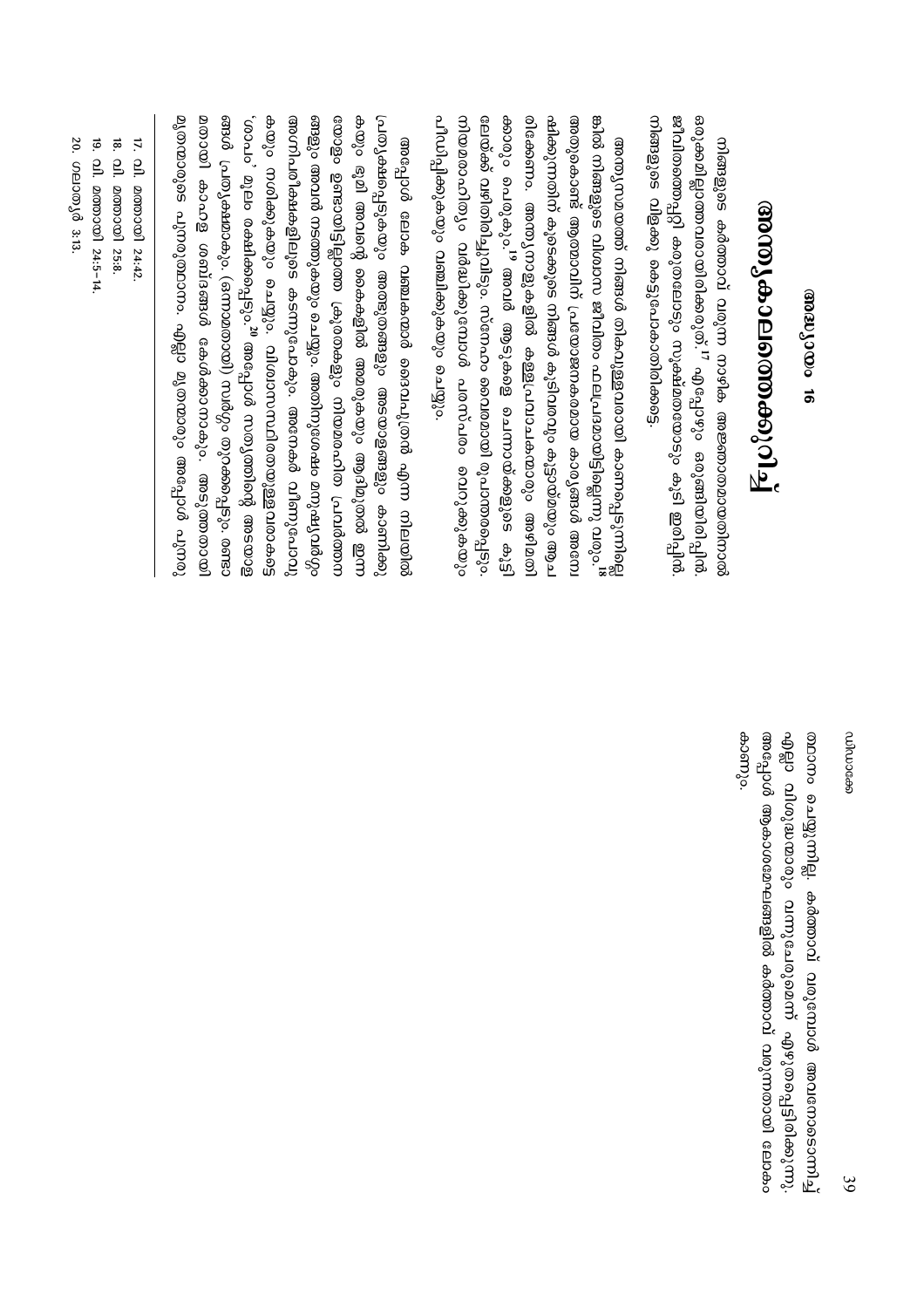| 91000000000                                                                                                                                                                                                                                                                                                                                                                                                                                                                                                                            | ത്ഥാനം ചെയ്യുന്നില്ല. കർത്ത                        |
|----------------------------------------------------------------------------------------------------------------------------------------------------------------------------------------------------------------------------------------------------------------------------------------------------------------------------------------------------------------------------------------------------------------------------------------------------------------------------------------------------------------------------------------|----------------------------------------------------|
| ൹൛ഀ൙ൕൕ൏൧൳ൖഽഀൕൕഩ                                                                                                                                                                                                                                                                                                                                                                                                                                                                                                                        | എല്ലാ വിശുദ്ധന്മാരും<br>മ്പാൾ<br>അലമാരംക്കേ<br>com |
| നിങ്ങളുടെ വിളക്കു കെട്ടുപോകാതിരിക്കപ്പെട<br>ഒരുക്കമില്ലാത്തവരായിരിക്കരുത്. <sup>17</sup> എപ്പോഴും ഒരുങ്ങിയിരിപ്പിൻ<br>ജീവിതത്തെപ്പറ്റി കരുതലോടും സൂക്ഷ്മതയോടും കൂടി ഇരിപ്പിൻ<br>നിങ്ങളുടെ കർത്താവ് വരുന്ന നാഴിക അജ്ഞാതമായതിനാൽ                                                                                                                                                                                                                                                                                                         | കാണും.                                             |
| പീഡിപ്പിക്കുകയും വഞ്ചിക്കുകയും ചെയ്യും.<br>നിയമരാഹിത്യം വർദ്ധിക്കുമ്പോൾ പരസ്പരം വെറുക്കുകയും<br>ക്കാരും പെരുകും. <sup>19</sup> അവർ ആടുകളെ ചെന്നായ്ക്കളുടെ കൂട്ടി<br>രിക്കേണം. അന്ത്യനാളുകളിൽ കള്ളപ്രവാചകന്മാരും അഴിമതി<br>ലേയ്ക്ക് വഴിതിരിച്ചുവിടും. സ്നേഹം വൈരമായി രൂപാന്തരപ്പെടും<br>ഷിക്കുന്നതിന് കൂടെക്കുടെ നിങ്ങൾ കൂടിവരവും കൂട്ടായ്മയും ആച<br>ങ്കിൽ നിങ്ങളുടെ വിശ്വാസ ജീവിതം ഫലപ്രദമായിട്ടില്ലെന്നു വരും. <sup>18</sup><br>അതുകൊണ്ട് ആരമാവിന് പ്രയോജനകരമായ കാര്യങ്ങൾ അനേ<br>അന്ത്യസമയത്ത് നിങ്ങൾ തികവുള്ളവരായി കാണപ്പെടുന്നില്ലെ |                                                    |
| പ്രതി,ക്ഷപ്പെടുകയും അത്ഭുതങ്ങളും അടയാളങ്ങളും കാണിക്കു<br>കയും ഭൂമി അവന്റെ കൈകളിൽ അമരുകയും ആദിമുതൽ ഇന്ന<br>അപ്പോൾ പോക വര്മുകയാർ വൈപുത്രൻ എന്ന നിലയിൽ                                                                                                                                                                                                                                                                                                                                                                                    |                                                    |
| <u>ഒര്തടമോ ഡ്രാത്രിക്കായി പ്രവേ</u> ക്ത പ്രവാരിക്കുന്നത്.<br>ഒര്ത്തി<br>മ്യതന്മാരുടെ പുനരുത്ഥാനം. എല്ലാ മുതന്മാരും അപ്പോൾ പുനരു<br>ങ്ങൾ പ്രത്യക്ഷമാകും. (ഒന്നാമതായി) സ്ഥർഗ്ഗത തുറക്കപ്പെടും. രണ്ടാ<br>കയും നശിക്കുകയും ചെയ്യും. വിശ്വാസസ്ഥിരതയുള്ളവരാകടെട്ട<br>അഗ്നിപരീക്ഷകളിലൂടെ കടന്നുപോകും. അനേകര് വീണുപോവു<br>ങ്ങളും അവൻ നടത്തുകയും ചെയ്യും. അതിനുശേഷം മനുഷ്യവർഗ്ഗം<br>രത്തിലെ ഉണ്ടായിട്ടില്ലാത്ത ക്രമിത്തുകയും നിയമരപ്പര് മിവർത്തന<br>മതായി കാഹള ശബ്ദങ്ങൾ കേൾക്കാനാകും. അടുത്തതായി                                                |                                                    |
| 20. ഗലാതൃർ 3:13.<br>ë.<br>17. col. accood 24:42<br>18. വി. മത്തായി 25:8<br>വി. മത്തായി 24:5-14.                                                                                                                                                                                                                                                                                                                                                                                                                                        |                                                    |

whwaseo

39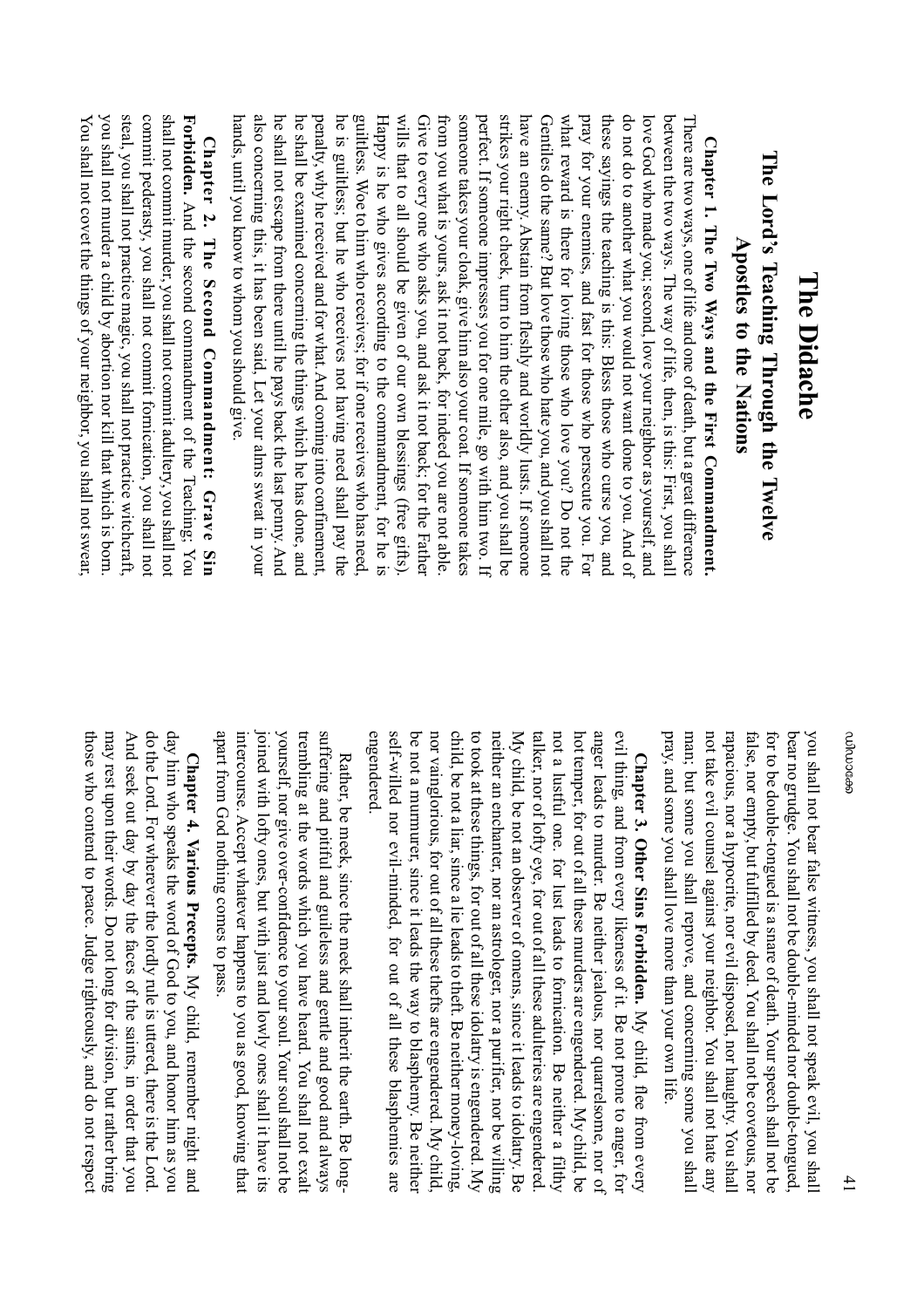# $41$ ക്കാധ്യക്ക

### **The Didache The Didache**

### The Lord's Teaching Through the Twelve **The Lord's Teaching Through the Twelve** Apostles to the Nations **Apostles to the Nations**

hands, until you know to whom you should give. also concerning this, it has been said, Let your alms sweat in your he shall not escape from there until he pays back the last penny. And he shall be examined concerning the things which he has done, and he is guiltless; but he who receives not having need shall pay the guiltless. Woe to him who receives; for if one receives who has need Happy is he who gives according to the commandment, for he is wills that to all should be given of our own blessings (free gifts) Give to every one who asks you, and ask it not back; for the Father from you what is yours, ask it not back, for indeed you are not able someone takes your cloak, give him also your coat. If someone takes perfect. If someone impresses you for one mile, go with him two. If strikes your right cheek, turn to him the other also, and you shall be have an enemy. Abstain from fleshly and worldly lusts. If someone Gentiles do the same? But love those who hate you, and you shall not what reward is there for loving those who love you? Do not the pray for your enemies, and fast for those who persecute you. For these sayings the teaching is this: Bless those who curse you, and do not do to another what you would not want done to you. And of love God who made you; second, love your neighbor as yourself, and between the two ways. The way of life, then, is this: First, you shall There are two ways, one of life and one of death, but a great difference hands, until you know to whom you should give. also concerning this, it has been said, Let your alms sweat in your he shall not escape from there until he pays back the last penny. And he shall be examined concerning the things which he has done, and penalty, why he received and for what. And coming into confinement, penalty, why he received and for what. And coming into confinement, he is guiltless; but he who receives not having need shall pay the guiltless. Woe to him who receives; for if one receives who has need, Happy is he who gives according to the commandment, for he is wills that to all should be given of our own blessings (free gifts). Give to every one who asks you, and ask it not back; for the Father from you what is yours, ask it not back, for indeed you are not able. someone takes your cloak, give him also your coat. If someone takes perfect. If someone impresses you for one mile, go with him two. If strikes your right cheek, turn to him the other also, and you shall be have an enemy. Abstain from fleshly and worldly lusts. If someone Gentiles do the same? But love those who hate you, and you shall not what reward is there for loving those who love you? Do not the pray for your enemies, and fast for those who persecute you. For these sayings the teaching is this: Bless those who curse you, and do not do to another what you would not want done to you. And of love God who made you; second, love your neighbor as yourself, and between the two ways. The way of life, then, is this: First, you shall There are two ways, one of life and one of death, but a great difference Chapter 1. The Two Ways and the First Commandment **Chapter 1. The Two Ways and the First Commandment.**

steal, you shall not practice magic, you shall not practice witchcraft you shall not murder a child by abortion nor kill that which is born commit pederasty, you shall not commit fornication, you shall no shall not commit murder, you shall not commit adultery, you shall no Forbidden. And the second commandment of the Teaching; You You shall not covet the things of your neighbor, you shall not swear You shall not covet the things of your neighbor, you shall not swear, you shall not murder a child by abortion nor kill that which is born. steal, you shall not practice magic, you shall not practice witchcraft, commit pederasty, you shall not commit fornication, you shall not shall not commit murder, you shall not commit adultery, you shall not**Forbidden.**Chapter 2. The Second Commandment: Grave Sin **Chapter 2. The Second Commandment: Grave Sin** And the second commandment of the Teaching; You

> pray, and some you shall love more than your own life. pray, and some you shall love more than your own life. man; but some you shall reprove, and concerning some you shal not take evil counsel against your neighbor. You shall not hate any rapacious, nor a hypocrite, nor evil disposed, nor haughty. You shall bear no grudge. You shall not be double-minded nor double-tongued, man; but some you shall reprove, and concerning some you shall not take evil counsel against your neighbor. You shall not hate any rapacious, nor a hypocrite, nor evil disposed, nor haughty. You shall false, nor empty, but fulfilled by deed. You shall not be covetous, nor false, nor empty, but fulfilled by deed. You shall not be covetous, nor for to be double-tongued is a snare of death. Your speech shall not be for to be double-tongued is a snare of death. Your speech shall not be bear no grudge. You shall not be double-minded nor double-tongued you shall not bear false witness, you shall not speak evil, you shal you shall not bear false witness, you shall not speak evil, you shall

engendered self-willed nor evil-minded, for out of all these blasphemies are be not a murmurer, since it leads the way to blasphemy. Be neither be not a murmurer, since it leads the way to blasphemy. Be neither nor vainglorious, for out of all these thefts are engendered. My child, child, be not a liar, since a lie leads to theft. Be neither money-loving to took at these things, for out of all these idolatry is engendered. My neither an enchanter, nor an astrologer, nor a purifier, nor be willing My child, be not an observer of omens, since it leads to idolatry. Be not a lustful one. for lust leads to fornication. Be neither a filthy anger leads to murder. Be neither jealous, nor quarrelsome, nor of evil thing, and from every likeness of it. Be not prone to anger, for engendered. self-willed nor evil-minded, for out of all these blasphemies are nor vainglorious, for out of all these thefts are engendered. My child, child, be not a liar, since a lie leads to theft. Be neither money-loving, to took at these things, for out of all these idolatry is engendered. My neither an enchanter, nor an astrologer, nor a purifier, nor be willing My child, be not an observer of omens, since it leads to idolatry. Be talker, nor of lofty eye, for out of all these adulteries are engendered talker, nor of lofty eye, for out of all these adulteries are engendered. not a lustful one. for lust leads to fornication. Be neither a filthy hot temper, for out of all these murders are engendered. My child, be hot temper, for out of all these murders are engendered. My child, be anger leads to murder. Be neither jealous, nor quarrelsome, nor of evil thing, and from every likeness of it. Be not prone to anger, for Chapter 3. Other Sins Forbidden. My child, flee from every **Chapter 3. Other Sins Forbidden.**My child, flee from every

suffering and pitful and guileless and gentle and good and always teembling at the words which you have heard. You shall not exalt yourself, nor give over-confidence to your soul. Your soul shall not be joined with lofty Rather, be meek, since the meek shall inherit the earth. Be long-Rather, be meek, since the meek shall inherit the earth. Be long-

those who contend to peace. Judge righteously, and do not respect do the Lord. For wherever the lordly rule is uttered, there is the Lord those who contend to peace. Judge righteously, and do not respect may rest upon their words. Do not long for division, but rather bring may rest upon their words. Do not long for division, but rather bring And seek out day by day the faces of the saints, in order that you And seek out day by day the faces of the saints, in order that you do the Lord. For wherever the lordly rule is uttered, there is the Lord. day him who speaks the word of God to you, and honor him as you day him who speaks the word of God to you, and honor him as you **Chapter 4. Various Precepts.** My child, remember night and **Chapter 4. Various Precepts.**My child, remember night and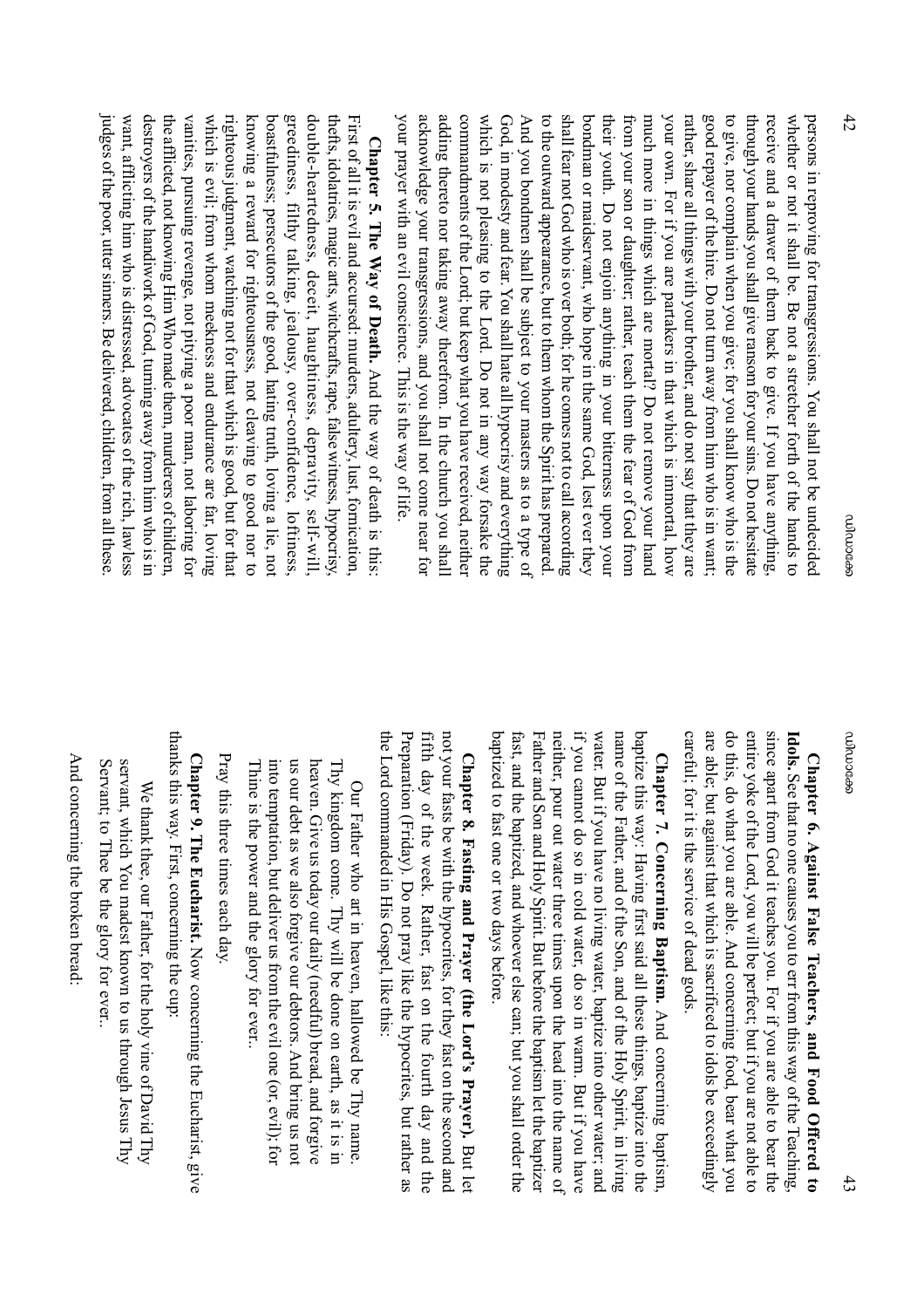ക്കാധ്യക്ക

acknowledge your transgressions, and you shall not come near for adding thereto nor taking away therefrom. In the church you shall commandments of the Lord; but keep what you have received, neither your prayer with an evil conscience. This is the way of life which is not pleasing to the Lord. Do not in any way forsake the God, in modesty and fear. You shall hate all hypocrisy and everything And you bondmen shall be subject to your masters as to a type of to the outward appearance, but to them whom the Spirit has prepared shall fear not God who is over both; for he comes not to call according bondman or maidservant, who hope in the same God, lest ever they their youth. Do not enjoin anything in your bitterness upon your from your son or daughter; rather, teach them the fear of God from much more in things which are mortal? Do not remove your hand your own. For if you are partakers in that which is immortal, how rather, share all things with your brother, and do not say that they are good repayer of the hire. Do not turn away from him who is in want to give, nor complain when you give; for you shall know who is the through your hands you shall give ransom for your sins. Do not hesitate receive and a drawer of them back to give. If you have anything whether or not it shall be. Be not a stretcher forth of the hands to persons in reproving for transgressions. You shall not be undecide your prayer with an evil conscience. This is the way of life. acknowledge your transgressions, and you shall not come near for adding thereto nor taking away therefrom. In the church you shall commandments of the Lord; but keep what you have received, neither which is not pleasing to the Lord. Do not in any way forsake the God, in modesty and fear. You shall hate all hypocrisy and everything And you bondmen shall be subject to your masters as to a type of to the outward appearance, but to them whom the Spirit has prepared. shall fear not God who is over both; for he comes not to call according bondman or maidservant, who hope in the same God, lest ever they their youth. Do not enjoin anything in your bitterness upon your from your son or daughter; rather, teach them the fear of God from much more in things which are mortal? Do not remove your hand your own. For if you are partakers in that which is immortal, how rather, share all things with your brother, and do not say that they are good repayer of the hire. Do not turn away from him who is in want; to give, nor complain when you give; for you shall know who is the through your hands you shall give ransom for your sins. Do not hesitate receive and a drawer of them back to give. If you have anything, whether or not it shall be. Be not a stretcher forth of the hands to persons in reproving for transgressions. You shall not be undecided

judges of the poor, utter sinners. Be delivered, children, from all these judges of the poor, utter sinners. Be delivered, children, from all these. want, afflicting him who is distressed, advocates of the rich, lawless destroyers of the handiwork of God, turning away from him who is in the afflicted, not knowing Him Who made them, murderers of children vanities, pursuing revenge, not pitying a poor man, not laboring for which is evil; from whom meekness and endurance are far, loving righteous judgment, watching not for that which is good, but for that knowing a reward for righteousness, not cleaving to good nor to boastfulness; persecutors of the good, hating truth, loving a lie, no greediness, filthy talking, jealousy, over-confidence, loftiness double-heartedness, deceit, haughtiness, depravity, self-will thefts, idolatries, magic arts, witchcrafts, rape, false witness, hypocrisy, First of all it is evil and accursed: murders, adultery, lust, fornication want, afflicting him who is distressed, advocates of the rich, lawless destroyers of the handiwork of God, turning away from him who is in the afflicted, not knowing Him Who made them, murderers of children, vanities, pursuing revenge, not pitying a poor man, not laboring for which is evil; from whom meekness and endurance are far, loving righteous judgment, watching not for that which is good, but for that knowing a reward for righteousness, not cleaving to good nor to boastfulness; persecutors of the good, hating truth, loving a lie, not greediness, filthy talking, jealousy, over-confidence, loftiness, double-heartedness, deceit, haughtiness, depravity, self-will, thefts, idolatries, magic arts, witchcrafts, rape, false witness, hypocrisy, First of all it is evil and accursed: murders, adultery, lust, fornication,Chapter 5. The Way of Death. And the way of death is this **Chapter 5. The Way of Death.**And the way of death is this:

 $430000$  University of the contract of the contract of the contract of the contract of the contract of the contract of the contract of the contract of the contract of the contract of the contract of the contract of the co ക്കാധ്യക്ക

careful; for it is the service of dead gods are able; but against that which is sacrificed to idols be exceedingly do this, do what you are able. And concerning food, bear what you entire yoke of the Lord, you will be perfect; but if you are not able to since apart from God it teaches you. For if you are able to bear the careful; for it is the service of dead gods. are able; but against that which is sacrificed to idols be exceedingly do this, do what you are able. And concerning food, bear what you entire yoke of the Lord, you will be perfect; but if you are not able to since apart from God it teaches you. For if you are able to bear the **Idols.** See that no one causes you to err from this way of the Teaching. Chapter 6. Against False Teachers, and Food Offered to **Chapter 6. Against False Teachers, and Food Offered to** See that no one causes you to err from this way of the Teaching,

baptized to fast one or two days before baptized to fast one or two days before. neither, pour out water three times upon the head into the name of if you cannot do so in cold water, do so in warm. But if you have water. But if you have no living water, baptize into other water; and name of the Father, and of the Son, and of the Holy Spirit, in living baptize this way: Having first said all these things, baptize into the fast, and the baptized, and whoever else can; but you shall order the fast, and the baptized, and whoever else can; but you shall order the Father and Son and Holy Spirit. But before the baptism let the baptizer Father and Son and Holy Spirit. But before the baptism let the baptizer neither, pour out water three times upon the head into the name of if you cannot do so in cold water, do so in warm. But if you have water. But if you have no living water, baptize into other water; and name of the Father, and of the Son, and of the Holy Spirit, in living baptize this way: Having first said all these things, baptize into the Chapter 7. Concerning Baptism. And concerning baptism. **Chapter 7. Concerning Baptism.**And concerning baptism,

the Lord commanded in His Gospel, like this: not your fasts be with the hypocrites, for they fast on the second and the Lord commanded in His Gospel, like this: Preparation (Friday). Do not pray like the hypocrites, but rather as Preparation (Friday). Do not pray like the hypocrites, but rather as fifth day of the week. Rather, fast on the fourth day and the fifth day of the week. Rather, fast on the fourth day and the not your fasts be with the hypocrites, for they fast on the second and Chapter 8. Fasting and Prayer (the Lord's Prayer). But let **Chapter 8. Fasting and Prayer (the Lord's Prayer).**

into temptation, but deliver us from the evil one (or, evil); for us our debt as we also forgive our debtors. And bring us not heaven. Give us today our daily (needful) bread, and forgive Thine is the power and the glory for ever. Thine is the power and the glory for ever.. into temptation, but deliver us from the evil one (or, evil); for us our debt as we also forgive our debtors. And bring us not heaven. Give us today our daily (needful) bread, and forgive Thy kingdom come. Thy will be done on earth, as it is in Thy kingdom come. Thy will be done on earth, as it is in Our Father who art in heaven, hallowed be Thy name Our Father who art in heaven, hallowed be Thy name.

Pray this three times each day Pray this three times each day.

thanks this way. First, concerning the cup thanks this way. First, concerning the cup: Chapter 9. The Eucharist. Now concerning the Eucharist, give **Chapter 9. The Eucharist.** Now concerning the Eucharist, give

Servant; to Thee be the glory for ever. servant, which You madest known to us through Jesus Thy Servant; to Thee be the glory for ever.. servant, which You madest known to us through Jesus Thy We thank thee, our Father, for the holy vine of David Thy We thank thee, our Father, for the holy vine of David Thy

And concerning the broken bread: And concerning the broken bread: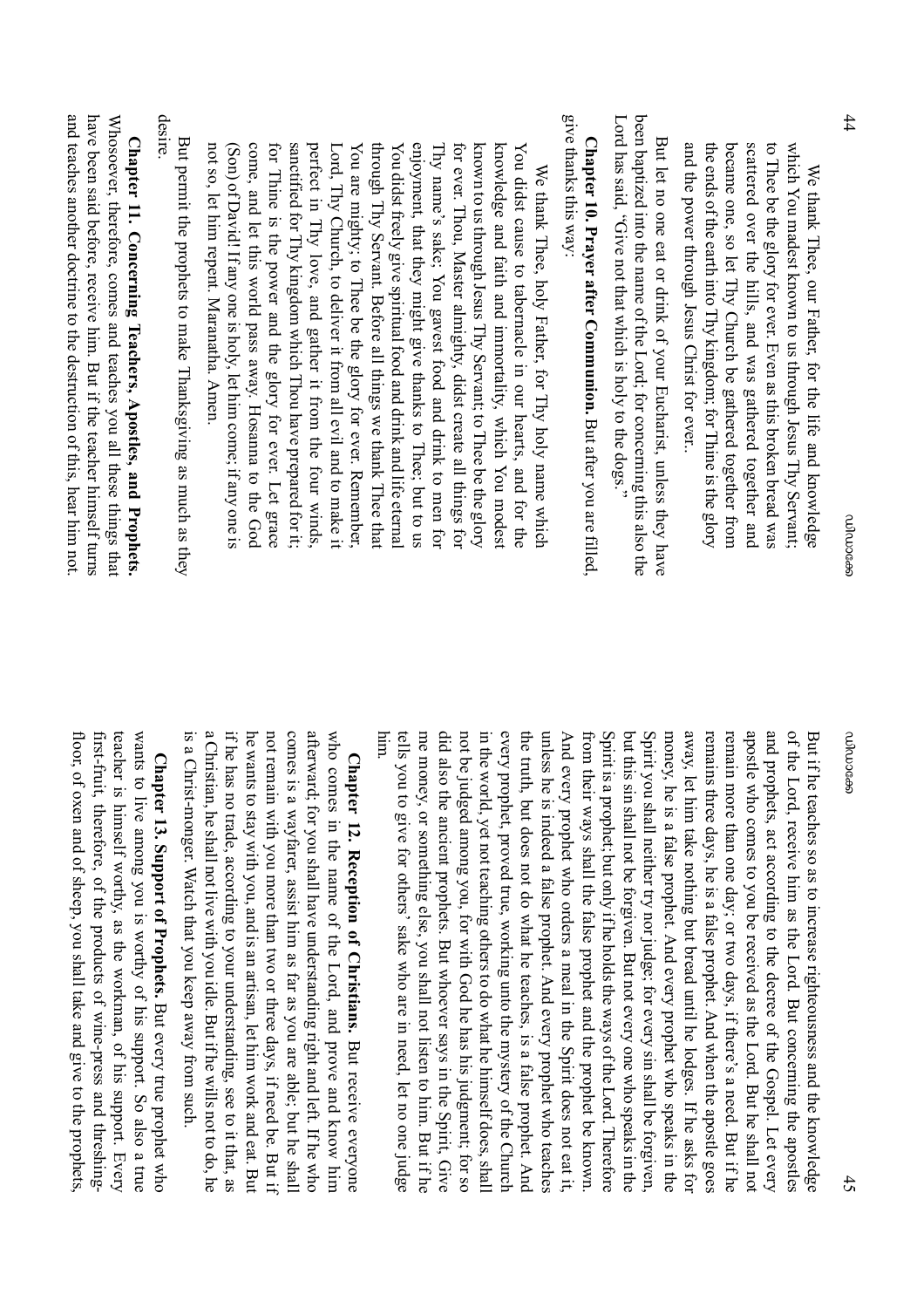ശാന്ധത

and the power through Jesus Christ for ever. the ends of the earth into Thy kingdom; for Thine is the glory became one, so let Thy Church be gathered together from scattered over the hills, and was gathered together and to Thee be the glory for ever. Even as this broken bread was which You madest known to us through Jesus Thy Servant; the ends of the earth into Thy kingdom; for Thine is the glory became one, so let Thy Church be gathered together from to Thee be the glory for ever. Even as this broken bread was which You madest known to us through Jesus Thy Servant; and the power through Jesus Christ for ever.. scattered over the hills, and was gathered together and We thank Thee, our Father, for the life and knowledge We thank Thee, our Father, for the life and knowledge

"Cive not that which is holy to the dogs." been baptized into the name of the Lord; for concerning this also the Lord has said, "Give not that which is holy to the dogs." been baptized into the name of the Lord; for concerning this also the But let no one eat or drink of your Eucharist, unless they have But let no one eat or drink of your Eucharist, unless they have

give thanks this way: give thanks this way: **Chapter 10. Prayer after Communion.** But after you are filled **Chapter 10. Prayer after Communion.**But after you are filled,

enjoyment, that they might give thanks to Thee; but to us knowledge and faith and immortality, which You modes come, and let this world pass away. Hosanna to the Goo sanctified for Thy kingdom which Thou have prepared for it not so, let him repent. Maranatha. Amen. not so, let him repent. Maranatha. Amen.  $(Son)$  of David! If any one is holy, let him come; if any one is for Thine is the power and the glory for ever. Let grace perfect in Thy love, and gather it from the four winds perfect in Thy love, and gather it from the four winds, Lord, Thy Church, to deliver it from all evil and to make it You are mighty; to Thee be the glory for ever. Remember You are mighty; to Thee be the glory for ever. Remember, through Thy Servant. Before all things we thank Thee tha through Thy Servant. Before all things we thank Thee that You didst freely give spiritual food and drink and life eterna You didst freely give spiritual food and drink and life eternal Thy name's sake; You gavest food and drink to men for for ever. Thou, Master almighty, didst create all things for known to us through Jesus Thy Servant; to Thee be the glory known to us through Jesus Thy Servant; to Thee be the glory knowledge and faith and immortality, which You modest You didst cause to tabernacle in our hearts, and for the You didst cause to tabernacle in our hearts, and for the (Son) of David! If any one is holy, let him come; if any one is come, and let this world pass away. Hosanna to the God for Thine is the power and the glory for ever. Let grace sanctified for Thy kingdom which Thou have prepared for it; Lord, Thy Church, to deliver it from all evil and to make it enjoyment, that they might give thanks to Thee; but to us Thy name's sake; You gavest food and drink to men for for ever. Thou, Master almighty, didst create all things for We thank Thee, holy Father, for Thy holy name which We thank Thee, holy Father, for Thy holy name which

desire. But permit the prophets to make Thanksgiving as much as they But permit the prophets to make Thanksgiving as much as they

and teaches another doctrine to the destruction of this, hear him not have been said before, receive him. But if the teacher himself turns and teaches another doctrine to the destruction of this, hear him not. have been said before, receive him. But if the teacher himself turns Whosoever, therefore, comes and teaches you all these things that Whosoever, therefore, comes and teaches you all these things thatChapter 11. Concerning Teachers, Apostles, and Prophets **Chapter 11. Concerning Teachers, Apostles, and Prophets.**

# 47 Universidades de la construcción de la construcción de la construcción de la construcción de la construcció ക്കാധ്യക്ക

money, he is a false prophet. And every prophet who speaks in the away, let him take nothing but bread until he lodges. If he asks for of the Lord, receive him as the Lord. But concerning the apostles me money, or something else, you shall not listen to him. But if he not be judged among you, for with God he has his judgment; for so in the world, yet not teaching others to do what he himself does, shall every prophet, proved true, working unto the mystery of the Church unless he is indeed a false prophet. And every prophet who teaches unless he is indeed a false prophet. And every prophet who teaches And every prophet who orders a meal in the Spirit does not eat it. Spirit is a prophet; but only if he holds the ways of the Lord. Therefore but this sin shall not be forgiven. But not every one who speaks in the but this sin shall not be forgiven. But not every one who speaks in the Spirit you shall neither try nor judge; for every sin shall be forgiven. remains three days, he is a false prophet. And when the apostle goes remain more than one day; or two days, if there's a need. But if he apostle who comes to you be received as the Lord. But he shall not and prophets, act according to the decree of the Gospel. Let every him. tells you to give for others' sake who are in need, let no one judge tells you to give for others' sake who are in need, let no one judge me money, or something else, you shall not listen to him. But if he did also the ancient prophets. But whoever says in the Spirit, Give did also the ancient prophets. But whoever says in the Spirit, Give not be judged among you, for with God he has his judgment; for so in the world, yet not teaching others to do what he himself does, shall every prophet, proved true, working unto the mystery of the Church the truth, but does not do what he teaches, is a false prophet. And the truth, but does not do what he teaches, is a false prophet. And And every prophet who orders a meal in the Spirit does not eat it, from their ways shall the false prophet and the prophet be known from their ways shall the false prophet and the prophet be known. Spirit is a prophet; but only if he holds the ways of the Lord. Therefore Spirit you shall neither try nor judge; for every sin shall be forgiven, money, he is a false prophet. And every prophet who speaks in the away, let him take nothing but bread until he lodges. If he asks for remains three days, he is a false prophet. And when the apostle goes remain more than one day; or two days, if there's a need. But if he apostle who comes to you be received as the Lord. But he shall not and prophets, act according to the decree of the Gospel. Let every of the Lord, receive him as the Lord. But concerning the apostles But if he teaches so as to increase righteousness and the knowledge But if he teaches so as to increase righteousness and the knowledge

a Christian, he shall not live with you idle. But if he wills not to do, he is a Christ-monger. Watch that you keep away from such if he has no trade, according to your understanding, see to it that, as he wants to stay with you, and is an artisan, let him work and eat. But not remain with you more than two or three days, if need be. But if comes is a wayfarer, assist him as far as you are able; but he shall afterward; for you shall have understanding right and left. If he who who comes in the name of the Lord, and prove and know him is a Christ-monger. Watch that you keep away from such. a Christian, he shall not live with you idle. But if he wills not to do, he if he has no trade, according to your understanding, see to it that, as he wants to stay with you, and is an artisan, let him work and eat. But not remain with you more than two or three days, if need be. But if comes is a wayfarer, assist him as far as you are able; but he shall afterward; for you shall have understanding right and left. If he who who comes in the name of the Lord, and prove and know him Chapter 12. Reception of Christians. But receive everyone **Chapter 12. Reception of Christians.**But receive everyone

wants to live among you is worthy of his support. So also a true floor, of oxen and of sheep, you shall take and give to the prophets floor, of oxen and of sheep, you shall take and give to the prophets, first-fruit, therefore, of the products of wine-press and threshing first-fruit, therefore, of the products of wine-press and threshingteacher is himself worthy, as the workman, of his support. Every teacher is himself worthy, as the workman, of his support. Every wants to live among you is worthy of his support. So also a true Chapter 13. Support of Prophets. But every true prophet who **Chapter 13. Support of Prophets.**But every true prophet who